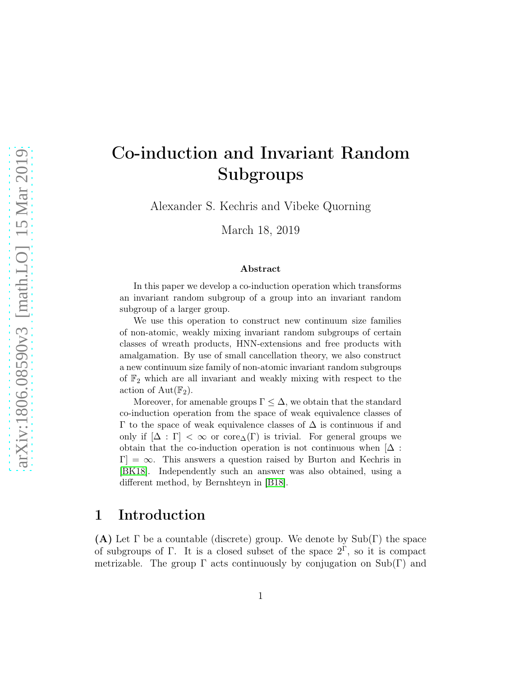# Co-induction and Invariant Random Subgroups

Alexander S. Kechris and Vibeke Quorning

March 18, 2019

#### Abstract

In this paper we develop a co-induction operation which transforms an invariant random subgroup of a group into an invariant random subgroup of a larger group.

We use this operation to construct new continuum size families of non-atomic, weakly mixing invariant random subgroups of certain classes of wreath products, HNN-extensions and free products with amalgamation. By use of small cancellation theory, we also construct a new continuum size family of non-atomic invariant random subgroups of  $\mathbb{F}_2$  which are all invariant and weakly mixing with respect to the action of  $Aut(\mathbb{F}_2)$ .

Moreover, for amenable groups  $\Gamma \leq \Delta$ , we obtain that the standard co-induction operation from the space of weak equivalence classes of  $\Gamma$  to the space of weak equivalence classes of  $\Delta$  is continuous if and only if  $[\Delta : \Gamma] < \infty$  or core<sub> $\Delta$ </sub>(Γ) is trivial. For general groups we obtain that the co-induction operation is not continuous when  $[\Delta]$ :  $[\Gamma] = \infty$ . This answers a question raised by Burton and Kechris in [\[BK18\]](#page-45-0). Independently such an answer was also obtained, using a different method, by Bernshteyn in [\[B18\]](#page-45-1).

## 1 Introduction

(A) Let  $\Gamma$  be a countable (discrete) group. We denote by  $\text{Sub}(\Gamma)$  the space of subgroups of  $\Gamma$ . It is a closed subset of the space  $2^{\Gamma}$ , so it is compact metrizable. The group  $\Gamma$  acts continuously by conjugation on Sub(Γ) and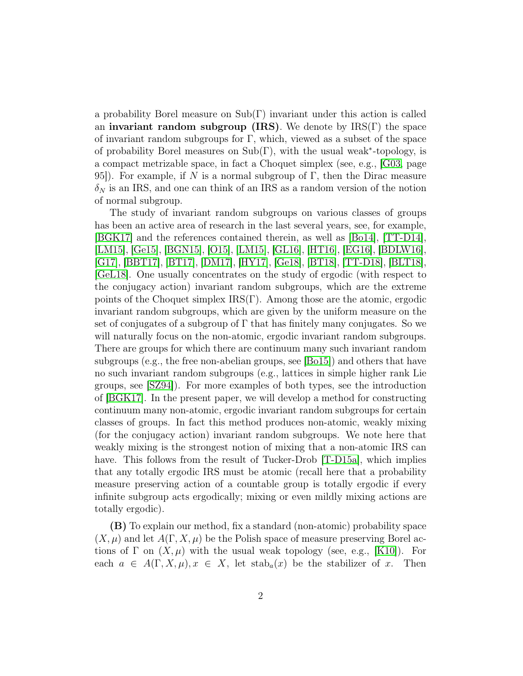a probability Borel measure on Sub(Γ) invariant under this action is called an invariant random subgroup (IRS). We denote by  $\text{IRS}(\Gamma)$  the space of invariant random subgroups for  $\Gamma$ , which, viewed as a subset of the space of probability Borel measures on  $Sub(\Gamma)$ , with the usual weak<sup>\*</sup>-topology, is a compact metrizable space, in fact a Choquet simplex (see, e.g., [\[G03,](#page-46-0) page 95]). For example, if N is a normal subgroup of  $\Gamma$ , then the Dirac measure  $\delta_N$  is an IRS, and one can think of an IRS as a random version of the notion of normal subgroup.

The study of invariant random subgroups on various classes of groups has been an active area of research in the last several years, see, for example, [\[BGK17\]](#page-45-2) and the references contained therein, as well as [\[Bo14\]](#page-45-3), [\[TT-D14\]](#page-47-0), [\[LM15\]](#page-46-1), [\[Ge15\]](#page-46-2), [\[BGN15\]](#page-45-4), [\[O15\]](#page-46-3), [\[LM15\]](#page-46-1), [\[GL16\]](#page-46-4), [\[HT16\]](#page-46-5), [\[EG16\]](#page-46-6), [\[BDLW16\]](#page-45-5), [\[G17\]](#page-46-7), [\[BBT17\]](#page-45-6), [\[BT17\]](#page-45-7), [\[DM17\]](#page-46-8), [\[HY17\]](#page-46-9), [\[Ge18\]](#page-46-10), [\[BT18\]](#page-45-8), [\[TT-D18\]](#page-47-1), [\[BLT18\]](#page-45-9), [\[GeL18\]](#page-46-11). One usually concentrates on the study of ergodic (with respect to the conjugacy action) invariant random subgroups, which are the extreme points of the Choquet simplex  $IRS(\Gamma)$ . Among those are the atomic, ergodic invariant random subgroups, which are given by the uniform measure on the set of conjugates of a subgroup of  $\Gamma$  that has finitely many conjugates. So we will naturally focus on the non-atomic, ergodic invariant random subgroups. There are groups for which there are continuum many such invariant random subgroups (e.g., the free non-abelian groups, see [\[Bo15\]](#page-45-10)) and others that have no such invariant random subgroups (e.g., lattices in simple higher rank Lie groups, see [\[SZ94\]](#page-47-2)). For more examples of both types, see the introduction of [\[BGK17\]](#page-45-2). In the present paper, we will develop a method for constructing continuum many non-atomic, ergodic invariant random subgroups for certain classes of groups. In fact this method produces non-atomic, weakly mixing (for the conjugacy action) invariant random subgroups. We note here that weakly mixing is the strongest notion of mixing that a non-atomic IRS can have. This follows from the result of Tucker-Drob [\[T-D15a\]](#page-47-3), which implies that any totally ergodic IRS must be atomic (recall here that a probability measure preserving action of a countable group is totally ergodic if every infinite subgroup acts ergodically; mixing or even mildly mixing actions are totally ergodic).

(B) To explain our method, fix a standard (non-atomic) probability space  $(X, \mu)$  and let  $A(\Gamma, X, \mu)$  be the Polish space of measure preserving Borel actions of  $\Gamma$  on  $(X, \mu)$  with the usual weak topology (see, e.g., [\[K10\]](#page-46-12)). For each  $a \in A(\Gamma, X, \mu), x \in X$ , let  $\operatorname{stab}_a(x)$  be the stabilizer of x. Then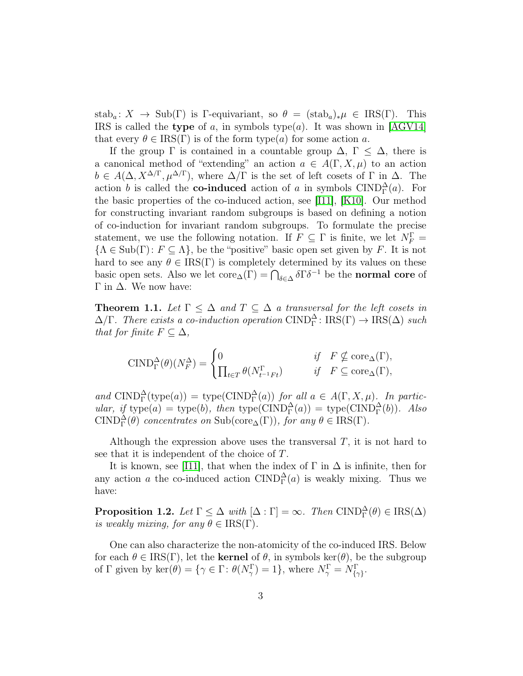stab<sub>a</sub>:  $X \to \text{Sub}(\Gamma)$  is Γ-equivariant, so  $\theta = (\text{stab}_a)_*\mu \in \text{IRS}(\Gamma)$ . This IRS is called the type of a, in symbols type(a). It was shown in [\[AGV14\]](#page-45-11) that every  $\theta \in \text{IRS}(\Gamma)$  is of the form type(a) for some action a.

If the group  $\Gamma$  is contained in a countable group  $\Delta$ ,  $\Gamma \leq \Delta$ , there is a canonical method of "extending" an action  $a \in A(\Gamma, X, \mu)$  to an action  $b \in A(\Delta, X^{\Delta/\Gamma}, \mu^{\Delta/\Gamma})$ , where  $\Delta/\Gamma$  is the set of left cosets of  $\Gamma$  in  $\Delta$ . The action b is called the **co-induced** action of a in symbols  $\text{CIND}_{\Gamma}^{\Delta}(a)$ . For the basic properties of the co-induced action, see [\[I11\]](#page-46-13), [\[K10\]](#page-46-12). Our method for constructing invariant random subgroups is based on defining a notion of co-induction for invariant random subgroups. To formulate the precise statement, we use the following notation. If  $F \subseteq \Gamma$  is finite, we let  $N_F^{\Gamma} =$  ${A \in Sub(\Gamma): F \subseteq \Lambda},$  be the "positive" basic open set given by F. It is not hard to see any  $\theta \in \text{IRS}(\Gamma)$  is completely determined by its values on these basic open sets. Also we let  $\text{core}_{\Delta}(\Gamma) = \bigcap_{\delta \in \Delta} \delta \Gamma \delta^{-1}$  be the **normal core** of Γ in  $Δ$ . We now have:

**Theorem 1.1.** Let  $\Gamma \leq \Delta$  and  $T \subseteq \Delta$  a transversal for the left cosets in  $\Delta/\Gamma$ . There exists a co-induction operation CIND<sub> $\Gamma$ </sub>: IRS( $\Gamma$ )  $\rightarrow$  IRS( $\Delta$ ) such *that for finite*  $F \subseteq \Delta$ *,* 

$$
\text{CIND}_{\Gamma}^{\Delta}(\theta)(N_{F}^{\Delta}) = \begin{cases} 0 & \text{if} \quad F \nsubseteq \text{core}_{\Delta}(\Gamma), \\ \prod_{t \in T} \theta(N_{t^{-1}Ft}^{\Gamma}) & \text{if} \quad F \subseteq \text{core}_{\Delta}(\Gamma), \end{cases}
$$

and  $\text{CIND}_{\Gamma}^{\Delta}(\text{type}(a)) = \text{type}(\text{CIND}_{\Gamma}^{\Delta}(a))$  *for all*  $a \in A(\Gamma, X, \mu)$ *. In partic* $ular, if type(a) = type(b), then type( CIND<sub>1</sub><sup>Δ</sup>(a)) = type( CIND<sub>1</sub><sup>Δ</sup>(b)). Also$  $\text{CIND}_{\Gamma}^{\Delta}(\theta)$  *concentrates on*  $\text{Sub}(\text{core}_{\Delta}(\Gamma)),$  *for any*  $\theta \in \text{IRS}(\Gamma)$ *.* 

Although the expression above uses the transversal  $T$ , it is not hard to see that it is independent of the choice of T.

It is known, see [\[I11\]](#page-46-13), that when the index of  $\Gamma$  in  $\Delta$  is infinite, then for any action a the co-induced action  $\text{CIND}_{\Gamma}^{\Delta}(a)$  is weakly mixing. Thus we have:

**Proposition 1.2.** *Let*  $\Gamma \leq \Delta$  *with*  $[\Delta : \Gamma] = \infty$ *. Then*  $\text{CIND}_{\Gamma}^{\Delta}(\theta) \in \text{IRS}(\Delta)$ *is weakly mixing, for any*  $\theta \in \text{IRS}(\Gamma)$ .

One can also characterize the non-atomicity of the co-induced IRS. Below for each  $\theta \in \text{IRS}(\Gamma)$ , let the **kernel** of  $\theta$ , in symbols ker( $\theta$ ), be the subgroup of  $\Gamma$  given by  $\ker(\theta) = {\gamma \in \Gamma : \theta(N_{\gamma}^{\Gamma}) = 1}, \text{ where } N_{\gamma}^{\Gamma} = N_{\{\gamma\}}^{\Gamma}.$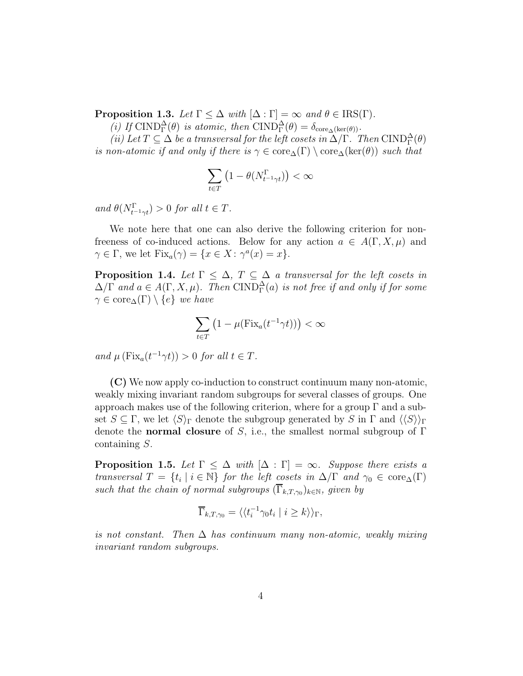**Proposition 1.3.** *Let*  $\Gamma \leq \Delta$  *with*  $[\Delta : \Gamma] = \infty$  *and*  $\theta \in \text{IRS}(\Gamma)$ *.* 

(*i)* If  $\text{CIND}_{\Gamma}^{\Delta}(\theta)$  *is atomic, then*  $\text{CIND}_{\Gamma}^{\Delta}(\theta) = \delta_{\text{core}_{\Delta}(\text{ker}(\theta))}$ *.* 

(*ii*) Let  $T \subseteq \Delta$  *be a transversal for the left cosets in*  $\Delta/\Gamma$ *. Then* CIND $_{\Gamma}^{\Delta}(\theta)$ *is non-atomic if and only if there is*  $\gamma \in \text{core}_{\Delta}(\Gamma) \setminus \text{core}_{\Delta}(\ker(\theta))$  *such that* 

$$
\sum_{t \in T} \left(1 - \theta(N_{t^{-1}\gamma t}^{\Gamma})\right) < \infty
$$

 $and \ \theta(N_{t^{-1}\gamma t}^{\Gamma}) > 0 \ for \ all \ t \in T.$ 

We note here that one can also derive the following criterion for nonfreeness of co-induced actions. Below for any action  $a \in A(\Gamma, X, \mu)$  and  $\gamma \in \Gamma$ , we let  $\text{Fix}_a(\gamma) = \{x \in X : \gamma^a(x) = x\}.$ 

**Proposition 1.4.** *Let*  $\Gamma \leq \Delta$ ,  $T \subseteq \Delta$  *a transversal for the left cosets in*  $\Delta/\Gamma$  and  $a \in A(\Gamma, X, \mu)$ . Then  $\text{CIND}_{\Gamma}^{\Delta}(a)$  is not free if and only if for some  $\gamma \in \text{core}_{\Delta}(\Gamma) \setminus \{e\}$  *we have* 

$$
\sum_{t \in T} \left( 1 - \mu(\text{Fix}_a(t^{-1} \gamma t)) \right) < \infty
$$

*and*  $\mu$  (Fix<sub>a</sub>(t<sup>-1</sup> $\gamma$ t)) > 0 *for all*  $t \in T$ *.* 

(C) We now apply co-induction to construct continuum many non-atomic, weakly mixing invariant random subgroups for several classes of groups. One approach makes use of the following criterion, where for a group  $\Gamma$  and a subset  $S \subseteq \Gamma$ , we let  $\langle S \rangle_{\Gamma}$  denote the subgroup generated by S in  $\Gamma$  and  $\langle \langle S \rangle_{\Gamma}$ denote the **normal closure** of S, i.e., the smallest normal subgroup of  $\Gamma$ containing S.

<span id="page-3-0"></span>**Proposition 1.5.** Let  $\Gamma \leq \Delta$  with  $[\Delta : \Gamma] = \infty$ *. Suppose there exists a transversal*  $T = \{t_i \mid i \in \mathbb{N}\}$  *for the left cosets in*  $\Delta/\Gamma$  *and*  $\gamma_0 \in \text{core}_{\Delta}(\Gamma)$ such that the chain of normal subgroups  $(\Gamma_{k,T,\gamma_0})_{k\in\mathbb{N}}$ , given by

$$
\overline{\Gamma}_{k,T,\gamma_0} = \langle \langle t_i^{-1} \gamma_0 t_i \mid i \ge k \rangle \rangle_{\Gamma},
$$

*is not constant. Then* ∆ *has continuum many non-atomic, weakly mixing invariant random subgroups.*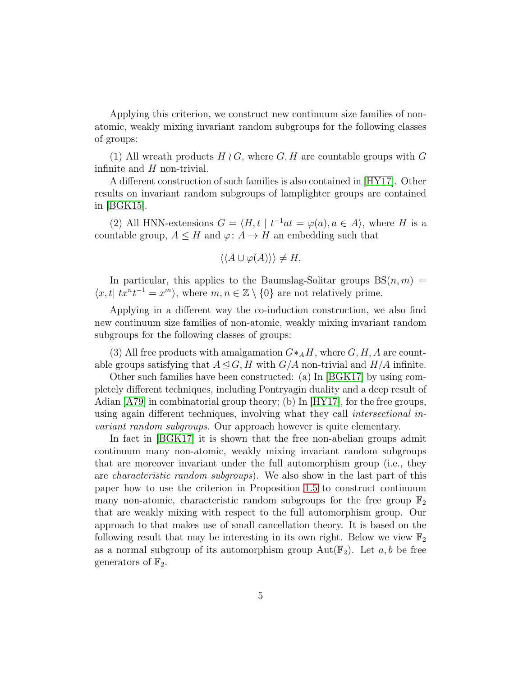Applying this criterion, we construct new continuum size families of nonatomic, weakly mixing invariant random subgroups for the following classes of groups:

(1) All wreath products  $H \wr G$ , where  $G, H$  are countable groups with G infinite and  $H$  non-trivial.

A different construction of such families is also contained in [\[HY17\]](#page-46-9). Other results on invariant random subgroups of lamplighter groups are contained in [\[BGK15\]](#page-45-12).

(2) All HNN-extensions  $G = \langle H, t | t^{-1}at = \varphi(a), a \in A \rangle$ , where H is a countable group,  $A \leq H$  and  $\varphi: A \to H$  an embedding such that

$$
\langle \langle A \cup \varphi(A) \rangle \rangle \neq H,
$$

In particular, this applies to the Baumslag-Solitar groups  $BS(n, m)$  =  $\langle x, t | tx^n t^{-1} = x^m \rangle$ , where  $m, n \in \mathbb{Z} \setminus \{0\}$  are not relatively prime.

Applying in a different way the co-induction construction, we also find new continuum size families of non-atomic, weakly mixing invariant random subgroups for the following classes of groups:

(3) All free products with amalgamation  $G*_{A}H$ , where  $G, H, A$  are countable groups satisfying that  $A \trianglelefteq G, H$  with  $G/A$  non-trivial and  $H/A$  infinite.

Other such families have been constructed: (a) In [\[BGK17\]](#page-45-2) by using completely different techniques, including Pontryagin duality and a deep result of Adian  $|A79|$  in combinatorial group theory; (b) In  $|HY17|$ , for the free groups, using again different techniques, involving what they call *intersectional invariant random subgroups*. Our approach however is quite elementary.

<span id="page-4-0"></span>In fact in [\[BGK17\]](#page-45-2) it is shown that the free non-abelian groups admit continuum many non-atomic, weakly mixing invariant random subgroups that are moreover invariant under the full automorphism group (i.e., they are *characteristic random subgroups*). We also show in the last part of this paper how to use the criterion in Proposition [1.5](#page-3-0) to construct continuum many non-atomic, characteristic random subgroups for the free group  $\mathbb{F}_2$ that are weakly mixing with respect to the full automorphism group. Our approach to that makes use of small cancellation theory. It is based on the following result that may be interesting in its own right. Below we view  $\mathbb{F}_2$ as a normal subgroup of its automorphism group  $Aut(\mathbb{F}_2)$ . Let  $a, b$  be free generators of  $\mathbb{F}_2$ .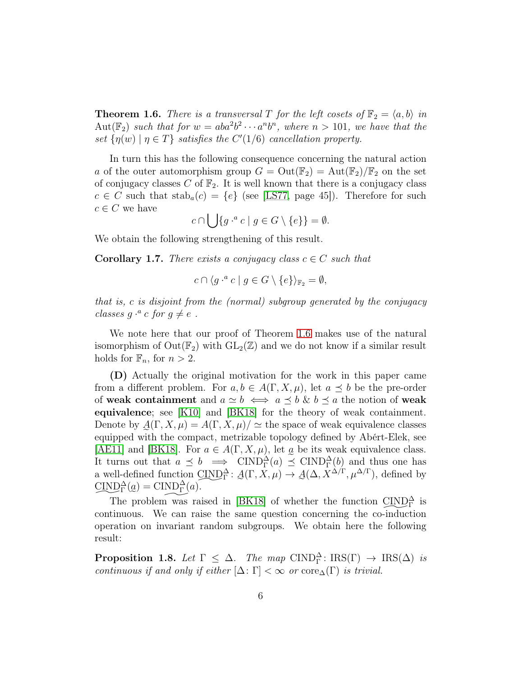**Theorem 1.6.** *There is a transversal T for the left cosets of*  $\mathbb{F}_2 = \langle a, b \rangle$  *in*  $\text{Aut}(\mathbb{F}_2)$  such that for  $w = aba^2b^2 \cdots a^n b^n$ , where  $n > 101$ , we have that the *set*  $\{\eta(w) \mid \eta \in T\}$  *satisfies the*  $C'(1/6)$  *cancellation property.* 

In turn this has the following consequence concerning the natural action a of the outer automorphism group  $G = Out(\mathbb{F}_2) = Aut(\mathbb{F}_2)/\mathbb{F}_2$  on the set of conjugacy classes C of  $\mathbb{F}_2$ . It is well known that there is a conjugacy class  $c \in C$  such that  $\text{stab}_{a}(c) = \{e\}$  (see [\[LS77,](#page-46-14) page 45]). Therefore for such  $c \in C$  we have  $\mathbf{r}$ 

$$
c \cap \bigcup \{ g \cdot^a c \mid g \in G \setminus \{e\} \} = \emptyset.
$$

We obtain the following strengthening of this result.

**Corollary 1.7.** *There exists a conjugacy class*  $c \in C$  *such that* 

$$
c \cap \langle g \cdot^a c \mid g \in G \setminus \{e\} \rangle_{\mathbb{F}_2} = \emptyset,
$$

*that is,* c *is disjoint from the (normal) subgroup generated by the conjugacy classes*  $g \cdot^a c$  *for*  $g \neq e$ .

We note here that our proof of Theorem [1.6](#page-4-0) makes use of the natural isomorphism of  $Out(\mathbb{F}_2)$  with  $GL_2(\mathbb{Z})$  and we do not know if a similar result holds for  $\mathbb{F}_n$ , for  $n > 2$ .

(D) Actually the original motivation for the work in this paper came from a different problem. For  $a, b \in A(\Gamma, X, \mu)$ , let  $a \preceq b$  be the pre-order of weak containment and  $a \simeq b \iff a \preceq b \& b \preceq a$  the notion of weak equivalence; see [\[K10\]](#page-46-12) and [\[BK18\]](#page-45-0) for the theory of weak containment. Denote by  $\mathcal{A}(\Gamma, X, \mu) = \mathcal{A}(\Gamma, X, \mu)/\simeq$  the space of weak equivalence classes e equipped with the compact, metrizable topology defined by Abért-Elek, see [\[AE11\]](#page-45-14) and [\[BK18\]](#page-45-0). For  $a \in A(\Gamma, X, \mu)$ , let  $\alpha$  be its weak equivalence class. It turns out that  $a \preceq b \implies \text{CIND}_{\Gamma}^{\Delta}(a) \preceq \text{CIND}_{\Gamma}^{\Delta}(b)$  and thus one has a well-defined function CIND  $\frac{1}{1}$  $\Delta_{\Gamma}^{\Delta}$ :  $\underline{A}(\Gamma, X, \mu) \rightarrow \underline{A}(\Delta, X^{\Delta/\Gamma}, \mu^{\Delta/\Gamma})$ , defined by  $\text{CIND}_{\Gamma}^{\Delta}(a) = \text{CIND}_{\Gamma}^{\Delta}(a).$ 

The problem was raised in [\[BK18\]](#page-45-0) of whether the function  $\text{CIND}_{\Gamma}^{\Delta}$  is continuous. We can raise the same question concerning the co-induction operation on invariant random subgroups. We obtain here the following result:

**Proposition 1.8.** *Let*  $\Gamma \leq \Delta$ . *The map*  $\text{CIND}_{\Gamma}^{\Delta} : \text{IRS}(\Gamma) \rightarrow \text{IRS}(\Delta)$  *is continuous if and only if either*  $[\Delta: \Gamma] < \infty$  *or* core $\Delta(\Gamma)$  *is trivial.*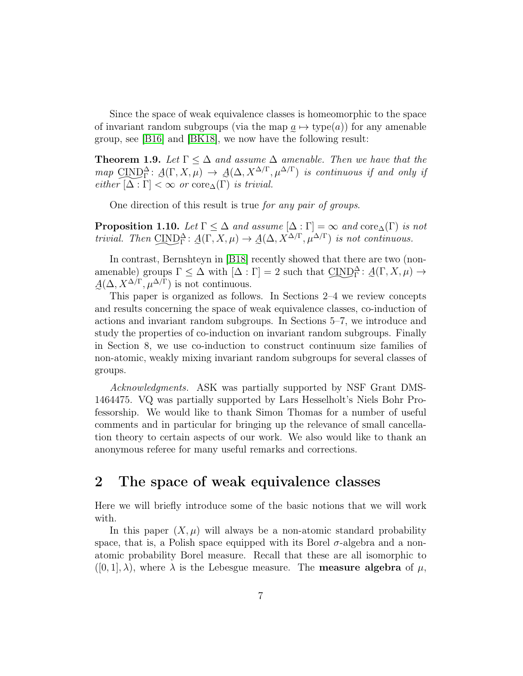Since the space of weak equivalence classes is homeomorphic to the space of invariant random subgroups (via the map  $\underline{a} \mapsto$  type(a)) for any amenable e group, see [\[B16\]](#page-45-15) and [\[BK18\]](#page-45-0), we now have the following result:

**Theorem 1.9.** Let  $\Gamma \leq \Delta$  and assume  $\Delta$  amenable. Then we have that the  $map \text{ CIND}_{\Gamma}^{\Delta} \colon \mathcal{A}(\Gamma, X, \mu) \to \mathcal{A}(\Delta, X^{\Delta/\Gamma}, \mu^{\Delta/\Gamma})$  *is continuous if and only if*  $\text{either } [\Delta : \Gamma] < \infty \text{ or } \text{core}_{\Delta}(\Gamma) \text{ is trivial.}$ 

One direction of this result is true *for any pair of groups*.

**Proposition 1.10.** *Let*  $\Gamma \leq \Delta$  *and assume*  $[\Delta : \Gamma] = \infty$  *and* core $_{\Delta}(\Gamma)$  *is not trivial. Then* CIND  $\overline{\phantom{a}}$  $\Delta_{\Gamma}^{\Delta} \colon \mathcal{A}(\Gamma, X, \mu) \to \mathcal{A}(\Delta, X^{\Delta/\Gamma}, \mu^{\Delta/\Gamma})$  *is not continuous.* 

In contrast, Bernshteyn in [\[B18\]](#page-45-1) recently showed that there are two (nonamenable) groups  $\Gamma \leq \Delta$  with  $[\Delta : \Gamma] = 2$  such that  $\text{CIND}_{\Gamma}^{\Delta} : A(\Gamma, X, \mu) \rightarrow$  $\sim$  $A(\Delta, X^{\Delta/\Gamma}, \mu^{\Delta/\Gamma})$  is not continuous.

This paper is organized as follows. In Sections 2–4 we review concepts and results concerning the space of weak equivalence classes, co-induction of actions and invariant random subgroups. In Sections 5–7, we introduce and study the properties of co-induction on invariant random subgroups. Finally in Section 8, we use co-induction to construct continuum size families of non-atomic, weakly mixing invariant random subgroups for several classes of groups.

*Acknowledgments.* ASK was partially supported by NSF Grant DMS-1464475. VQ was partially supported by Lars Hesselholt's Niels Bohr Professorship. We would like to thank Simon Thomas for a number of useful comments and in particular for bringing up the relevance of small cancellation theory to certain aspects of our work. We also would like to thank an anonymous referee for many useful remarks and corrections.

## 2 The space of weak equivalence classes

Here we will briefly introduce some of the basic notions that we will work with.

In this paper  $(X, \mu)$  will always be a non-atomic standard probability space, that is, a Polish space equipped with its Borel  $\sigma$ -algebra and a nonatomic probability Borel measure. Recall that these are all isomorphic to  $([0, 1], \lambda)$ , where  $\lambda$  is the Lebesgue measure. The **measure algebra** of  $\mu$ ,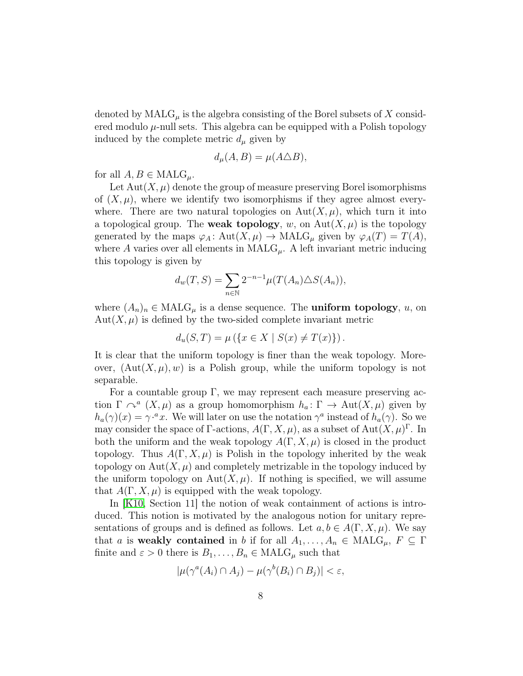denoted by  $\text{MALG}_{\mu}$  is the algebra consisting of the Borel subsets of X considered modulo  $\mu$ -null sets. This algebra can be equipped with a Polish topology induced by the complete metric  $d_{\mu}$  given by

$$
d_{\mu}(A, B) = \mu(A \triangle B),
$$

for all  $A, B \in \text{MALG}_{\mu}$ .

Let  $Aut(X, \mu)$  denote the group of measure preserving Borel isomorphisms of  $(X, \mu)$ , where we identify two isomorphisms if they agree almost everywhere. There are two natural topologies on  $\text{Aut}(X,\mu)$ , which turn it into a topological group. The **weak topology**, w, on  $\text{Aut}(X, \mu)$  is the topology generated by the maps  $\varphi_A : \text{Aut}(X, \mu) \to \text{MALG}_{\mu}$  given by  $\varphi_A(T) = T(A)$ , where A varies over all elements in  $\text{MALG}_{\mu}$ . A left invariant metric inducing this topology is given by

$$
d_w(T, S) = \sum_{n \in \mathbb{N}} 2^{-n-1} \mu(T(A_n) \triangle S(A_n)),
$$

where  $(A_n)_n \in \text{MALG}_{\mu}$  is a dense sequence. The **uniform topology**, u, on  $Aut(X, \mu)$  is defined by the two-sided complete invariant metric

$$
d_u(S, T) = \mu \left( \{ x \in X \mid S(x) \neq T(x) \} \right).
$$

It is clear that the uniform topology is finer than the weak topology. Moreover,  $(\text{Aut}(X,\mu),w)$  is a Polish group, while the uniform topology is not separable.

For a countable group  $\Gamma$ , we may represent each measure preserving action  $\Gamma \curvearrowright^a (X, \mu)$  as a group homomorphism  $h_a: \Gamma \to \text{Aut}(X, \mu)$  given by  $h_a(\gamma)(x) = \gamma^{a}x$ . We will later on use the notation  $\gamma^a$  instead of  $h_a(\gamma)$ . So we may consider the space of  $\Gamma$ -actions,  $A(\Gamma, X, \mu)$ , as a subset of  $Aut(X, \mu)^{\Gamma}$ . In both the uniform and the weak topology  $A(\Gamma, X, \mu)$  is closed in the product topology. Thus  $A(\Gamma, X, \mu)$  is Polish in the topology inherited by the weak topology on  $\text{Aut}(X, \mu)$  and completely metrizable in the topology induced by the uniform topology on  $Aut(X, \mu)$ . If nothing is specified, we will assume that  $A(\Gamma, X, \mu)$  is equipped with the weak topology.

In [\[K10,](#page-46-12) Section 11] the notion of weak containment of actions is introduced. This notion is motivated by the analogous notion for unitary representations of groups and is defined as follows. Let  $a, b \in A(\Gamma, X, \mu)$ . We say that a is weakly contained in b if for all  $A_1, \ldots, A_n \in \text{MALG}_{\mu}, F \subseteq \Gamma$ finite and  $\varepsilon > 0$  there is  $B_1, \ldots, B_n \in \text{MALG}_{\mu}$  such that

$$
|\mu(\gamma^a(A_i) \cap A_j) - \mu(\gamma^b(B_i) \cap B_j)| < \varepsilon,
$$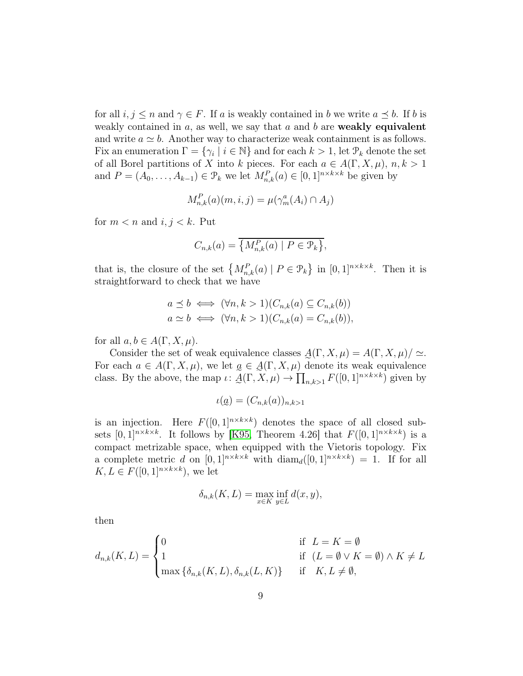for all  $i, j \leq n$  and  $\gamma \in F$ . If a is weakly contained in b we write  $a \preceq b$ . If b is weakly contained in  $a$ , as well, we say that  $a$  and  $b$  are **weakly equivalent** and write  $a \simeq b$ . Another way to characterize weak containment is as follows. Fix an enumeration  $\Gamma = \{\gamma_i \mid i \in \mathbb{N}\}\$  and for each  $k > 1$ , let  $\mathcal{P}_k$  denote the set of all Borel partitions of X into k pieces. For each  $a \in A(\Gamma, X, \mu)$ ,  $n, k > 1$ and  $P = (A_0, \ldots, A_{k-1}) \in \mathcal{P}_k$  we let  $M_{n,k}^P(a) \in [0,1]^{n \times k \times k}$  be given by

$$
M_{n,k}^P(a)(m,i,j) = \mu(\gamma_m^a(A_i) \cap A_j)
$$

for  $m < n$  and  $i, j < k$ . Put

$$
C_{n,k}(a) = \overline{\{M_{n,k}^P(a) \mid P \in \mathcal{P}_k\}},
$$

that is, the closure of the set  $\{M_{n,k}^P(a) \mid P \in \mathcal{P}_k\}$  in  $[0,1]^{n \times k \times k}$ . Then it is straightforward to check that we have

$$
a \preceq b \iff (\forall n, k > 1)(C_{n,k}(a) \subseteq C_{n,k}(b))
$$
  

$$
a \simeq b \iff (\forall n, k > 1)(C_{n,k}(a) = C_{n,k}(b)),
$$

for all  $a, b \in A(\Gamma, X, \mu)$ .

Consider the set of weak equivalence classes  $\mathcal{A}(\Gamma, X, \mu) = A(\Gamma, X, \mu)/\simeq$ . For each  $a \in A(\Gamma, X, \mu)$ , we let  $a \in A(\Gamma, X, \mu)$  denote its weak equivalence class. By the above, the map  $\iota: \underline{A}(\Gamma, X, \mu) \to \prod_{n,k>1} F([0,1]^{n \times k \times k})$  given by

$$
\iota(\underline{a}) = (C_{n,k}(a))_{n,k>1}
$$

er<br>Externé is an injection. Here  $F([0,1]^{n\times k\times k})$  denotes the space of all closed subsets  $[0,1]^{n \times k \times k}$ . It follows by [\[K95,](#page-46-15) Theorem 4.26] that  $F([0,1]^{n \times k \times k})$  is a compact metrizable space, when equipped with the Vietoris topology. Fix a complete metric d on  $[0,1]^{n \times k \times k}$  with  $\text{diam}_d([0,1]^{n \times k \times k}) = 1$ . If for all  $K, L \in F([0,1]^{n \times k \times k})$ , we let

$$
\delta_{n,k}(K,L) = \max_{x \in K} \inf_{y \in L} d(x,y),
$$

then

$$
d_{n,k}(K,L) = \begin{cases} 0 & \text{if } L = K = \emptyset \\ 1 & \text{if } (L = \emptyset \vee K = \emptyset) \wedge K \neq L \\ \max \{ \delta_{n,k}(K,L), \delta_{n,k}(L,K) \} & \text{if } K, L \neq \emptyset, \end{cases}
$$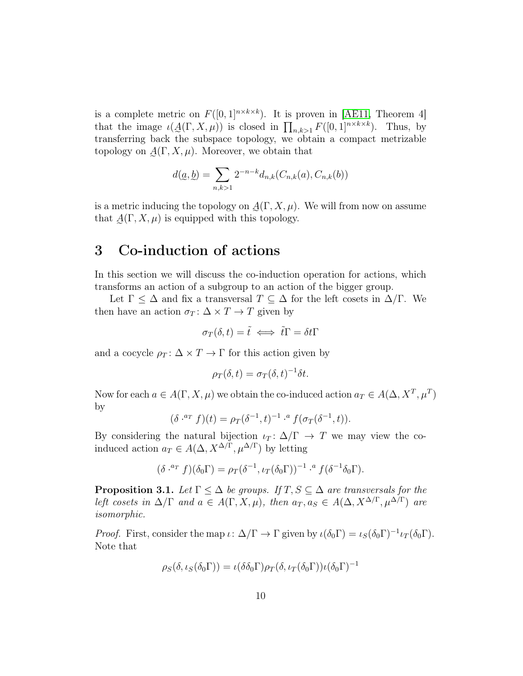is a complete metric on  $F([0,1]^{n \times k \times k})$ . It is proven in [\[AE11,](#page-45-14) Theorem 4] that the image  $\iota(\mathcal{A}(\Gamma, X, \mu))$  is closed in  $\prod_{n,k>1} F([0,1]^{n\times k\times k})$ . Thus, by e transferring back the subspace topology, we obtain a compact metrizable topology on  $\mathcal{A}(\Gamma, X, \mu)$ . Moreover, we obtain that

$$
d(\underline{a}, \underline{b}) = \sum_{n,k>1} 2^{-n-k} d_{n,k}(C_{n,k}(a), C_{n,k}(b))
$$

is a metric inducing the topology on  $\mathcal{A}(\Gamma, X, \mu)$ . We will from now on assume that  $\mathcal{A}(\Gamma, X, \mu)$  is equipped with this topology.

## 3 Co-induction of actions

In this section we will discuss the co-induction operation for actions, which transforms an action of a subgroup to an action of the bigger group.

Let  $\Gamma \leq \Delta$  and fix a transversal  $T \subseteq \Delta$  for the left cosets in  $\Delta/\Gamma$ . We then have an action  $\sigma_T : \Delta \times T \to T$  given by

$$
\sigma_T(\delta, t) = \tilde{t} \iff \tilde{t}\Gamma = \delta t\Gamma
$$

and a cocycle  $\rho_T : \Delta \times T \to \Gamma$  for this action given by

$$
\rho_T(\delta, t) = \sigma_T(\delta, t)^{-1} \delta t.
$$

Now for each  $a \in A(\Gamma, X, \mu)$  we obtain the co-induced action  $a_T \in A(\Delta, X^T, \mu^T)$ by

$$
(\delta^{a_T} f)(t) = \rho_T(\delta^{-1}, t)^{-1} \cdot ^a f(\sigma_T(\delta^{-1}, t)).
$$

By considering the natural bijection  $\iota_T : \Delta/\Gamma \to T$  we may view the coinduced action  $a_T \in A(\Delta, X^{\Delta/\Gamma}, \mu^{\Delta/\Gamma})$  by letting

$$
(\delta^{a_T} f)(\delta_0 \Gamma) = \rho_T (\delta^{-1}, \iota_T (\delta_0 \Gamma))^{-1} \cdot^a f(\delta^{-1} \delta_0 \Gamma).
$$

<span id="page-9-0"></span>**Proposition 3.1.** *Let*  $\Gamma \leq \Delta$  *be groups. If*  $T, S \subseteq \Delta$  *are transversals for the left cosets in*  $\Delta/\Gamma$  *and*  $a \in A(\Gamma, X, \mu)$ *, then*  $a_T, a_S \in A(\Delta, X^{\Delta/\Gamma}, \mu^{\Delta/\Gamma})$  *are isomorphic.*

*Proof.* First, consider the map  $\iota: \Delta/\Gamma \to \Gamma$  given by  $\iota(\delta_0 \Gamma) = \iota_S(\delta_0 \Gamma)^{-1} \iota_T(\delta_0 \Gamma)$ . Note that

$$
\rho_S(\delta, \iota_S(\delta_0 \Gamma)) = \iota(\delta \delta_0 \Gamma) \rho_T(\delta, \iota_T(\delta_0 \Gamma)) \iota(\delta_0 \Gamma)^{-1}
$$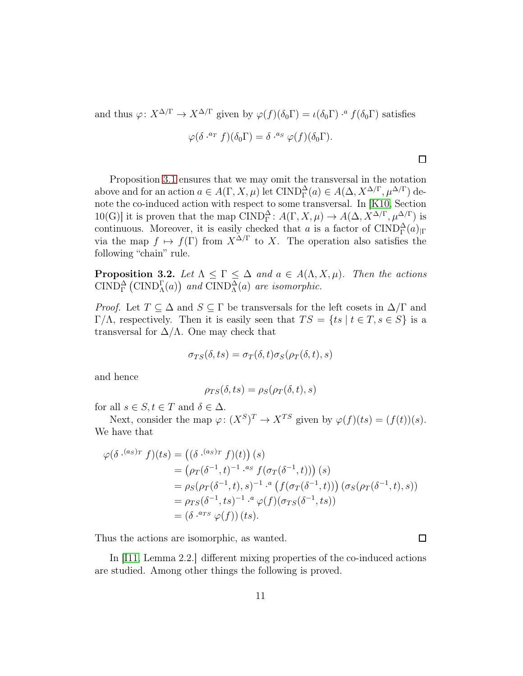and thus  $\varphi: X^{\Delta/\Gamma} \to X^{\Delta/\Gamma}$  given by  $\varphi(f)(\delta_0 \Gamma) = \iota(\delta_0 \Gamma) \cdot^a f(\delta_0 \Gamma)$  satisfies

$$
\varphi(\delta^{a_T} f)(\delta_0 \Gamma) = \delta^{a_S} \varphi(f)(\delta_0 \Gamma).
$$

 $\Box$ 

 $\Box$ 

Proposition [3.1](#page-9-0) ensures that we may omit the transversal in the notation above and for an action  $a \in A(\Gamma, X, \mu)$  let  $\text{CIND}_{\Gamma}^{\Delta}(a) \in A(\Delta, X^{\Delta/\Gamma}, \mu^{\Delta/\Gamma})$  denote the co-induced action with respect to some transversal. In [\[K10,](#page-46-12) Section 10(G)] it is proven that the map CIND<sub> $\Gamma$ </sub>:  $A(\Gamma, X, \mu) \to A(\Delta, X^{\Delta/\Gamma}, \mu^{\Delta/\Gamma})$  is continuous. Moreover, it is easily checked that a is a factor of  $\text{CIND}_{\Gamma}^{\Delta}(a)_{|\Gamma}$ via the map  $f \mapsto f(\Gamma)$  from  $X^{\Delta/\Gamma}$  to X. The operation also satisfies the following "chain" rule.

**Proposition 3.2.** Let  $\Lambda \leq \Gamma \leq \Delta$  and  $a \in A(\Lambda, X, \mu)$ . Then the actions  $\overline{\text{CIND}}_{\Gamma}^{\Delta}(\text{CIND}_{\Lambda}^{\Gamma}(a))$  and  $\overline{\text{CIND}}_{\Lambda}^{\Delta}(a)$  are isomorphic.

*Proof.* Let  $T \subseteq \Delta$  and  $S \subseteq \Gamma$  be transversals for the left cosets in  $\Delta/\Gamma$  and Γ/Λ, respectively. Then it is easily seen that  $TS = \{ts \mid t \in T, s \in S\}$  is a transversal for  $\Delta/\Lambda$ . One may check that

$$
\sigma_{TS}(\delta, ts) = \sigma_T(\delta, t)\sigma_S(\rho_T(\delta, t), s)
$$

and hence

$$
\rho_{TS}(\delta, ts) = \rho_S(\rho_T(\delta, t), s)
$$

for all  $s \in S, t \in T$  and  $\delta \in \Delta$ .

Next, consider the map  $\varphi: (X^S)^T \to X^{TS}$  given by  $\varphi(f)(ts) = (f(t))(s)$ . We have that

$$
\varphi(\delta^{.(a_S)\tau} f)(ts) = ((\delta^{.(a_S)\tau} f)(t)) (s)
$$
  
\n
$$
= (\rho_T(\delta^{-1}, t)^{-1} \cdot {^{a_S}} f(\sigma_T(\delta^{-1}, t))) (s)
$$
  
\n
$$
= \rho_S(\rho_T(\delta^{-1}, t), s)^{-1} \cdot {^{a}} (f(\sigma_T(\delta^{-1}, t))) (\sigma_S(\rho_T(\delta^{-1}, t), s))
$$
  
\n
$$
= \rho_{TS}(\delta^{-1}, ts)^{-1} \cdot {^{a}} \varphi(f)(\sigma_{TS}(\delta^{-1}, ts))
$$
  
\n
$$
= (\delta^{.a_{TS}} \varphi(f)) (ts).
$$

Thus the actions are isomorphic, as wanted.

<span id="page-10-0"></span>In [\[I11,](#page-46-13) Lemma 2.2.] different mixing properties of the co-induced actions are studied. Among other things the following is proved.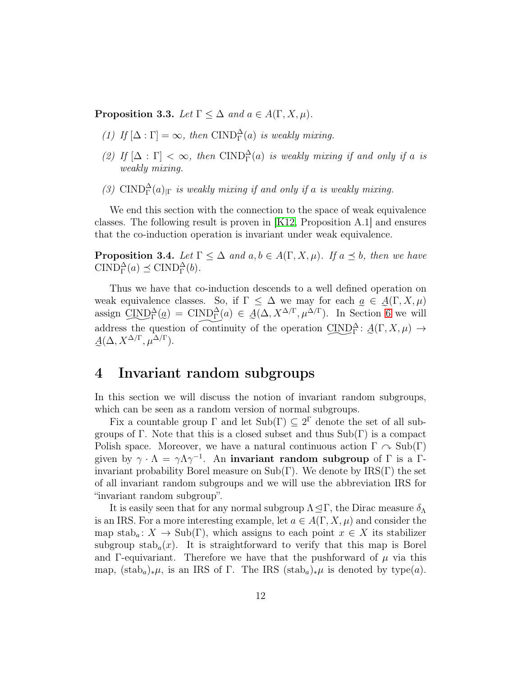**Proposition 3.3.** *Let*  $\Gamma \leq \Delta$  *and*  $a \in A(\Gamma, X, \mu)$ *.* 

- (1) If  $[\Delta : \Gamma] = \infty$ , then CIND<sub> $\Gamma$ </sub><sup> $\Delta$ </sup> *(a) is weakly mixing.*
- (2) If  $[\Delta : \Gamma] < \infty$ , then CIND<sub> $\Gamma$ </sub><sup> $\Delta$ </sup>(a) is weakly mixing if and only if a is *weakly mixing.*
- (3)  $\text{CIND}_{\Gamma}^{\Delta}(a)_{|\Gamma}$  *is weakly mixing if and only if a is weakly mixing.*

We end this section with the connection to the space of weak equivalence classes. The following result is proven in [\[K12,](#page-46-16) Proposition A.1] and ensures that the co-induction operation is invariant under weak equivalence.

**Proposition 3.4.** *Let*  $\Gamma \leq \Delta$  *and*  $a, b \in A(\Gamma, X, \mu)$ *. If*  $a \preceq b$ *, then we have* CIND<sub> $\Gamma$ </sub><sup> $\Delta$ </sup>(*a*)  $\preceq$  CIND<sub> $\Gamma$ </sub><sup> $\Delta$ </sup>(*b*).

Thus we have that co-induction descends to a well defined operation on weak equivalence classes. So, if  $\Gamma \leq \Delta$  we may for each  $\alpha \in \mathcal{A}(\Gamma, X, \mu)$ assign  $\text{CIND}_{\Gamma}^{\Delta}(a) = \text{CIND}_{\Gamma}^{\Delta}(a) \in \mathcal{A}(\Delta, X^{\Delta/\Gamma}, \mu^{\Delta/\Gamma})$ . In Section [6](#page-17-0) we will address the question of continuity of the operation  $\text{CIND}_{\Gamma}^{\Delta}$ :  $\mathcal{A}(\Gamma, X, \mu) \rightarrow$  $\sim$  $A(\Delta, X^{\Delta/\Gamma}, \mu^{\Delta/\Gamma}).$ 

## 4 Invariant random subgroups

In this section we will discuss the notion of invariant random subgroups, which can be seen as a random version of normal subgroups.

Fix a countable group  $\Gamma$  and let  $\text{Sub}(\Gamma) \subseteq 2^{\Gamma}$  denote the set of all subgroups of Γ. Note that this is a closed subset and thus  $Sub(\Gamma)$  is a compact Polish space. Moreover, we have a natural continuous action  $\Gamma \curvearrowright Sub(\Gamma)$ given by  $\gamma \cdot \Lambda = \gamma \Lambda \gamma^{-1}$ . An invariant random subgroup of  $\Gamma$  is a  $\Gamma$ invariant probability Borel measure on  $\text{Sub}(\Gamma)$ . We denote by  $\text{IRS}(\Gamma)$  the set of all invariant random subgroups and we will use the abbreviation IRS for "invariant random subgroup".

It is easily seen that for any normal subgroup  $\Lambda \leq \Gamma$ , the Dirac measure  $\delta_{\Lambda}$ is an IRS. For a more interesting example, let  $a \in A(\Gamma, X, \mu)$  and consider the map stab<sub>a</sub>:  $X \to \text{Sub}(\Gamma)$ , which assigns to each point  $x \in X$  its stabilizer subgroup stab<sub>a</sub> $(x)$ . It is straightforward to verify that this map is Borel and Γ-equivariant. Therefore we have that the pushforward of  $\mu$  via this map,  $(\text{stab}_a)_*\mu$ , is an IRS of Γ. The IRS  $(\text{stab}_a)_*\mu$  is denoted by type $(a)$ .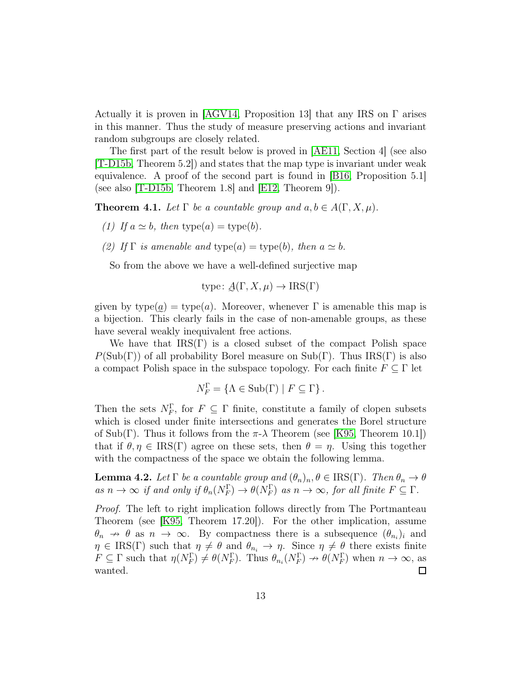Actually it is proven in [\[AGV14,](#page-45-11) Proposition 13] that any IRS on  $\Gamma$  arises in this manner. Thus the study of measure preserving actions and invariant random subgroups are closely related.

The first part of the result below is proved in [\[AE11,](#page-45-14) Section 4] (see also [\[T-D15b,](#page-47-4) Theorem 5.2]) and states that the map type is invariant under weak equivalence. A proof of the second part is found in [\[B16,](#page-45-15) Proposition 5.1] (see also [\[T-D15b,](#page-47-4) Theorem 1.8] and [\[E12,](#page-46-17) Theorem 9]).

**Theorem 4.1.** Let  $\Gamma$  be a countable group and  $a, b \in A(\Gamma, X, \mu)$ .

- *(1) If*  $a \simeq b$ *, then* type $(a) =$  type $(b)$ *.*
- *(2)* If  $\Gamma$  *is amenable and* type(a) = type(b), then  $a \simeq b$ .

So from the above we have a well-defined surjective map

type: 
$$
\underline{A}(\Gamma, X, \mu) \to \text{IRS}(\Gamma)
$$

given by  $type(a) = type(a)$ . Moreover, whenever  $\Gamma$  is amenable this map is e a bijection. This clearly fails in the case of non-amenable groups, as these have several weakly inequivalent free actions.

We have that  $IRS(\Gamma)$  is a closed subset of the compact Polish space  $P(\text{Sub}(\Gamma))$  of all probability Borel measure on  $\text{Sub}(\Gamma)$ . Thus IRS(Γ) is also a compact Polish space in the subspace topology. For each finite  $F \subseteq \Gamma$  let

$$
N_F^{\Gamma} = \{ \Lambda \in \text{Sub}(\Gamma) \mid F \subseteq \Gamma \}.
$$

Then the sets  $N_F^{\Gamma}$ , for  $F \subseteq \Gamma$  finite, constitute a family of clopen subsets which is closed under finite intersections and generates the Borel structure of Sub(Γ). Thus it follows from the  $\pi$ - $\lambda$  Theorem (see [\[K95,](#page-46-15) Theorem 10.1]) that if  $\theta, \eta \in \text{IRS}(\Gamma)$  agree on these sets, then  $\theta = \eta$ . Using this together with the compactness of the space we obtain the following lemma.

<span id="page-12-0"></span>**Lemma 4.2.** Let  $\Gamma$  be a countable group and  $(\theta_n)_n, \theta \in \text{IRS}(\Gamma)$ . Then  $\theta_n \to \theta$  $as\ n \to \infty\ if\ and\ only\ if\ \theta_n(N_F^{\Gamma}) \to \theta(N_F^{\Gamma})\ as\ n \to \infty\ \ for\ all\ finite\ F \subseteq \Gamma.$ 

*Proof.* The left to right implication follows directly from The Portmanteau Theorem (see [\[K95,](#page-46-15) Theorem 17.20]). For the other implication, assume  $\theta_n \to \theta$  as  $n \to \infty$ . By compactness there is a subsequence  $(\theta_{n_i})_i$  and  $\eta \in \text{IRS}(\Gamma)$  such that  $\eta \neq \theta$  and  $\theta_{n_i} \to \eta$ . Since  $\eta \neq \theta$  there exists finite  $F \subseteq \Gamma$  such that  $\eta(N_F^{\Gamma}) \neq \theta(N_F^{\Gamma})$ . Thus  $\theta_{n_i}(N_F^{\Gamma}) \to \theta(N_F^{\Gamma})$  when  $n \to \infty$ , as wanted.  $\Box$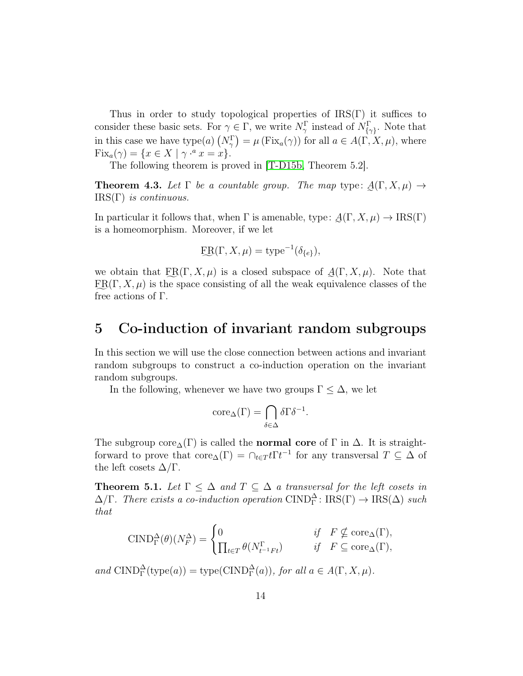Thus in order to study topological properties of  $\text{IRS}(\Gamma)$  it suffices to consider these basic sets. For  $\gamma \in \Gamma$ , we write  $N_{\gamma}^{\Gamma}$  instead of  $N_{\{\gamma\}}^{\Gamma}$ . Note that in this case we have type(a)  $(N_{\gamma}^{\Gamma}) = \mu(\text{Fix}_{a}(\gamma))$  for all  $a \in A(\Gamma, X, \mu)$ , where  $Fix_a(\gamma) = \{x \in X \mid \gamma^{a} x = x\}.$ 

The following theorem is proved in [\[T-D15b,](#page-47-4) Theorem 5.2].

**Theorem 4.3.** Let  $\Gamma$  be a countable group. The map type:  $\underline{A}(\Gamma, X, \mu) \rightarrow$ IRS(Γ) *is continuous.*

In particular it follows that, when  $\Gamma$  is amenable, type:  $\underline{A}(\Gamma, X, \mu) \to \text{IRS}(\Gamma)$ is a homeomorphism. Moreover, if we let

$$
ER(\Gamma, X, \mu) = \text{type}^{-1}(\delta_{\{e\}}),
$$

we obtain that  $\text{ER}(\Gamma, X, \mu)$  is a closed subspace of  $\mathcal{A}(\Gamma, X, \mu)$ . Note that  $\text{ER}(\Gamma, X, \mu)$  is the space consisting of all the weak equivalence classes of the f free actions of Γ.

## 5 Co-induction of invariant random subgroups

In this section we will use the close connection between actions and invariant random subgroups to construct a co-induction operation on the invariant random subgroups.

In the following, whenever we have two groups  $\Gamma \leq \Delta$ , we let

$$
\operatorname{core}_{\Delta}(\Gamma) = \bigcap_{\delta \in \Delta} \delta \Gamma \delta^{-1}.
$$

The subgroup core<sub> $\Delta(\Gamma)$ </sub> is called the **normal core** of  $\Gamma$  in  $\Delta$ . It is straightforward to prove that  $\text{core}_{\Delta}(\Gamma) = \bigcap_{t \in T} t \Gamma t^{-1}$  for any transversal  $T \subseteq \Delta$  of the left cosets  $\Delta/\Gamma$ .

<span id="page-13-0"></span>**Theorem 5.1.** Let  $\Gamma \leq \Delta$  and  $T \subseteq \Delta$  a transversal for the left cosets in  $\Delta/\Gamma$ . There exists a co-induction operation CIND<sub> $\Gamma$ </sub>: IRS( $\Gamma$ )  $\rightarrow$  IRS( $\Delta$ ) such *that*

$$
\text{CIND}_{\Gamma}^{\Delta}(\theta)(N_{F}^{\Delta}) = \begin{cases} 0 & \text{if } F \nsubseteq \text{core}_{\Delta}(\Gamma), \\ \prod_{t \in T} \theta(N_{t^{-1}Ft}^{\Gamma}) & \text{if } F \subseteq \text{core}_{\Delta}(\Gamma), \end{cases}
$$

 $and \quad \text{CIND}_{\Gamma}^{\Delta}(\text{type}(a)) = \text{type}(\text{CIND}_{\Gamma}^{\Delta}(a)), \text{ for all } a \in A(\Gamma, X, \mu).$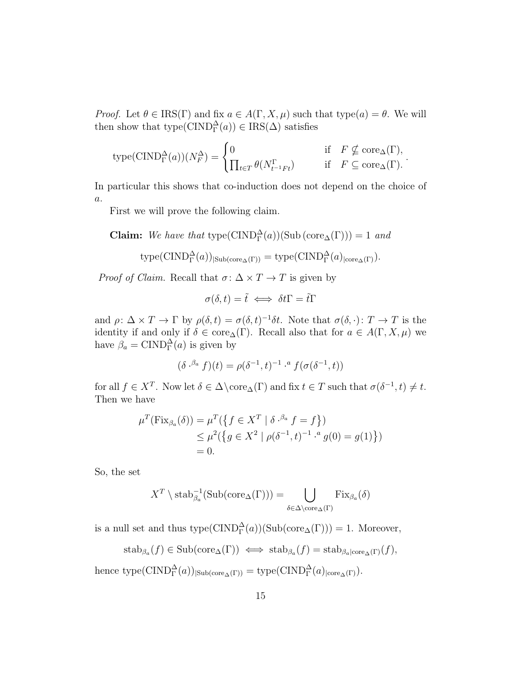*Proof.* Let  $\theta \in \text{IRS}(\Gamma)$  and fix  $a \in A(\Gamma, X, \mu)$  such that type $(a) = \theta$ . We will then show that  $type(CIND_{\Gamma}^{\Delta}(a)) \in IRS(\Delta)$  satisfies

$$
\text{type}(\text{CIND}_{\Gamma}^{\Delta}(a))(N_{F}^{\Delta}) = \begin{cases} 0 & \text{if} \quad F \nsubseteq \text{core}_{\Delta}(\Gamma), \\ \prod_{t \in T} \theta(N_{t^{-1}Ft}^{\Gamma}) & \text{if} \quad F \subseteq \text{core}_{\Delta}(\Gamma). \end{cases}
$$

In particular this shows that co-induction does not depend on the choice of a.

First we will prove the following claim.

**Claim:** We have that  $\text{type}(\text{CIND}_{\Gamma}^{\Delta}(a))(\text{Sub}(\text{core}_{\Delta}(\Gamma))) = 1$  and

$$
type(CIND_{\Gamma}^{\Delta}(a))_{|Sub(core_{\Delta}(\Gamma))} = type(CIND_{\Gamma}^{\Delta}(a)_{|core_{\Delta}(\Gamma)}).
$$

*Proof of Claim.* Recall that  $\sigma$ :  $\Delta \times T \rightarrow T$  is given by

$$
\sigma(\delta, t) = \tilde{t} \iff \delta t\Gamma = \tilde{t}\Gamma
$$

and  $\rho: \Delta \times T \to \Gamma$  by  $\rho(\delta, t) = \sigma(\delta, t)^{-1} \delta t$ . Note that  $\sigma(\delta, \cdot): T \to T$  is the identity if and only if  $\delta \in \text{core}_{\Delta}(\Gamma)$ . Recall also that for  $a \in A(\Gamma, X, \mu)$  we have  $\beta_a = \text{CIND}_{\Gamma}^{\Delta}(a)$  is given by

$$
(\delta \cdot^{\beta_a} f)(t) = \rho(\delta^{-1}, t)^{-1} \cdot^a f(\sigma(\delta^{-1}, t))
$$

for all  $f \in X^T$ . Now let  $\delta \in \Delta \setminus \mathrm{core}_{\Delta}(\Gamma)$  and fix  $t \in T$  such that  $\sigma(\delta^{-1}, t) \neq t$ . Then we have

$$
\mu^T(\text{Fix}_{\beta_a}(\delta)) = \mu^T(\{f \in X^T \mid \delta \cdot^{\beta_a} f = f\})
$$
  
\$\leq \mu^2(\{g \in X^2 \mid \rho(\delta^{-1}, t)^{-1} \cdot^a g(0) = g(1)\})\$  
= 0.

So, the set

$$
X^T \setminus \mathrm{stab}_{\beta_a}^{-1}(\mathrm{Sub}(\mathrm{core}_{\Delta}(\Gamma))) = \bigcup_{\delta \in \Delta \setminus \mathrm{core}_{\Delta}(\Gamma)} \mathrm{Fix}_{\beta_a}(\delta)
$$

is a null set and thus  $type(CIND_{\Gamma}^{\Delta}(a))(Sub(core_{\Delta}(\Gamma)))=1$ . Moreover,

$$
stab_{\beta_a}(f) \in Sub(core_{\Delta}(\Gamma)) \iff stab_{\beta_a}(f) = stab_{\beta_a|core_{\Delta}(\Gamma)}(f),
$$

hence  $\text{type}(\text{CIND}_{\Gamma}^{\Delta}(a))_{|\text{Sub}(\text{core}_{\Delta}(\Gamma))} = \text{type}(\text{CIND}_{\Gamma}^{\Delta}(a))_{|\text{core}_{\Delta}(\Gamma)}).$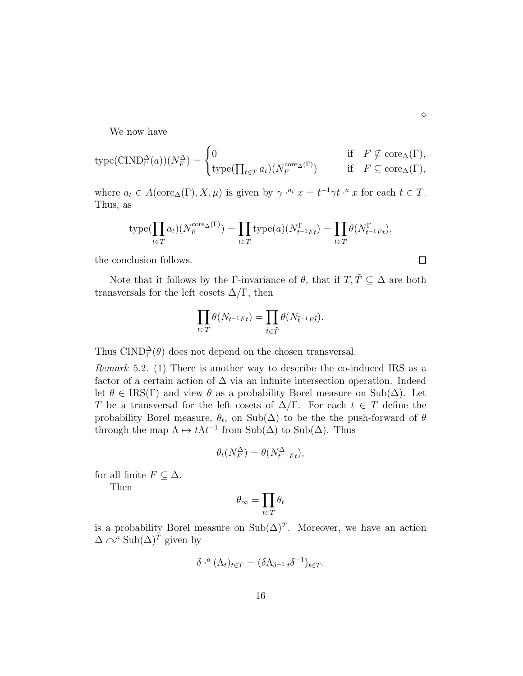We now have

$$
\text{type}(\text{CIND}_{\Gamma}^{\Delta}(a))(N_{F}^{\Delta}) = \begin{cases} 0 & \text{if } F \nsubseteq \text{core}_{\Delta}(\Gamma), \\ \text{type}(\prod_{t \in T} a_{t})(N_{F}^{\text{core}_{\Delta}(\Gamma)}) & \text{if } F \subseteq \text{core}_{\Delta}(\Gamma), \end{cases}
$$

where  $a_t \in A(\operatorname{core}_{\Delta}(\Gamma), X, \mu)$  is given by  $\gamma \cdot^{a_t} x = t^{-1} \gamma t \cdot^{a} x$  for each  $t \in T$ . Thus, as

$$
\text{type}(\prod_{t \in T} a_t)(N_F^{\text{core}_{\Delta}(\Gamma)}) = \prod_{t \in T} \text{type}(a)(N_{t^{-1}Ft}^{\Gamma}) = \prod_{t \in T} \theta(N_{t^{-1}Ft}^{\Gamma}),
$$

the conclusion follows.

Note that it follows by the Γ-invariance of  $\theta$ , that if  $T, \tilde{T} \subseteq \Delta$  are both transversals for the left cosets  $\Delta/\Gamma$ , then

$$
\prod_{t \in T} \theta(N_{t^{-1}Ft}) = \prod_{\tilde{t} \in \tilde{T}} \theta(N_{\tilde{t}^{-1}F\tilde{t}}).
$$

Thus  $\text{CIND}_{\Gamma}^{\Delta}(\theta)$  does not depend on the chosen transversal.

*Remark* 5.2*.* (1) There is another way to describe the co-induced IRS as a factor of a certain action of  $\Delta$  via an infinite intersection operation. Indeed let  $\theta \in \text{IRS}(\Gamma)$  and view  $\theta$  as a probability Borel measure on Sub( $\Delta$ ). Let T be a transversal for the left cosets of  $\Delta/\Gamma$ . For each  $t \in T$  define the probability Borel measure,  $\theta_t$ , on Sub( $\Delta$ ) to be the the push-forward of  $\theta$ through the map  $\Lambda \mapsto t\Lambda t^{-1}$  from  $\text{Sub}(\Delta)$  to  $\text{Sub}(\Delta)$ . Thus

$$
\theta_t(N_F^{\Delta}) = \theta(N_{t^{-1}Ft}^{\Delta}),
$$

for all finite  $F \subseteq \Delta$ .

Then

$$
\theta_\infty = \prod_{t\in T} \theta_t
$$

is a probability Borel measure on  $\text{Sub}(\Delta)^T$ . Moreover, we have an action  $\Delta \curvearrowright^a \text{Sub}(\Delta)^T$  given by

$$
\delta \cdot^a (\Lambda_t)_{t \in T} = (\delta \Lambda_{\delta^{-1} \cdot t} \delta^{-1})_{t \in T}.
$$

 $\Box$ 

 $\diamond$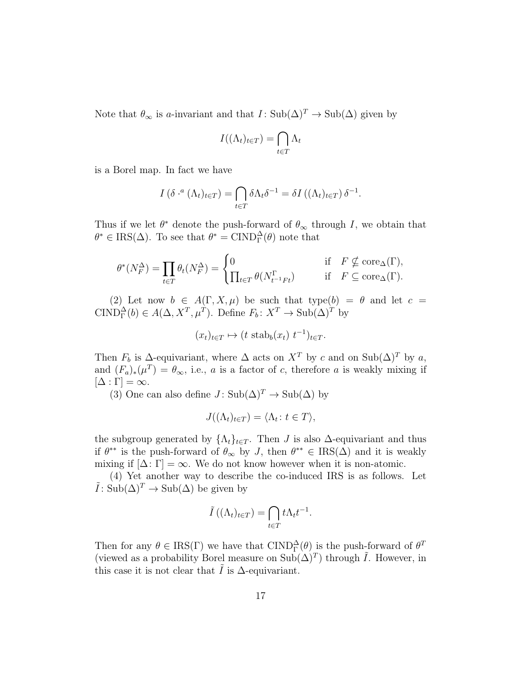Note that  $\theta_{\infty}$  is a-invariant and that  $I: Sub(\Delta)^{T} \to Sub(\Delta)$  given by

$$
I((\Lambda_t)_{t \in T}) = \bigcap_{t \in T} \Lambda_t
$$

is a Borel map. In fact we have

$$
I(\delta \cdot^a (\Lambda_t)_{t \in T}) = \bigcap_{t \in T} \delta \Lambda_t \delta^{-1} = \delta I((\Lambda_t)_{t \in T}) \delta^{-1}.
$$

Thus if we let  $\theta^*$  denote the push-forward of  $\theta_{\infty}$  through I, we obtain that  $\theta^* \in \text{IRS}(\Delta)$ . To see that  $\theta^* = \text{CIND}_{\Gamma}^{\Delta}(\theta)$  note that

$$
\theta^*(N_F^{\Delta}) = \prod_{t \in T} \theta_t(N_F^{\Delta}) = \begin{cases} 0 & \text{if } F \nsubseteq \text{core}_{\Delta}(\Gamma), \\ \prod_{t \in T} \theta(N_{t^{-1}Ft}^{\Gamma}) & \text{if } F \subseteq \text{core}_{\Delta}(\Gamma). \end{cases}
$$

(2) Let now  $b \in A(\Gamma, X, \mu)$  be such that type(b) =  $\theta$  and let  $c =$ CIND<sub> $\Gamma$ </sub><sup> $\Delta$ </sup>(*b*)  $\in A(\Delta, X^T, \mu^T)$ . Define  $F_b: X^T \to \text{Sub}(\Delta)^T$  by

$$
(x_t)_{t \in T} \mapsto (t \operatorname{stab}_b(x_t) \ t^{-1})_{t \in T}.
$$

Then  $F_b$  is  $\Delta$ -equivariant, where  $\Delta$  acts on  $X^T$  by c and on  $\text{Sub}(\Delta)^T$  by a, and  $(F_a)_*(\mu^T) = \theta_{\infty}$ , i.e., a is a factor of c, therefore a is weakly mixing if  $[\Delta : \Gamma] = \infty$ .

(3) One can also define  $J: Sub(\Delta)^T \to Sub(\Delta)$  by

$$
J((\Lambda_t)_{t \in T}) = \langle \Lambda_t : t \in T \rangle,
$$

the subgroup generated by  $\{\Lambda_t\}_{t\in T}$ . Then J is also  $\Delta$ -equivariant and thus if  $\theta^{**}$  is the push-forward of  $\theta_{\infty}$  by J, then  $\theta^{**} \in \text{IRS}(\Delta)$  and it is weakly mixing if  $[\Delta: \Gamma] = \infty$ . We do not know however when it is non-atomic.

(4) Yet another way to describe the co-induced IRS is as follows. Let  $\tilde{I}: \text{Sub}(\Delta)^T \to \text{Sub}(\Delta)$  be given by

$$
\tilde{I}\left((\Lambda_t)_{t\in T}\right) = \bigcap_{t\in T} t\Lambda_t t^{-1}.
$$

Then for any  $\theta \in \text{IRS}(\Gamma)$  we have that  $\text{CIND}_{\Gamma}^{\Delta}(\theta)$  is the push-forward of  $\theta^T$ (viewed as a probability Borel measure on  $\text{Sub}(\Delta)^T$ ) through  $\tilde{I}$ . However, in this case it is not clear that I is  $\Delta$ -equivariant.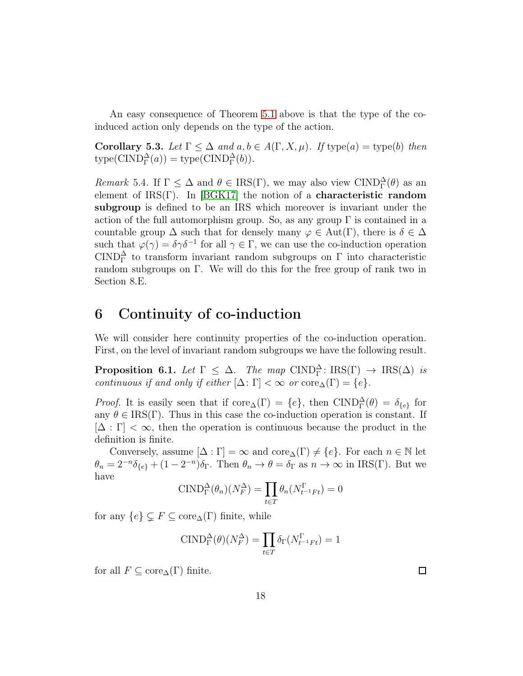An easy consequence of Theorem [5.1](#page-13-0) above is that the type of the coinduced action only depends on the type of the action.

Corollary 5.3. Let  $\Gamma \leq \Delta$  *and*  $a, b \in A(\Gamma, X, \mu)$ . If type(a) = type(b) then  $type(CIND_{\Gamma}^{\Delta}(a)) = type(CIND_{\Gamma}^{\Delta}(b)).$ 

*Remark* 5.4. If  $\Gamma \leq \Delta$  and  $\theta \in \text{IRS}(\Gamma)$ , we may also view  $\text{CIND}_{\Gamma}^{\Delta}(\theta)$  as an element of  $IRS(\Gamma)$ . In [\[BGK17\]](#page-45-2) the notion of a **characteristic random** subgroup is defined to be an IRS which moreover is invariant under the action of the full automorphism group. So, as any group  $\Gamma$  is contained in a countable group  $\Delta$  such that for densely many  $\varphi \in Aut(\Gamma)$ , there is  $\delta \in \Delta$ such that  $\varphi(\gamma) = \delta \gamma \delta^{-1}$  for all  $\gamma \in \Gamma$ , we can use the co-induction operation CIND<sup> $\triangle$ </sup> to transform invariant random subgroups on  $\Gamma$  into characteristic random subgroups on Γ. We will do this for the free group of rank two in Section 8.E.

## <span id="page-17-0"></span>6 Continuity of co-induction

<span id="page-17-1"></span>We will consider here continuity properties of the co-induction operation. First, on the level of invariant random subgroups we have the following result.

**Proposition 6.1.** *Let*  $\Gamma \leq \Delta$ . *The map*  $\text{CIND}_{\Gamma}^{\Delta} : \text{IRS}(\Gamma) \rightarrow \text{IRS}(\Delta)$  *is continuous if and only if either*  $[\Delta: \Gamma] < \infty$  *or*  $\operatorname{core}_{\Delta}(\Gamma) = \{e\}.$ 

*Proof.* It is easily seen that if  $\text{core}_{\Delta}(\Gamma) = \{e\}$ , then  $\text{CIND}_{\Gamma}^{\Delta}(\theta) = \delta_{\{e\}}$  for any  $\theta \in \text{IRS}(\Gamma)$ . Thus in this case the co-induction operation is constant. If  $[\Delta : \Gamma] < \infty$ , then the operation is continuous because the product in the definition is finite.

Conversely, assume  $[\Delta : \Gamma] = \infty$  and  $\operatorname{core}_{\Delta}(\Gamma) \neq \{e\}$ . For each  $n \in \mathbb{N}$  let  $\theta_n = 2^{-n}\delta_{\{e\}} + (1 - 2^{-n})\delta_{\Gamma}$ . Then  $\theta_n \to \theta = \delta_{\Gamma}$  as  $n \to \infty$  in IRS(Γ). But we have

$$
\text{CIND}_{\Gamma}^{\Delta}(\theta_n)(N_F^{\Delta}) = \prod_{t \in T} \theta_n(N_{t^{-1}Ft}^{\Gamma}) = 0
$$

for any  $\{e\} \subsetneq F \subseteq \text{core}_{\Delta}(\Gamma)$  finite, while

$$
\text{CIND}_{\Gamma}^{\Delta}(\theta)(N_F^{\Delta}) = \prod_{t \in T} \delta_{\Gamma}(N_{t^{-1}Ft}^{\Gamma}) = 1
$$

for all  $F \subseteq \text{core}_{\Delta}(\Gamma)$  finite.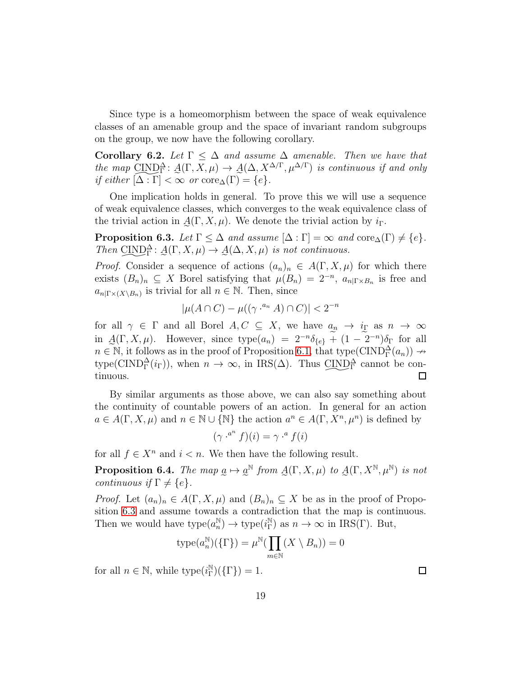Since type is a homeomorphism between the space of weak equivalence classes of an amenable group and the space of invariant random subgroups on the group, we now have the following corollary.

Corollary 6.2. Let  $\Gamma \leq \Delta$  *and assume*  $\Delta$  *amenable. Then we have that the map*  $\underline{CIND}^{\Delta}$ :  $\underline{A}(\Gamma, X, \mu) \rightarrow \underline{A}(\Delta, X^{\Delta/\Gamma}, \mu^{\Delta/\Gamma})$  *is continuous if and only if either*  $[\Delta : \Gamma] < \infty$  *or* core<sub> $\Delta$ </sub>( $\Gamma$ ) = {e}*.* 

One implication holds in general. To prove this we will use a sequence of weak equivalence classes, which converges to the weak equivalence class of the trivial action in  $\mathcal{A}(\Gamma, X, \mu)$ . We denote the trivial action by  $i_{\Gamma}$ .

<span id="page-18-0"></span>**Proposition 6.3.** *Let*  $\Gamma \leq \Delta$  *and assume*  $[\Delta : \Gamma] = \infty$  *and*  $\text{core}_{\Delta}(\Gamma) \neq \{e\}.$ *Then*  $\underline{CIND}^{\Delta}_{\Gamma}$ :  $\underline{A}(\Gamma, X, \mu) \rightarrow \underline{A}(\Delta, X, \mu)$  *is not continuous.* 

*Proof.* Consider a sequence of actions  $(a_n)_n \in A(\Gamma, X, \mu)$  for which there exists  $(B_n)_n \subseteq X$  Borel satisfying that  $\mu(B_n) = 2^{-n}$ ,  $a_{n|\Gamma \times B_n}$  is free and  $a_{n|\Gamma \times (X \setminus B_n)}$  is trivial for all  $n \in \mathbb{N}$ . Then, since

$$
|\mu(A \cap C) - \mu((\gamma \cdot^{a_n} A) \cap C)| < 2^{-n}
$$

for all  $\gamma \in \Gamma$  and all Borel  $A, C \subseteq X$ , we have  $a_n \to i_{\Gamma}$  as  $n \to \infty$ in  $\mathcal{A}(\Gamma, X, \mu)$ . However, since  $type(a_n) = 2^{-n}\delta_{\{e\}} + (1 - 2^{-n})\delta_{\Gamma}$  for all  $n \in \mathbb{N}$ , it follows as in the proof of Proposition [6.1,](#page-17-1) that type( $\text{CIND}_{\Gamma}^{\Delta}(a_n)$ )  $\rightarrow$ type(CIND $^{\Delta}_{\Gamma}(i_{\Gamma})$ ), when  $n \to \infty$ , in IRS( $\Delta$ ). Thus  $\text{CIND}^{\Delta}_{\Gamma}$  cannot be continuous. tinuous.  $\Box$ 

By similar arguments as those above, we can also say something about the continuity of countable powers of an action. In general for an action  $a \in A(\Gamma, X, \mu)$  and  $n \in \mathbb{N} \cup \{ \mathbb{N} \}$  the action  $a^n \in A(\Gamma, X^n, \mu^n)$  is defined by

$$
(\gamma \cdot^{a^n} f)(i) = \gamma \cdot^a f(i)
$$

for all  $f \in X^n$  and  $i < n$ . We then have the following result.

**Proposition 6.4.** *The map*  $\underline{a} \mapsto \underline{a}^{\mathbb{N}}$  *from*  $\underline{A}(\Gamma, X, \mu)$  *to*  $\underline{A}(\Gamma, X^{\mathbb{N}}, \mu^{\mathbb{N}})$  *is not continuous if*  $\Gamma \neq \{e\}.$ 

*Proof.* Let  $(a_n)_n \in A(\Gamma, X, \mu)$  and  $(B_n)_n \subseteq X$  be as in the proof of Proposition [6.3](#page-18-0) and assume towards a contradiction that the map is continuous. Then we would have  $type(a_n^{\mathbb{N}}) \to type(i_{\Gamma}^{\mathbb{N}})$  as  $n \to \infty$  in IRS(Γ). But,

$$
\operatorname{type}(a_n^{\mathbb{N}})(\{\Gamma\}) = \mu^{\mathbb{N}}(\prod_{m \in \mathbb{N}} (X \setminus B_n)) = 0
$$

for all  $n \in \mathbb{N}$ , while  $type(i_{\Gamma}^{\mathbb{N}})(\{\Gamma\}) = 1$ .

 $\Box$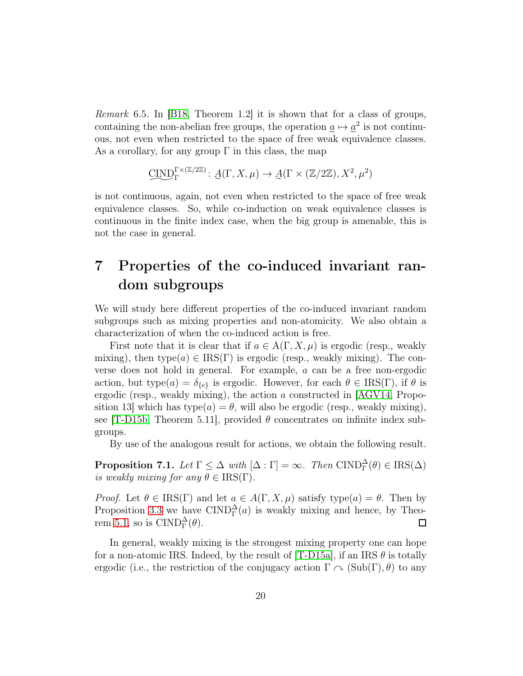*Remark* 6.5*.* In [\[B18,](#page-45-1) Theorem 1.2] it is shown that for a class of groups, containing the non-abelian free groups, the operation  $\underline{a} \mapsto \underline{a}^2$  is not continuous, not even when restricted to the space of free weak equivalence classes. As a corollary, for any group  $\Gamma$  in this class, the map

$$
\underline{\text{CIND}}_{\Gamma}^{\Gamma \times (\mathbb{Z}/2\mathbb{Z})} \colon \mathcal{A}(\Gamma, X, \mu) \to \mathcal{A}(\Gamma \times (\mathbb{Z}/2\mathbb{Z}), X^2, \mu^2)
$$

e e is not continuous, again, not even when restricted to the space of free weak equivalence classes. So, while co-induction on weak equivalence classes is continuous in the finite index case, when the big group is amenable, this is not the case in general.

## 7 Properties of the co-induced invariant random subgroups

We will study here different properties of the co-induced invariant random subgroups such as mixing properties and non-atomicity. We also obtain a characterization of when the co-induced action is free.

First note that it is clear that if  $a \in A(\Gamma, X, \mu)$  is ergodic (resp., weakly mixing), then type $(a) \in \text{IRS}(\Gamma)$  is ergodic (resp., weakly mixing). The converse does not hold in general. For example, a can be a free non-ergodic action, but type $(a) = \delta_{\{e\}}$  is ergodic. However, for each  $\theta \in \text{IRS}(\Gamma)$ , if  $\theta$  is ergodic (resp., weakly mixing), the action  $\alpha$  constructed in [\[AGV14,](#page-45-11) Proposition 13] which has type $(a) = \theta$ , will also be ergodic (resp., weakly mixing), see [\[T-D15b,](#page-47-4) Theorem 5.11], provided  $\theta$  concentrates on infinite index subgroups.

<span id="page-19-0"></span>By use of the analogous result for actions, we obtain the following result.

**Proposition 7.1.** *Let*  $\Gamma \leq \Delta$  *with*  $[\Delta : \Gamma] = \infty$ *. Then*  $\text{CIND}_{\Gamma}^{\Delta}(\theta) \in \text{IRS}(\Delta)$ *is weakly mixing for any*  $\theta \in \text{IRS}(\Gamma)$ .

*Proof.* Let  $\theta \in \text{IRS}(\Gamma)$  and let  $a \in A(\Gamma, X, \mu)$  satisfy type $(a) = \theta$ . Then by Proposition [3.3](#page-10-0) we have  $\text{CIND}_{\Gamma}^{\Delta}(a)$  is weakly mixing and hence, by Theo-rem [5.1,](#page-13-0) so is  $\text{CIND}_{\Gamma}^{\Delta}(\theta)$ .  $\Box$ 

In general, weakly mixing is the strongest mixing property one can hope for a non-atomic IRS. Indeed, by the result of  $[T-D15a]$ , if an IRS  $\theta$  is totally ergodic (i.e., the restriction of the conjugacy action  $\Gamma \curvearrowright (\text{Sub}(\Gamma), \theta)$  to any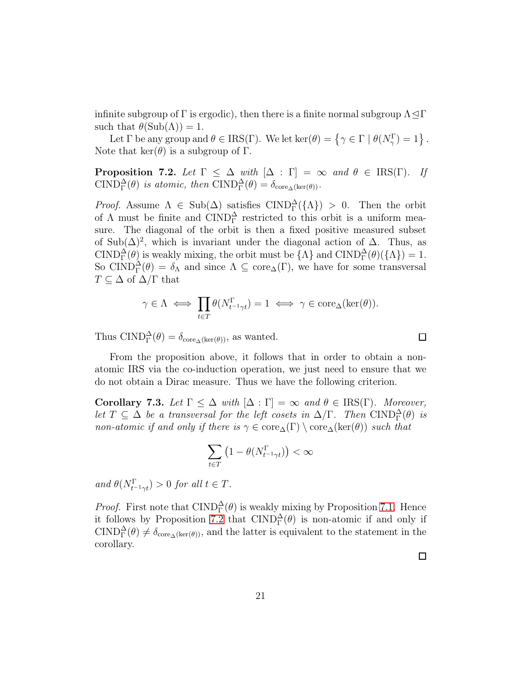infinite subgroup of  $\Gamma$  is ergodic), then there is a finite normal subgroup  $\Lambda \triangleleft \Gamma$ such that  $\theta(\text{Sub}(\Lambda)) = 1$ .

<span id="page-20-0"></span>Let  $\Gamma$  be any group and  $\theta \in \text{IRS}(\Gamma)$ . We let  $\ker(\theta) = \{ \gamma \in \Gamma \mid \theta(N_{\gamma}^{\Gamma}) = 1 \}$ . Note that  $\ker(\theta)$  is a subgroup of  $\Gamma$ .

**Proposition 7.2.** *Let*  $\Gamma \leq \Delta$  *with*  $[\Delta : \Gamma] = \infty$  *and*  $\theta \in \text{IRS}(\Gamma)$ *. If*  $\text{CIND}_{\Gamma}^{\Delta}(\theta)$  *is atomic, then*  $\text{CIND}_{\Gamma}^{\Delta}(\theta) = \delta_{\text{core}_{\Delta}(\text{ker}(\theta))}$ *.* 

*Proof.* Assume  $\Lambda \in Sub(\Delta)$  satisfies  $CIND_{\Gamma}^{\Delta}(\{\Lambda\}) > 0$ . Then the orbit of  $\Lambda$  must be finite and  $\text{CIND}_{\Gamma}^{\Delta}$  restricted to this orbit is a uniform measure. The diagonal of the orbit is then a fixed positive measured subset of Sub( $\Delta$ )<sup>2</sup>, which is invariant under the diagonal action of  $\Delta$ . Thus, as CIND $_{\Gamma}^{\Delta}(\theta)$  is weakly mixing, the orbit must be  $\{\Lambda\}$  and  $\text{CIND}_{\Gamma}^{\Delta}(\theta)(\{\Lambda\})=1$ . So CIND $_{\Gamma}^{\Delta}(\theta) = \delta_{\Lambda}$  and since  $\Lambda \subseteq \text{core}_{\Delta}(\Gamma)$ , we have for some transversal  $T \subseteq \Delta$  of  $\Delta/\Gamma$  that

$$
\gamma \in \Lambda \iff \prod_{t \in T} \theta(N_{t^{-1} \gamma t}^{\Gamma}) = 1 \iff \gamma \in \text{core}_{\Delta}(\text{ker}(\theta)).
$$

Thus  $\text{CIND}_{\Gamma}^{\Delta}(\theta) = \delta_{\text{core}_{\Delta}(\text{ker}(\theta))}$ , as wanted.

From the proposition above, it follows that in order to obtain a nonatomic IRS via the co-induction operation, we just need to ensure that we do not obtain a Dirac measure. Thus we have the following criterion.

<span id="page-20-1"></span>Corollary 7.3. *Let*  $\Gamma \leq \Delta$  *with*  $[\Delta : \Gamma] = \infty$  *and*  $\theta \in \text{IRS}(\Gamma)$ *. Moreover, let*  $T \subseteq \Delta$  *be a transversal for the left cosets in*  $\Delta/\Gamma$ *. Then*  $\text{CIND}_{\Gamma}^{\Delta}(\theta)$  *is non-atomic if and only if there is*  $\gamma \in \text{core}_{\Delta}(\Gamma) \setminus \text{core}_{\Delta}(\ker(\theta))$  *such that* 

$$
\sum_{t\in T}\left(1-\theta(N^{\Gamma}_{t^{-1}\gamma t})\right)<\infty
$$

 $and \ \theta(N_{t^{-1}\gamma t}^{\Gamma}) > 0 \ for \ all \ t \in T.$ 

*Proof.* First note that  $\text{CIND}_{\Gamma}^{\Delta}(\theta)$  is weakly mixing by Proposition [7.1.](#page-19-0) Hence it follows by Proposition [7.2](#page-20-0) that  $\text{CIND}_{\Gamma}^{\Delta}(\theta)$  is non-atomic if and only if CIND $_1^{\Delta}(\theta) \neq \delta_{\text{core}_{\Delta}(\text{ker}(\theta))}$ , and the latter is equivalent to the statement in the corollary.

 $\Box$ 

 $\Box$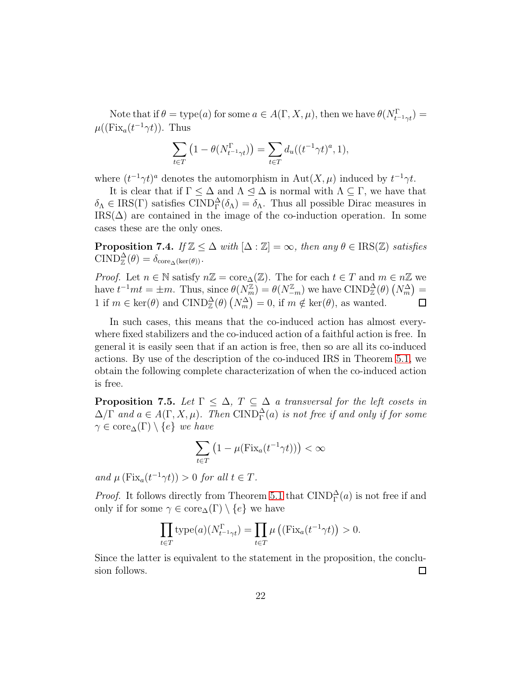Note that if  $\theta = \text{type}(a)$  for some  $a \in A(\Gamma, X, \mu)$ , then we have  $\theta(N_{t-1\gamma t}^{\Gamma}) =$  $\mu((\text{Fix}_a(t^{-1}\gamma t)). \text{ Thus})$ 

$$
\sum_{t \in T} \left( 1 - \theta(N_{t^{-1} \gamma t}^{\Gamma}) \right) = \sum_{t \in T} d_u((t^{-1} \gamma t)^a, 1),
$$

where  $(t^{-1}\gamma t)^a$  denotes the automorphism in  $\text{Aut}(X,\mu)$  induced by  $t^{-1}\gamma t$ .

It is clear that if  $\Gamma \leq \Delta$  and  $\Lambda \leq \Delta$  is normal with  $\Lambda \subseteq \Gamma$ , we have that  $\delta_{\Lambda} \in \text{IRS}(\Gamma)$  satisfies  $\text{CIND}_{\Gamma}^{\Delta}(\delta_{\Lambda}) = \delta_{\Lambda}$ . Thus all possible Dirac measures in  $\text{IRS}(\Delta)$  are contained in the image of the co-induction operation. In some cases these are the only ones.

**Proposition 7.4.** *If*  $\mathbb{Z} \leq \Delta$  *with*  $[\Delta : \mathbb{Z}] = \infty$ *, then any*  $\theta \in \text{IRS}(\mathbb{Z})$  *satisfies*  $\text{CIND}_{\mathbb{Z}}^{\Delta}(\theta) = \delta_{\text{core}_{\Delta}(\text{ker}(\theta))}.$ 

*Proof.* Let  $n \in \mathbb{N}$  satisfy  $n\mathbb{Z} = \text{core}_{\Delta}(\mathbb{Z})$ . The for each  $t \in T$  and  $m \in n\mathbb{Z}$  we have  $t^{-1}mt = \pm m$ . Thus, since  $\theta(N_m^{\mathbb{Z}}) = \theta(N_{-m}^{\mathbb{Z}})$  we have  $\text{CIND}_{\mathbb{Z}}^{\Delta}(\theta)$   $(N_m^{\Delta}) =$ 1 if  $m \in \text{ker}(\theta)$  and  $\text{CIND}_{\mathbb{Z}}^{\Delta}(\theta)$   $(N_m^{\Delta}) = 0$ , if  $m \notin \text{ker}(\theta)$ , as wanted.  $\Box$ 

In such cases, this means that the co-induced action has almost everywhere fixed stabilizers and the co-induced action of a faithful action is free. In general it is easily seen that if an action is free, then so are all its co-induced actions. By use of the description of the co-induced IRS in Theorem [5.1,](#page-13-0) we obtain the following complete characterization of when the co-induced action is free.

**Proposition 7.5.** *Let*  $\Gamma \leq \Delta$ ,  $T \subseteq \Delta$  *a transversal for the left cosets in*  $\Delta/\Gamma$  and  $a \in A(\Gamma, X, \mu)$ . Then  $\text{CIND}_{\Gamma}^{\Delta}(a)$  is not free if and only if for some  $\gamma \in \text{core}_{\Delta}(\Gamma) \setminus \{e\}$  *we have* 

$$
\sum_{t \in T} \left( 1 - \mu(\text{Fix}_a(t^{-1} \gamma t)) \right) < \infty
$$

*and*  $\mu$  (Fix<sub>a</sub>(t<sup>-1</sup> $\gamma$ t)) > 0 *for all*  $t \in T$ *.* 

*Proof.* It follows directly from Theorem [5.1](#page-13-0) that  $\text{CIND}_{\Gamma}^{\Delta}(a)$  is not free if and only if for some  $\gamma \in \text{core}_{\Delta}(\Gamma) \setminus \{e\}$  we have

$$
\prod_{t \in T} \text{type}(a)(N_{t^{-1} \gamma t}^{\Gamma}) = \prod_{t \in T} \mu ((\text{Fix}_a(t^{-1} \gamma t)) > 0.
$$

Since the latter is equivalent to the statement in the proposition, the conclusion follows.  $\Box$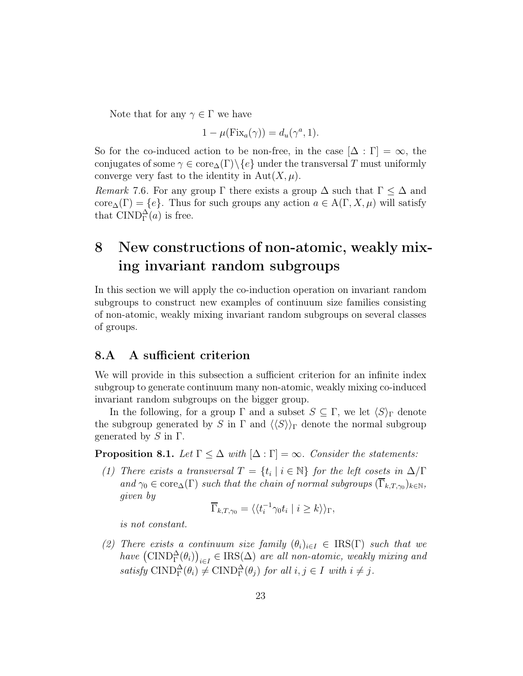Note that for any  $\gamma \in \Gamma$  we have

$$
1 - \mu(\text{Fix}_a(\gamma)) = d_u(\gamma^a, 1).
$$

So for the co-induced action to be non-free, in the case  $[\Delta : \Gamma] = \infty$ , the conjugates of some  $\gamma \in \text{core}_{\Delta}(\Gamma) \backslash \{e\}$  under the transversal T must uniformly converge very fast to the identity in  $Aut(X, \mu)$ .

*Remark* 7.6. For any group  $\Gamma$  there exists a group  $\Delta$  such that  $\Gamma \leq \Delta$  and core<sub> $\Delta(\Gamma) = \{e\}$ . Thus for such groups any action  $a \in A(\Gamma, X, \mu)$  will satisfy</sub> that  $\text{CIND}_{\Gamma}^{\Delta}(a)$  is free.

## 8 New constructions of non-atomic, weakly mixing invariant random subgroups

In this section we will apply the co-induction operation on invariant random subgroups to construct new examples of continuum size families consisting of non-atomic, weakly mixing invariant random subgroups on several classes of groups.

### 8.A A sufficient criterion

We will provide in this subsection a sufficient criterion for an infinite index subgroup to generate continuum many non-atomic, weakly mixing co-induced invariant random subgroups on the bigger group.

In the following, for a group  $\Gamma$  and a subset  $S \subseteq \Gamma$ , we let  $\langle S \rangle_{\Gamma}$  denote the subgroup generated by S in  $\Gamma$  and  $\langle\langle S\rangle\rangle_{\Gamma}$  denote the normal subgroup generated by  $S$  in  $\Gamma$ .

<span id="page-22-0"></span>**Proposition 8.1.** *Let*  $\Gamma \leq \Delta$  *with*  $[\Delta : \Gamma] = \infty$ *. Consider the statements:* 

*(1) There exists a transversal*  $T = \{t_i \mid i \in \mathbb{N}\}\$  *for the left cosets in*  $\Delta/\Gamma$ and  $\gamma_0 \in \text{core}_{\Delta}(\Gamma)$  *such that the chain of normal subgroups*  $(\Gamma_{k,T,\gamma_0})_{k \in \mathbb{N}},$ *given by*

$$
\overline{\Gamma}_{k,T,\gamma_0} = \langle \langle t_i^{-1} \gamma_0 t_i \mid i \ge k \rangle \rangle_{\Gamma},
$$

*is not constant.*

*(2) There exists a continuum size family*  $(\theta_i)_{i \in I} \in \text{IRS}(\Gamma)$  *such that we*  $have \left(CIND_{\Gamma}^{\Delta}(\theta_{i})\right)_{i\in I} \in IRS(\Delta)$  *are all non-atomic, weakly mixing and*  $satisfy \text{ CIND}_{\Gamma}^{\Delta}(\theta_i) \neq \text{CIND}_{\Gamma}^{\Delta}(\theta_j) \text{ for all } i, j \in I \text{ with } i \neq j.$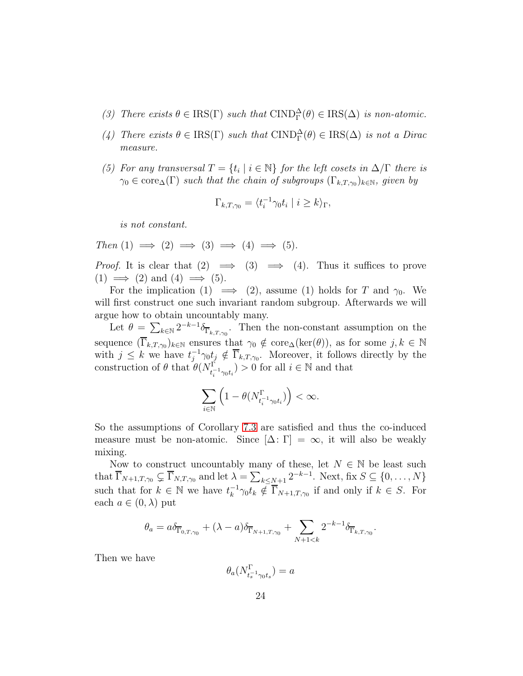- (3) There exists  $\theta \in \text{IRS}(\Gamma)$  such that  $\text{CIND}_{\Gamma}^{\Delta}(\theta) \in \text{IRS}(\Delta)$  is non-atomic.
- (4) There exists  $\theta \in \text{IRS}(\Gamma)$  *such that*  $\text{CIND}_{\Gamma}^{\Delta}(\theta) \in \text{IRS}(\Delta)$  *is not a Dirac measure.*
- *(5) For any transversal*  $T = \{t_i \mid i \in \mathbb{N}\}$  *for the left cosets in*  $\Delta/\Gamma$  *there is*  $\gamma_0 \in \text{core}_{\Delta}(\Gamma)$  such that the chain of subgroups  $(\Gamma_{k,T,\gamma_0})_{k \in \mathbb{N}}$ , given by

$$
\Gamma_{k,T,\gamma_0} = \langle t_i^{-1} \gamma_0 t_i \mid i \ge k \rangle_{\Gamma},
$$

*is not constant.*

 $Then (1) \implies (2) \implies (3) \implies (4) \implies (5).$ 

*Proof.* It is clear that  $(2) \implies (3) \implies (4)$ . Thus it suffices to prove  $(1) \implies (2)$  and  $(4) \implies (5)$ .

For the implication (1)  $\implies$  (2), assume (1) holds for T and  $\gamma_0$ . We will first construct one such invariant random subgroup. Afterwards we will argue how to obtain uncountably many.

Let  $\theta = \sum_{k \in \mathbb{N}} 2^{-k-1} \delta_{\overline{\Gamma}_{k,T,\gamma_0}}$ . Then the non-constant assumption on the sequence  $(\Gamma_{k,T,\gamma_0})_{k\in\mathbb{N}}$  ensures that  $\gamma_0 \notin \text{core}_{\Delta}(\text{ker}(\theta))$ , as for some  $j, k \in \mathbb{N}$ with  $j \leq k$  we have  $t_i^{-1}$  $j^{-1}\gamma_0 t_j \notin \Gamma_{k,T,\gamma_0}$ . Moreover, it follows directly by the construction of  $\theta$  that  $\theta(N_{t_i^{-1}\gamma_0 t_i}^{\Gamma}) > 0$  for all  $i \in \mathbb{N}$  and that

$$
\sum_{i\in\mathbb{N}}\left(1-\theta(N^{\Gamma}_{t_{i}^{-1}\gamma_{0}t_{i}})\right)<\infty.
$$

So the assumptions of Corollary [7.3](#page-20-1) are satisfied and thus the co-induced measure must be non-atomic. Since  $[\Delta: \Gamma] = \infty$ , it will also be weakly mixing.

Now to construct uncountably many of these, let  $N \in \mathbb{N}$  be least such that  $\overline{\Gamma}_{N+1,T,\gamma_0} \subsetneq \overline{\Gamma}_{N,T,\gamma_0}$  and let  $\lambda = \sum_{k \le N+1} 2^{-k-1}$ . Next, fix  $S \subseteq \{0, \ldots, N\}$ such that for  $k \in \mathbb{N}$  we have  $t_k^{-1}$  $\overline{k}^{-1}\gamma_0 t_k \notin \Gamma_{N+1,T,\gamma_0}$  if and only if  $k \in S$ . For each  $a \in (0, \lambda)$  put

$$
\theta_a = a\delta_{\overline{\Gamma}_{0,T,\gamma_0}} + (\lambda - a)\delta_{\overline{\Gamma}_{N+1,T,\gamma_0}} + \sum_{N+1 < k} 2^{-k-1} \delta_{\overline{\Gamma}_{k,T,\gamma_0}}.
$$

Then we have

$$
\theta_a(N^{\Gamma}_{t_s^{-1}\gamma_0 t_s})=a
$$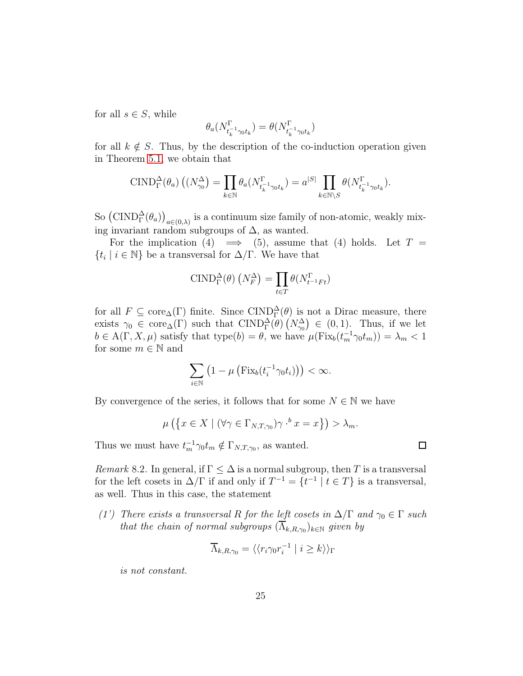for all  $s \in S$ , while

$$
\theta_a(N^{\Gamma}_{t_k^{-1}\gamma_0 t_k})=\theta(N^{\Gamma}_{t_k^{-1}\gamma_0 t_k})
$$

for all  $k \notin S$ . Thus, by the description of the co-induction operation given in Theorem [5.1,](#page-13-0) we obtain that

$$
\text{CIND}_{\Gamma}^{\Delta}(\theta_a) \left( (N_{\gamma_0}^{\Delta}) = \prod_{k \in \mathbb{N}} \theta_a (N_{t_k^{-1} \gamma_0 t_k}^{\Gamma}) = a^{|S|} \prod_{k \in \mathbb{N} \setminus S} \theta (N_{t_k^{-1} \gamma_0 t_k}^{\Gamma}).
$$

So  $(\text{CIND}_{\Gamma}^{\Delta}(\theta_a))_{a\in(0,\lambda)}$  is a continuum size family of non-atomic, weakly mixing invariant random subgroups of  $\Delta$ , as wanted.

For the implication (4)  $\implies$  (5), assume that (4) holds. Let  $T =$  $\{t_i \mid i \in \mathbb{N}\}\$ be a transversal for  $\Delta/\Gamma$ . We have that

$$
\text{CIND}_{\Gamma}^{\Delta}(\theta) \left(N_{F}^{\Delta}\right) = \prod_{t \in T} \theta \left(N_{t^{-1}Ft}^{\Gamma}\right)
$$

for all  $F \subseteq \text{core}_{\Delta}(\Gamma)$  finite. Since  $\text{CIND}_{\Gamma}^{\Delta}(\theta)$  is not a Dirac measure, there exists  $\gamma_0 \in \text{core}_{\Delta}(\Gamma)$  such that  $\text{CIND}_{\Gamma}^{\Delta}(\theta)$   $(N_{\gamma_0}) \in (0,1)$ . Thus, if we let  $b \in A(\Gamma, X, \mu)$  satisfy that type $(b) = \theta$ , we have  $\mu(\text{Fix}_b(t_m^{-1}\gamma_0 t_m)) = \lambda_m < 1$ for some  $m \in \mathbb{N}$  and

$$
\sum_{i\in\mathbb{N}}\left(1-\mu\left(\mathrm{Fix}_b(t_i^{-1}\gamma_0 t_i)\right)\right)<\infty.
$$

By convergence of the series, it follows that for some  $N \in \mathbb{N}$  we have

$$
\mu\left(\left\{x \in X \mid (\forall \gamma \in \Gamma_{N,T,\gamma_0})\gamma \cdot^b x = x\right\}\right) > \lambda_m.
$$

<span id="page-24-0"></span>Thus we must have  $t_m^{-1} \gamma_0 t_m \notin \Gamma_{N,T,\gamma_0}$ , as wanted.

*Remark* 8.2. In general, if  $\Gamma \leq \Delta$  is a normal subgroup, then T is a transversal for the left cosets in  $\Delta/\Gamma$  if and only if  $T^{-1} = \{t^{-1} \mid t \in T\}$  is a transversal, as well. Thus in this case, the statement

*(1')* There exists a transversal R for the left cosets in  $\Delta/\Gamma$  and  $\gamma_0 \in \Gamma$  such *that the chain of normal subgroups*  $(\Lambda_{k,R,\gamma_0})_{k \in \mathbb{N}}$  *given by* 

$$
\overline{\Lambda}_{k,R,\gamma_0} = \langle \langle r_i \gamma_0 r_i^{-1} \mid i \ge k \rangle \rangle_{\Gamma}
$$

*is not constant.*

 $\Box$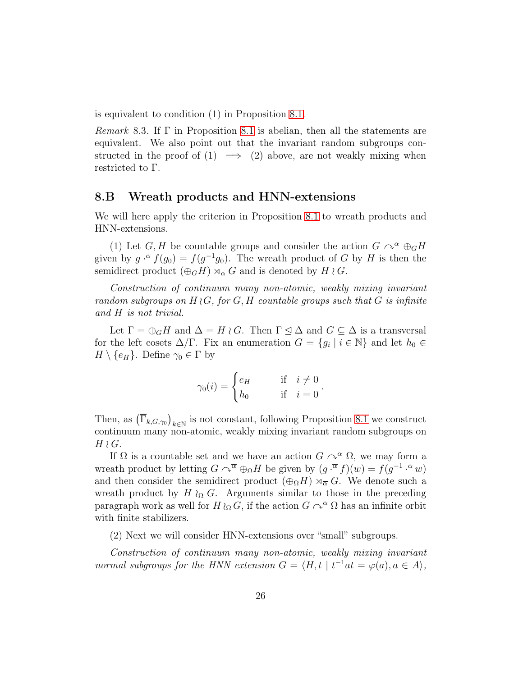is equivalent to condition (1) in Proposition [8.1.](#page-22-0)

*Remark* 8.3*.* If Γ in Proposition [8.1](#page-22-0) is abelian, then all the statements are equivalent. We also point out that the invariant random subgroups constructed in the proof of  $(1) \implies (2)$  above, are not weakly mixing when restricted to Γ.

#### 8.B Wreath products and HNN-extensions

We will here apply the criterion in Proposition [8.1](#page-22-0) to wreath products and HNN-extensions.

(1) Let G, H be countable groups and consider the action  $G \curvearrowright^{\alpha} \oplus_G H$ given by  $g \cdot^{\alpha} f(g_0) = f(g^{-1}g_0)$ . The wreath product of G by H is then the semidirect product  $(\bigoplus_G H) \rtimes_\alpha G$  and is denoted by  $H \wr G$ .

*Construction of continuum many non-atomic, weakly mixing invariant random subgroups on* H ≀G*, for* G, H *countable groups such that* G *is infinite and* H *is not trivial.*

Let  $\Gamma = \bigoplus_G H$  and  $\Delta = H \wr G$ . Then  $\Gamma \leq \Delta$  and  $G \subseteq \Delta$  is a transversal for the left cosets  $\Delta/\Gamma$ . Fix an enumeration  $G = \{g_i \mid i \in \mathbb{N}\}\$ and let  $h_0 \in$  $H \setminus \{e_H\}.$  Define  $\gamma_0 \in \Gamma$  by

$$
\gamma_0(i) = \begin{cases} e_H & \text{if } i \neq 0 \\ h_0 & \text{if } i = 0 \end{cases}.
$$

Then, as  $(\overline{\Gamma}_{k,G,\gamma_0})_{k\in\mathbb{N}}$  is not constant, following Proposition [8.1](#page-22-0) we construct continuum many non-atomic, weakly mixing invariant random subgroups on  $H\wr G$ .

If  $\Omega$  is a countable set and we have an action  $G \cap^{\alpha} \Omega$ , we may form a wreath product by letting  $G \cap^{\overline{\alpha}} \oplus_{\Omega} H$  be given by  $(g \cdot^{\overline{\alpha}} f)(w) = f(g^{-1} \cdot^{\alpha} w)$ and then consider the semidirect product  $(\bigoplus_{\Omega} H) \rtimes_{\overline{\alpha}} G$ . We denote such a wreath product by H  $\wr$ <sub>Ω</sub> G. Arguments similar to those in the preceding paragraph work as well for  $H \wr_{\Omega} G$ , if the action  $G \curvearrowright^{\alpha} \Omega$  has an infinite orbit with finite stabilizers.

(2) Next we will consider HNN-extensions over "small" subgroups.

*Construction of continuum many non-atomic, weakly mixing invariant normal subgroups for the HNN extension*  $G = \langle H, t \mid t^{-1}at = \varphi(a), a \in A \rangle$ ,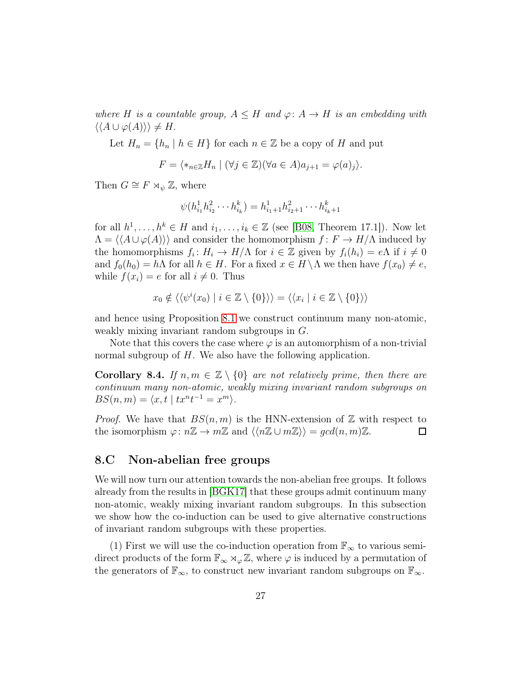where H is a countable group,  $A \leq H$  and  $\varphi: A \to H$  is an embedding with  $\langle \langle A \cup \varphi(A) \rangle \rangle \neq H.$ 

Let  $H_n = \{h_n \mid h \in H\}$  for each  $n \in \mathbb{Z}$  be a copy of H and put

$$
F = \langle *_{n \in \mathbb{Z}} H_n \mid (\forall j \in \mathbb{Z})(\forall a \in A) a_{j+1} = \varphi(a)_j \rangle.
$$

Then  $G \cong F \rtimes_{\psi} \mathbb{Z}$ , where

$$
\psi(h_{i_1}^1 h_{i_2}^2 \cdots h_{i_k}^k) = h_{i_1+1}^1 h_{i_2+1}^2 \cdots h_{i_k+1}^k
$$

for all  $h^1, \ldots, h^k \in H$  and  $i_1, \ldots, i_k \in \mathbb{Z}$  (see [\[B08,](#page-45-16) Theorem 17.1]). Now let  $\Lambda = \langle A \cup \varphi(A) \rangle$  and consider the homomorphism  $f : F \to H/\Lambda$  induced by the homomorphisms  $f_i: H_i \to H/\Lambda$  for  $i \in \mathbb{Z}$  given by  $f_i(h_i) = e\Lambda$  if  $i \neq 0$ and  $f_0(h_0) = h\Lambda$  for all  $h \in H$ . For a fixed  $x \in H \setminus \Lambda$  we then have  $f(x_0) \neq e$ , while  $f(x_i) = e$  for all  $i \neq 0$ . Thus

$$
x_0 \notin \langle \langle \psi^i(x_0) \mid i \in \mathbb{Z} \setminus \{0\} \rangle \rangle = \langle \langle x_i \mid i \in \mathbb{Z} \setminus \{0\} \rangle \rangle
$$

and hence using Proposition [8.1](#page-22-0) we construct continuum many non-atomic, weakly mixing invariant random subgroups in G.

Note that this covers the case where  $\varphi$  is an automorphism of a non-trivial normal subgroup of H. We also have the following application.

**Corollary 8.4.** *If*  $n, m \in \mathbb{Z} \setminus \{0\}$  *are not relatively prime, then there are continuum many non-atomic, weakly mixing invariant random subgroups on*  $BS(n, m) = \langle x, t \mid tx^{n}t^{-1} = x^{m} \rangle.$ 

*Proof.* We have that  $BS(n, m)$  is the HNN-extension of Z with respect to the isomorphism  $\varphi: n\mathbb{Z} \to m\mathbb{Z}$  and  $\langle n\mathbb{Z} \cup m\mathbb{Z} \rangle = gcd(n, m)\mathbb{Z}$ .  $\Box$ 

### 8.C Non-abelian free groups

We will now turn our attention towards the non-abelian free groups. It follows already from the results in [\[BGK17\]](#page-45-2) that these groups admit continuum many non-atomic, weakly mixing invariant random subgroups. In this subsection we show how the co-induction can be used to give alternative constructions of invariant random subgroups with these properties.

(1) First we will use the co-induction operation from  $\mathbb{F}_{\infty}$  to various semidirect products of the form  $\mathbb{F}_{\infty} \rtimes_{\varphi} \mathbb{Z}$ , where  $\varphi$  is induced by a permutation of the generators of  $\mathbb{F}_{\infty}$ , to construct new invariant random subgroups on  $\mathbb{F}_{\infty}$ .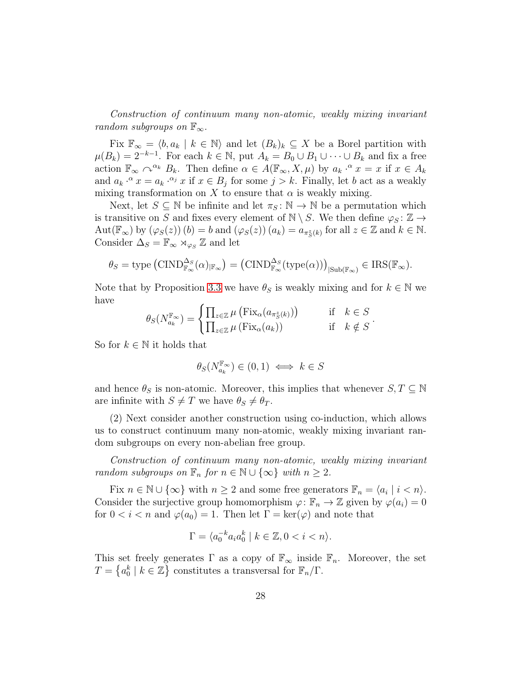*Construction of continuum many non-atomic, weakly mixing invariant random subgroups on*  $\mathbb{F}_{\infty}$ *.* 

Fix  $\mathbb{F}_{\infty} = \langle b, a_k | k \in \mathbb{N} \rangle$  and let  $(B_k)_k \subseteq X$  be a Borel partition with  $\mu(B_k) = 2^{-k-1}$ . For each  $k \in \mathbb{N}$ , put  $A_k = B_0 \cup B_1 \cup \cdots \cup B_k$  and fix a free action  $\mathbb{F}_{\infty} \cap \alpha_k B_k$ . Then define  $\alpha \in A(\mathbb{F}_{\infty}, X, \mu)$  by  $a_k \cdot \alpha x = x$  if  $x \in A_k$ and  $a_k \cdot^{\alpha} x = a_k \cdot^{\alpha_j} x$  if  $x \in B_j$  for some  $j > k$ . Finally, let b act as a weakly mixing transformation on X to ensure that  $\alpha$  is weakly mixing.

Next, let  $S \subseteq \mathbb{N}$  be infinite and let  $\pi_S : \mathbb{N} \to \mathbb{N}$  be a permutation which is transitive on S and fixes every element of  $\mathbb{N} \setminus S$ . We then define  $\varphi_S : \mathbb{Z} \to$  $\mathrm{Aut}(\mathbb{F}_{\infty})$  by  $(\varphi_S(z))(b) = b$  and  $(\varphi_S(z))(a_k) = a_{\pi_S^z(k)}$  for all  $z \in \mathbb{Z}$  and  $k \in \mathbb{N}$ . Consider  $\Delta_S = \mathbb{F}_{\infty} \rtimes_{\varphi_S} \mathbb{Z}$  and let

$$
\theta_S = \text{type}(\text{CIND}_{\mathbb{F}_{\infty}}^{\Delta_S}(\alpha)_{|\mathbb{F}_{\infty}}) = (\text{CIND}_{\mathbb{F}_{\infty}}^{\Delta_S}(\text{type}(\alpha)))_{|\text{Sub}(\mathbb{F}_{\infty})} \in \text{IRS}(\mathbb{F}_{\infty}).
$$

Note that by Proposition [3.3](#page-10-0) we have  $\theta_S$  is weakly mixing and for  $k \in \mathbb{N}$  we have

$$
\theta_S(N_{a_k}^{\mathbb{F}_{\infty}}) = \begin{cases} \prod_{z \in \mathbb{Z}} \mu\left(\text{Fix}_{\alpha}(a_{\pi^z_{S}(k)})\right) & \text{if } k \in S \\ \prod_{z \in \mathbb{Z}} \mu\left(\text{Fix}_{\alpha}(a_k)\right) & \text{if } k \notin S \end{cases}.
$$

So for  $k \in \mathbb{N}$  it holds that

$$
\theta_S(N_{a_k}^{\mathbb{F}_{\infty}}) \in (0,1) \iff k \in S
$$

and hence  $\theta_S$  is non-atomic. Moreover, this implies that whenever  $S, T \subseteq \mathbb{N}$ are infinite with  $S \neq T$  we have  $\theta_S \neq \theta_T$ .

(2) Next consider another construction using co-induction, which allows us to construct continuum many non-atomic, weakly mixing invariant random subgroups on every non-abelian free group.

*Construction of continuum many non-atomic, weakly mixing invariant random subgroups on*  $\mathbb{F}_n$  *for*  $n \in \mathbb{N} \cup \{\infty\}$  *with*  $n \geq 2$ *.* 

Fix  $n \in \mathbb{N} \cup \{\infty\}$  with  $n \geq 2$  and some free generators  $\mathbb{F}_n = \langle a_i | i < n \rangle$ . Consider the surjective group homomorphism  $\varphi: \mathbb{F}_n \to \mathbb{Z}$  given by  $\varphi(a_i) = 0$ for  $0 < i < n$  and  $\varphi(a_0) = 1$ . Then let  $\Gamma = \ker(\varphi)$  and note that

$$
\Gamma = \langle a_0^{-k} a_i a_0^k \mid k \in \mathbb{Z}, 0 < i < n \rangle.
$$

This set freely generates  $\Gamma$  as a copy of  $\mathbb{F}_{\infty}$  inside  $\mathbb{F}_n$ . Moreover, the set  $T = \{a_0^k \mid k \in \mathbb{Z}\}\)$  constitutes a transversal for  $\mathbb{F}_n/\Gamma$ .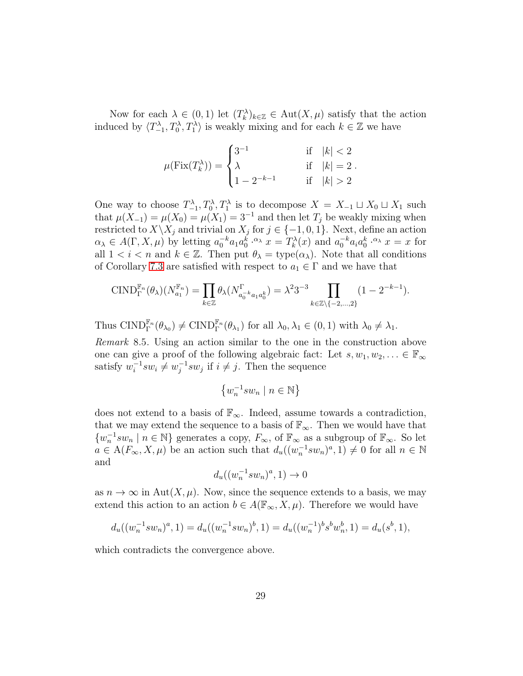Now for each  $\lambda \in (0,1)$  let  $(T_k^{\lambda})_{k\in\mathbb{Z}} \in \text{Aut}(X,\mu)$  satisfy that the action induced by  $\langle T_{-1}^{\lambda}, T_0^{\lambda}, T_1^{\lambda} \rangle$  is weakly mixing and for each  $k \in \mathbb{Z}$  we have

$$
\mu(\operatorname{Fix}(T_k^\lambda)) = \begin{cases} 3^{-1} & \quad \text{if} \quad |k| < 2 \\ \lambda & \quad \text{if} \quad |k| = 2 \\ 1 - 2^{-k-1} & \quad \text{if} \quad |k| > 2 \end{cases}.
$$

One way to choose  $T_{-1}^{\lambda}, T_0^{\lambda}, T_1^{\lambda}$  is to decompose  $X = X_{-1} \sqcup X_0 \sqcup X_1$  such that  $\mu(X_{-1}) = \mu(X_0) = \mu(X_1) = 3^{-1}$  and then let  $T_j$  be weakly mixing when restricted to  $X \backslash X_j$  and trivial on  $X_j$  for  $j \in \{-1, 0, 1\}$ . Next, define an action  $\alpha_{\lambda} \in A(\Gamma, X, \mu)$  by letting  $a_0^{-k} a_1 a_0^{k} \cdot \alpha_{\lambda} x = T_k^{\lambda}(x)$  and  $a_0^{-k} a_i a_0^{k} \cdot \alpha_{\lambda} x = x$  for all  $1 < i < n$  and  $k \in \mathbb{Z}$ . Then put  $\theta_{\lambda} = \text{type}(\alpha_{\lambda})$ . Note that all conditions of Corollary [7.3](#page-20-1) are satisfied with respect to  $a_1 \in \Gamma$  and we have that

$$
\text{CIND}_{\Gamma}^{\mathbb{F}_n}(\theta_\lambda)(N_{a_1}^{\mathbb{F}_n}) = \prod_{k \in \mathbb{Z}} \theta_\lambda(N_{a_0^{-k}a_1a_0^k}^{\Gamma}) = \lambda^2 3^{-3} \prod_{k \in \mathbb{Z} \setminus \{-2, ..., 2\}} (1 - 2^{-k-1}).
$$

Thus  $\text{CIND}_{\Gamma}^{\mathbb{F}_n}(\theta_{\lambda_0}) \neq \text{CIND}_{\Gamma}^{\mathbb{F}_n}(\theta_{\lambda_1})$  for all  $\lambda_0, \lambda_1 \in (0, 1)$  with  $\lambda_0 \neq \lambda_1$ .

*Remark* 8.5*.* Using an action similar to the one in the construction above one can give a proof of the following algebraic fact: Let  $s, w_1, w_2, ... \in \mathbb{F}_{\infty}$ satisfy  $w_i^{-1} s w_i \neq w_j^{-1} s w_j$  if  $i \neq j$ . Then the sequence

$$
\left\{w_{n}^{-1}sw_{n}\mid n\in\mathbb{N}\right\}
$$

does not extend to a basis of  $\mathbb{F}_{\infty}$ . Indeed, assume towards a contradiction, that we may extend the sequence to a basis of  $\mathbb{F}_{\infty}$ . Then we would have that  $\{w_n^{-1}sw_n \mid n \in \mathbb{N}\}\$ generates a copy,  $F_{\infty}$ , of  $\mathbb{F}_{\infty}$  as a subgroup of  $\mathbb{F}_{\infty}$ . So let  $a \in A(F_{\infty}, X, \mu)$  be an action such that  $d_u((w_n^{-1}sw_n)^a, 1) \neq 0$  for all  $n \in \mathbb{N}$ and

$$
d_u((w_n^{-1}sw_n)^a, 1) \to 0
$$

as  $n \to \infty$  in Aut $(X, \mu)$ . Now, since the sequence extends to a basis, we may extend this action to an action  $b \in A(\mathbb{F}_{\infty}, X, \mu)$ . Therefore we would have

$$
d_u((w_n^{-1}sw_n)^a, 1) = d_u((w_n^{-1}sw_n)^b, 1) = d_u((w_n^{-1})^b s^b w_n^b, 1) = d_u(s^b, 1),
$$

which contradicts the convergence above.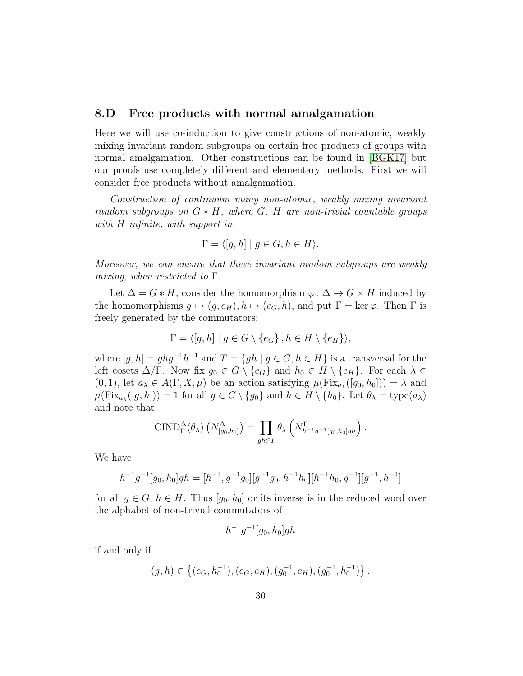### 8.D Free products with normal amalgamation

Here we will use co-induction to give constructions of non-atomic, weakly mixing invariant random subgroups on certain free products of groups with normal amalgamation. Other constructions can be found in [\[BGK17\]](#page-45-2) but our proofs use completely different and elementary methods. First we will consider free products without amalgamation.

*Construction of continuum many non-atomic, weakly mixing invariant random subgroups on* G ∗ H*, where* G*,* H *are non-trivial countable groups with* H *infinite, with support in*

$$
\Gamma = \langle [g, h] \mid g \in G, h \in H \rangle.
$$

*Moreover, we can ensure that these invariant random subgroups are weakly mixing, when restricted to* Γ*.*

Let  $\Delta = G * H$ , consider the homomorphism  $\varphi: \Delta \to G \times H$  induced by the homomorphisms  $g \mapsto (g, e_H), h \mapsto (e_G, h)$ , and put  $\Gamma = \ker \varphi$ . Then  $\Gamma$  is freely generated by the commutators:

$$
\Gamma = \langle [g, h] \mid g \in G \setminus \{e_G\}, h \in H \setminus \{e_H\} \rangle,
$$

where  $[g, h] = ghg^{-1}h^{-1}$  and  $T = \{gh \mid g \in G, h \in H\}$  is a transversal for the left cosets  $\Delta/\Gamma$ . Now fix  $g_0 \in G \setminus \{e_G\}$  and  $h_0 \in H \setminus \{e_H\}$ . For each  $\lambda \in$  $(0, 1)$ , let  $a_{\lambda} \in A(\Gamma, X, \mu)$  be an action satisfying  $\mu(\text{Fix}_{a_{\lambda}}([g_0, h_0])) = \lambda$  and  $\mu(\text{Fix}_{a_{\lambda}}([g,h])) = 1$  for all  $g \in G \setminus \{g_0\}$  and  $h \in H \setminus \{h_0\}$ . Let  $\theta_{\lambda} = \text{type}(a_{\lambda})$ and note that

$$
\text{CIND}_{\Gamma}^{\Delta}(\theta_{\lambda}) \left(N^{\Delta}_{[g_0,h_0]}\right) = \prod_{gh \in T} \theta_{\lambda} \left(N^{\Gamma}_{h^{-1}g^{-1}[g_0,h_0]gh}\right).
$$

We have

$$
h^{-1}g^{-1}[g_0, h_0]gh = [h^{-1}, g^{-1}g_0][g^{-1}g_0, h^{-1}h_0][h^{-1}h_0, g^{-1}][g^{-1}, h^{-1}]
$$

for all  $g \in G$ ,  $h \in H$ . Thus  $[g_0, h_0]$  or its inverse is in the reduced word over the alphabet of non-trivial commutators of

$$
h^{-1}g^{-1}[g_0, h_0]gh
$$

if and only if

$$
(g,h) \in \left\{ (e_G, h_0^{-1}), (e_G, e_H), (g_0^{-1}, e_H), (g_0^{-1}, h_0^{-1}) \right\}.
$$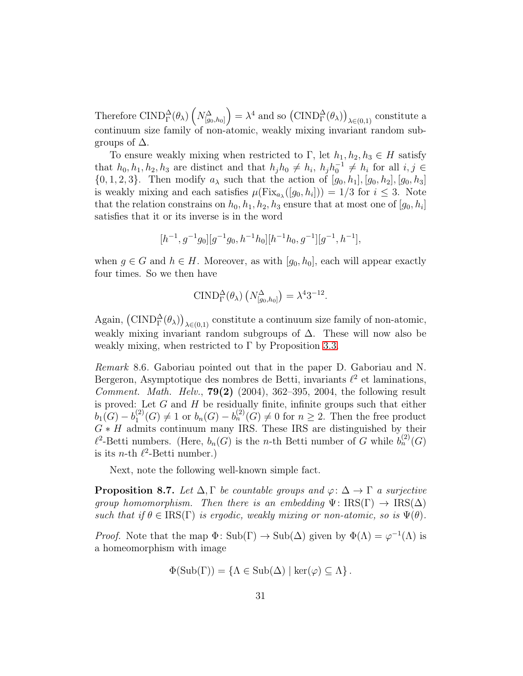Therefore CIND $^{\Delta}_{\Gamma}(\theta_{\lambda})$   $\left(N^{\Delta}_{[g_0,h_0]}\right)$  $= \lambda^4$  and so  $(\text{CIND}_{\Gamma}^{\Delta}(\theta_{\lambda}))_{\lambda \in (0,1)}$  constitute a continuum size family of non-atomic, weakly mixing invariant random subgroups of  $\Delta$ .

To ensure weakly mixing when restricted to Γ, let  $h_1, h_2, h_3 \in H$  satisfy that  $h_0, h_1, h_2, h_3$  are distinct and that  $h_j h_0 \neq h_i$ ,  $h_j h_0^{-1} \neq h_i$  for all  $i, j \in$  $\{0, 1, 2, 3\}$ . Then modify  $a_\lambda$  such that the action of  $[g_0, h_1], [g_0, h_2], [g_0, h_3]$ is weakly mixing and each satisfies  $\mu(\text{Fix}_{a_{\lambda}}([g_0, h_i])) = 1/3$  for  $i \leq 3$ . Note that the relation constrains on  $h_0, h_1, h_2, h_3$  ensure that at most one of  $[g_0, h_i]$ satisfies that it or its inverse is in the word

$$
[h^{-1},g^{-1}g_0][g^{-1}g_0,h^{-1}h_0][h^{-1}h_0,g^{-1}][g^{-1},h^{-1}],\\
$$

when  $g \in G$  and  $h \in H$ . Moreover, as with  $[g_0, h_0]$ , each will appear exactly four times. So we then have

$$
\text{CIND}_{\Gamma}^{\Delta}(\theta_{\lambda})\left(N_{[g_0,h_0]}^{\Delta}\right)=\lambda^4 3^{-12}.
$$

Again,  $(\text{CIND}_{\Gamma}^{\Delta}(\theta_{\lambda}))_{\lambda \in (0,1)}$  constitute a continuum size family of non-atomic, weakly mixing invariant random subgroups of  $\Delta$ . These will now also be weakly mixing, when restricted to  $\Gamma$  by Proposition [3.3.](#page-10-0)

*Remark* 8.6*.* Gaboriau pointed out that in the paper D. Gaboriau and N. Bergeron, Asymptotique des nombres de Betti, invariants  $\ell^2$  et laminations, *Comment. Math. Helv.*, 79(2) (2004), 362–395, 2004, the following result is proved: Let  $G$  and  $H$  be residually finite, infinite groups such that either  $b_1(G)-b_1^{(2)}$  $1^{(2)}(G) \neq 1$  or  $b_n(G) - b_n^{(2)}(G) \neq 0$  for  $n \geq 2$ . Then the free product  $G * H$  admits continuum many IRS. These IRS are distinguished by their  $\ell^2$ -Betti numbers. (Here,  $b_n(G)$  is the *n*-th Betti number of G while  $b_n^{(2)}(G)$ is its *n*-th  $\ell^2$ -Betti number.)

<span id="page-30-0"></span>Next, note the following well-known simple fact.

**Proposition 8.7.** Let  $\Delta, \Gamma$  be countable groups and  $\varphi : \Delta \to \Gamma$  a surjective *group homomorphism. Then there is an embedding*  $\Psi : \text{IRS}(\Gamma) \to \text{IRS}(\Delta)$ *such that if*  $\theta \in \text{IRS}(\Gamma)$  *is ergodic, weakly mixing or non-atomic, so is*  $\Psi(\theta)$ *.* 

*Proof.* Note that the map  $\Phi$ : Sub( $\Gamma$ )  $\to$  Sub( $\Delta$ ) given by  $\Phi(\Lambda) = \varphi^{-1}(\Lambda)$  is a homeomorphism with image

$$
\Phi(\text{Sub}(\Gamma)) = \{ \Lambda \in \text{Sub}(\Delta) \mid \text{ker}(\varphi) \subseteq \Lambda \}.
$$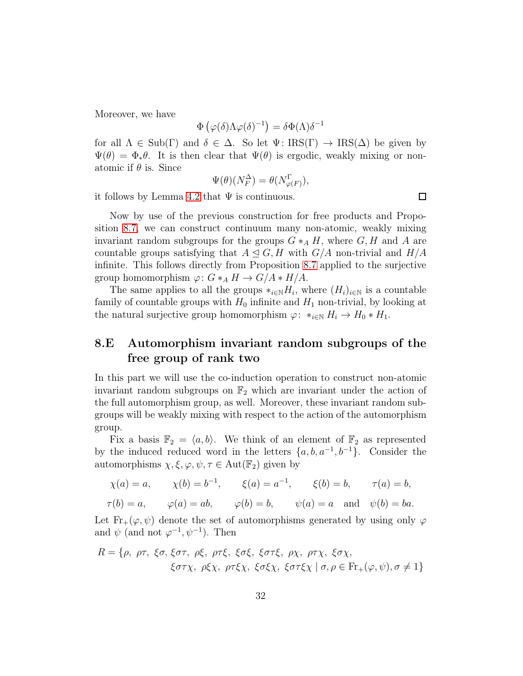Moreover, we have

$$
\Phi\left(\varphi(\delta)\Lambda\varphi(\delta)^{-1}\right) = \delta\Phi(\Lambda)\delta^{-1}
$$

for all  $\Lambda \in \text{Sub}(\Gamma)$  and  $\delta \in \Delta$ . So let  $\Psi \colon \text{IRS}(\Gamma) \to \text{IRS}(\Delta)$  be given by  $\Psi(\theta) = \Phi_* \theta$ . It is then clear that  $\Psi(\theta)$  is ergodic, weakly mixing or nonatomic if  $\theta$  is. Since

$$
\Psi(\theta)(N_F^{\Delta}) = \theta(N_{\varphi(F)}^{\Gamma}),
$$

it follows by Lemma [4.2](#page-12-0) that  $\Psi$  is continuous.

Now by use of the previous construction for free products and Proposition [8.7,](#page-30-0) we can construct continuum many non-atomic, weakly mixing invariant random subgroups for the groups  $G *_{A} H$ , where  $G, H$  and A are countable groups satisfying that  $A \subseteq G$ , H with  $G/A$  non-trivial and  $H/A$ infinite. This follows directly from Proposition [8.7](#page-30-0) applied to the surjective group homomorphism  $\varphi: G *_A H \to G/A * H/A$ .

The same applies to all the groups  $*_{i\in\mathbb{N}}H_i$ , where  $(H_i)_{i\in\mathbb{N}}$  is a countable family of countable groups with  $H_0$  infinite and  $H_1$  non-trivial, by looking at the natural surjective group homomorphism  $\varphi: *_{i\in\mathbb{N}} H_i \to H_0 * H_1$ .

## 8.E Automorphism invariant random subgroups of the free group of rank two

In this part we will use the co-induction operation to construct non-atomic invariant random subgroups on  $\mathbb{F}_2$  which are invariant under the action of the full automorphism group, as well. Moreover, these invariant random subgroups will be weakly mixing with respect to the action of the automorphism group.

Fix a basis  $\mathbb{F}_2 = \langle a, b \rangle$ . We think of an element of  $\mathbb{F}_2$  as represented by the induced reduced word in the letters  $\{a, b, a^{-1}, b^{-1}\}$ . Consider the automorphisms  $\chi, \xi, \varphi, \psi, \tau \in \text{Aut}(\mathbb{F}_2)$  given by

$$
\chi(a) = a,
$$
  $\chi(b) = b^{-1},$   $\xi(a) = a^{-1},$   $\xi(b) = b,$   $\tau(a) = b,$ 

$$
\tau(b) = a, \qquad \varphi(a) = ab, \qquad \varphi(b) = b, \qquad \psi(a) = a \quad \text{and} \quad \psi(b) = ba.
$$

Let  $\text{Fr}_+(\varphi, \psi)$  denote the set of automorphisms generated by using only  $\varphi$ and  $\psi$  (and not  $\varphi^{-1}, \psi^{-1}$ ). Then

$$
R = \{ \rho, \rho\tau, \xi\sigma, \xi\sigma\tau, \rho\xi, \rho\tau\xi, \xi\sigma\xi, \xi\sigma\tau\xi, \rho\chi, \rho\tau\chi, \xi\sigma\chi, \xi\sigma\tau\chi, \rho\xi\chi, \rho\tau\xi\chi, \xi\sigma\xi\chi, \xi\sigma\tau\xi\chi \mid \sigma, \rho \in \text{Fr}_+(\varphi, \psi), \sigma \neq 1 \}
$$

 $\Box$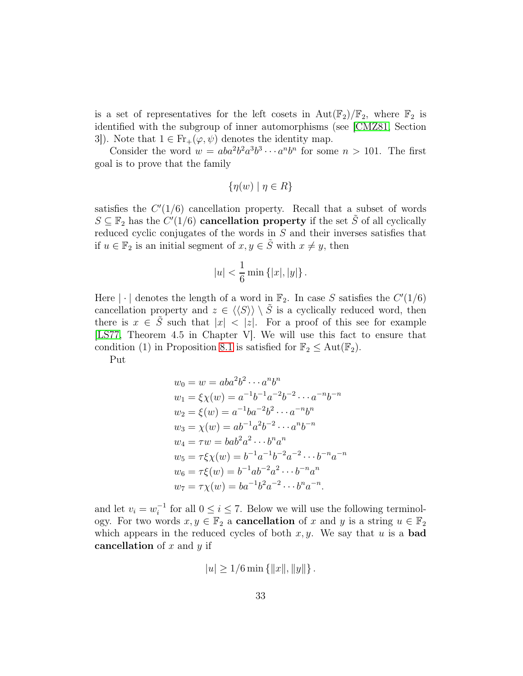is a set of representatives for the left cosets in  $Aut(\mathbb{F}_2)/\mathbb{F}_2$ , where  $\mathbb{F}_2$  is identified with the subgroup of inner automorphisms (see [\[CMZ81,](#page-46-18) Section 3]). Note that  $1 \in Fr_+(\varphi, \psi)$  denotes the identity map.

Consider the word  $w = aba^2b^2a^3b^3 \cdots a^nb^n$  for some  $n > 101$ . The first goal is to prove that the family

$$
\{\eta(w) \mid \eta \in R\}
$$

satisfies the  $C'(1/6)$  cancellation property. Recall that a subset of words  $S \subseteq \mathbb{F}_2$  has the  $C'(1/6)$  cancellation property if the set  $\tilde{S}$  of all cyclically reduced cyclic conjugates of the words in S and their inverses satisfies that if  $u \in \mathbb{F}_2$  is an initial segment of  $x, y \in \tilde{S}$  with  $x \neq y$ , then

$$
|u| < \frac{1}{6} \min \{|x|, |y|\}.
$$

Here  $|\cdot|$  denotes the length of a word in  $\mathbb{F}_2$ . In case S satisfies the  $C'(1/6)$ cancellation property and  $z \in \langle \langle S \rangle \rangle \setminus \tilde{S}$  is a cyclically reduced word, then there is  $x \in \tilde{S}$  such that  $|x| < |z|$ . For a proof of this see for example [\[LS77,](#page-46-14) Theorem 4.5 in Chapter V]. We will use this fact to ensure that condition (1) in Proposition [8.1](#page-22-0) is satisfied for  $\mathbb{F}_2 \le \text{Aut}(\mathbb{F}_2)$ .

Put

$$
w_0 = w = aba^2b^2 \cdots a^n b^n
$$
  
\n
$$
w_1 = \xi \chi(w) = a^{-1}b^{-1}a^{-2}b^{-2} \cdots a^{-n}b^{-n}
$$
  
\n
$$
w_2 = \xi(w) = a^{-1}ba^{-2}b^2 \cdots a^{-n}b^n
$$
  
\n
$$
w_3 = \chi(w) = ab^{-1}a^2b^{-2} \cdots a^nb^{-n}
$$
  
\n
$$
w_4 = \tau w = bab^2a^2 \cdots b^na^n
$$
  
\n
$$
w_5 = \tau \xi \chi(w) = b^{-1}a^{-1}b^{-2}a^{-2} \cdots b^{-n}a^{-n}
$$
  
\n
$$
w_6 = \tau \xi(w) = b^{-1}ab^{-2}a^2 \cdots b^{-n}a^n
$$
  
\n
$$
w_7 = \tau \chi(w) = ba^{-1}b^2a^{-2} \cdots b^na^{-n}.
$$

and let  $v_i = w_i^{-1}$  $i<sup>-1</sup>$  for all  $0 \le i \le 7$ . Below we will use the following terminology. For two words  $x, y \in \mathbb{F}_2$  a **cancellation** of x and y is a string  $u \in \mathbb{F}_2$ which appears in the reduced cycles of both  $x, y$ . We say that u is a **bad** cancellation of  $x$  and  $y$  if

$$
|u| \ge 1/6 \min \{||x||, ||y||\}.
$$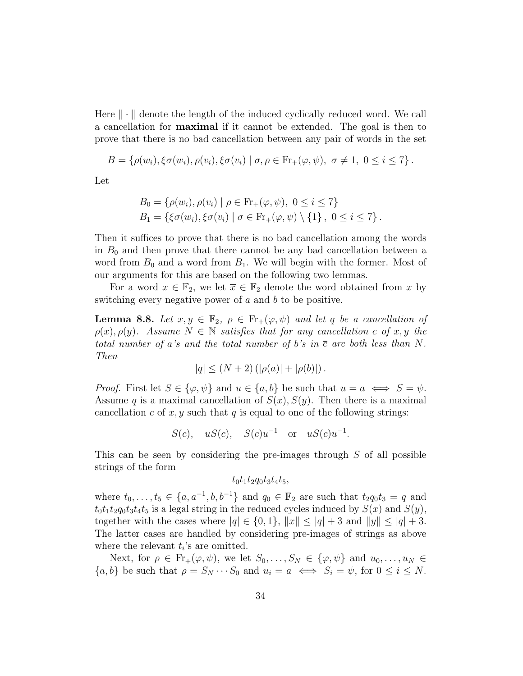Here  $\|\cdot\|$  denote the length of the induced cyclically reduced word. We call a cancellation for maximal if it cannot be extended. The goal is then to prove that there is no bad cancellation between any pair of words in the set

$$
B = \left\{ \rho(w_i), \xi \sigma(w_i), \rho(v_i), \xi \sigma(v_i) \mid \sigma, \rho \in \mathrm{Fr}_+(\varphi, \psi), \sigma \neq 1, 0 \leq i \leq 7 \right\}.
$$

Let

$$
B_0 = \{ \rho(w_i), \rho(v_i) \mid \rho \in \text{Fr}_+(\varphi, \psi), \ 0 \le i \le 7 \}
$$
  
\n
$$
B_1 = \{ \xi \sigma(w_i), \xi \sigma(v_i) \mid \sigma \in \text{Fr}_+(\varphi, \psi) \setminus \{1\}, \ 0 \le i \le 7 \}.
$$

Then it suffices to prove that there is no bad cancellation among the words in  $B_0$  and then prove that there cannot be any bad cancellation between a word from  $B_0$  and a word from  $B_1$ . We will begin with the former. Most of our arguments for this are based on the following two lemmas.

<span id="page-33-0"></span>For a word  $x \in \mathbb{F}_2$ , we let  $\overline{x} \in \mathbb{F}_2$  denote the word obtained from x by switching every negative power of  $a$  and  $b$  to be positive.

**Lemma 8.8.** Let  $x, y \in \mathbb{F}_2$ ,  $\rho \in \text{Fr}_+(\varphi, \psi)$  and let q be a cancellation of  $\rho(x), \rho(y)$ *.* Assume  $N \in \mathbb{N}$  satisfies that for any cancellation c of x, y the *total number of a*'s and the total number of b's in  $\bar{c}$  are both less than N. *Then*

$$
|q| \le (N+2) (|\rho(a)| + |\rho(b)|).
$$

*Proof.* First let  $S \in \{\varphi, \psi\}$  and  $u \in \{a, b\}$  be such that  $u = a \iff S = \psi$ . Assume q is a maximal cancellation of  $S(x)$ ,  $S(y)$ . Then there is a maximal cancellation c of x, y such that q is equal to one of the following strings:

 $S(c)$ ,  $uS(c)$ ,  $S(c)u^{-1}$  or  $uS(c)u^{-1}$ .

This can be seen by considering the pre-images through  $S$  of all possible strings of the form

 $t_0t_1t_2q_0t_3t_4t_5$ 

where  $t_0, \ldots, t_5 \in \{a, a^{-1}, b, b^{-1}\}\$  and  $q_0 \in \mathbb{F}_2$  are such that  $t_2q_0t_3 = q$  and  $t_0t_1t_2q_0t_3t_4t_5$  is a legal string in the reduced cycles induced by  $S(x)$  and  $S(y)$ , together with the cases where  $|q| \in \{0, 1\}, ||x|| \leq |q| + 3$  and  $||y|| \leq |q| + 3$ . The latter cases are handled by considering pre-images of strings as above where the relevant  $t_i$ 's are omitted.

Next, for  $\rho \in Fr_+(\varphi, \psi)$ , we let  $S_0, \ldots, S_N \in {\varphi, \psi}$  and  $u_0, \ldots, u_N \in$  $\{a, b\}$  be such that  $\rho = S_N \cdots S_0$  and  $u_i = a \iff S_i = \psi$ , for  $0 \le i \le N$ .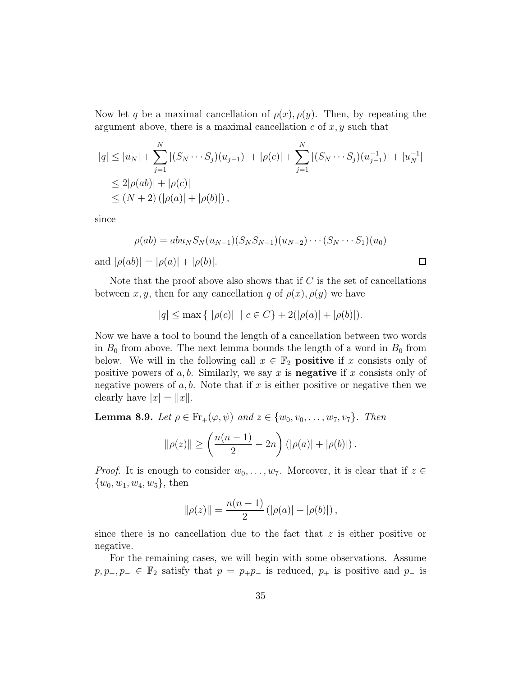Now let q be a maximal cancellation of  $\rho(x)$ ,  $\rho(y)$ . Then, by repeating the argument above, there is a maximal cancellation  $c$  of  $x, y$  such that

$$
|q| \le |u_N| + \sum_{j=1}^N |(S_N \cdots S_j)(u_{j-1})| + |\rho(c)| + \sum_{j=1}^N |(S_N \cdots S_j)(u_{j-1}^{-1})| + |u_N^{-1}|
$$
  
\n
$$
\le 2|\rho(ab)| + |\rho(c)|
$$
  
\n
$$
\le (N+2) (|\rho(a)| + |\rho(b)|),
$$

since

$$
\rho(ab) = abu_N S_N(u_{N-1})(S_N S_{N-1})(u_{N-2}) \cdots (S_N \cdots S_1)(u_0)
$$
  

$$
(\alpha b) |_{S_N} |_{S_N(u_{N-1})} |_{S_N(u_{N-1})} |_{S_N(u_{N-1})} |_{S_N(u_{N-1})} |_{S_N(u_{N-1})} |_{S_N(u_{N-1})} |_{S_N(u_{N-1})} |_{S_N(u_{N-1})} |_{S_N(u_{N-1})} |_{S_N(u_{N-1})} |_{S_N(u_{N-1})} |_{S_N(u_{N-1})} |_{S_N(u_{N-1})} |_{S_N(u_{N-1})} |_{S_N(u_{N-1})} |_{S_N(u_{N-1})} |_{S_N(u_{N-1})} |_{S_N(u_{N-1})} |_{S_N(u_{N-1})} |_{S_N(u_{N-1})} |_{S_N(u_{N-1})} |_{S_N(u_{N-1})} |_{S_N(u_{N-1})} |_{S_N(u_{N-1})} |_{S_N(u_{N-1})} |_{S_N(u_{N-1})} |_{S_N(u_{N-1})} |_{S_N(u_{N-1})} |_{S_N(u_{N-1})} |_{S_N(u_{N-1})} |_{S_N(u_{N-1})} |_{S_N(u_{N-1})} |_{S_N(u_{N-1})} |_{S_N(u_{N-1})} |_{S_N(u_{N-1})} |_{S_N(u_{N-1})} |_{S_N(u_{N-1})} |_{S_N(u_{N-1})} |_{S_N(u_{N-1})} |_{S_N(u_{N-1})} |_{S_N(u_{N-1})} |_{S_N(u_{N-1})} |_{S_N(u_{N-1})} |_{S_N(u_{N-1})} |_{S_N(u_{N-1})} |_{S_N(u_{N-1})} |_{S_N(u_{N-1})} |_{S_N(u_{N-1})} |_{S_N(u_{N-1})} |_{S_N(u_{N-1})} |_{S_N(u_{N-1})} |_{S_N(u_{N-1})} |_{S_N(u_{N-1})} |_{S_N(u_{N-1})} |_{S_N(u_{N-1})} |_{S_N(u_{N-1})} |_{S_N(u_{N-1})} |_{S_N(u_{N-1})} |_{S_N(u_{N-1})} |_{S_N(u_{N-1})} |_{S_N(u_{N-1})} |_{S_N(u_{N-1})} |_{S_N(u_{N-1})} |_{
$$

 $\Box$ 

and  $|\rho(ab)| = |\rho(a)| + |\rho(b)|$ .

Note that the proof above also shows that if  $C$  is the set of cancellations between x, y, then for any cancellation q of  $\rho(x)$ ,  $\rho(y)$  we have

$$
|q| \le \max\left\{ | \rho(c) | \mid c \in C \right\} + 2(|\rho(a)| + |\rho(b)|).
$$

Now we have a tool to bound the length of a cancellation between two words in  $B_0$  from above. The next lemma bounds the length of a word in  $B_0$  from below. We will in the following call  $x \in \mathbb{F}_2$  **positive** if x consists only of positive powers of  $a, b$ . Similarly, we say x is **negative** if x consists only of negative powers of  $a, b$ . Note that if x is either positive or negative then we clearly have  $|x| = ||x||$ .

<span id="page-34-0"></span>**Lemma 8.9.** *Let*  $\rho \in Fr_+(\varphi, \psi)$  *and*  $z \in \{w_0, v_0, \ldots, w_7, v_7\}$ *. Then* 

$$
\|\rho(z)\| \ge \left(\frac{n(n-1)}{2} - 2n\right) \left(|\rho(a)| + |\rho(b)|\right).
$$

*Proof.* It is enough to consider  $w_0, \ldots, w_7$ . Moreover, it is clear that if  $z \in$  $\{w_0, w_1, w_4, w_5\}$ , then

$$
\|\rho(z)\| = \frac{n(n-1)}{2} (|\rho(a)| + |\rho(b)|),
$$

since there is no cancellation due to the fact that  $z$  is either positive or negative.

For the remaining cases, we will begin with some observations. Assume  $p, p_+, p_- \in \mathbb{F}_2$  satisfy that  $p = p_+ p_-$  is reduced,  $p_+$  is positive and  $p_-$  is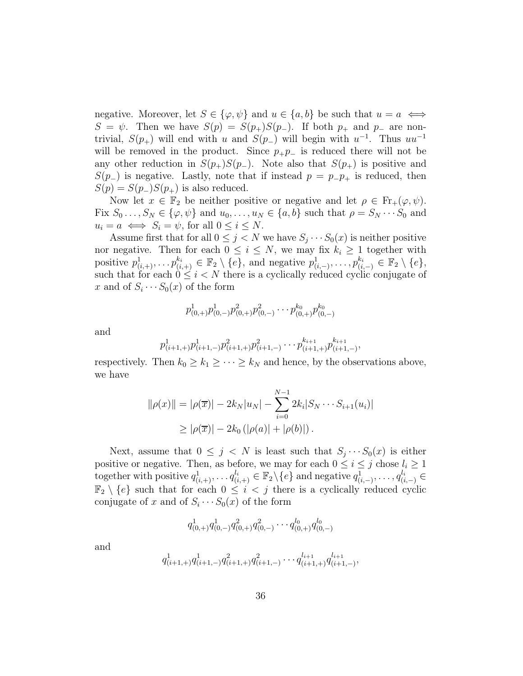negative. Moreover, let  $S \in \{\varphi, \psi\}$  and  $u \in \{a, b\}$  be such that  $u = a \iff$  $S = \psi$ . Then we have  $S(p) = S(p_+)S(p_-)$ . If both  $p_+$  and  $p_-$  are nontrivial,  $S(p_+)$  will end with u and  $S(p_-)$  will begin with  $u^{-1}$ . Thus  $uu^{-1}$ will be removed in the product. Since  $p_+p_-$  is reduced there will not be any other reduction in  $S(p_+)S(p_-)$ . Note also that  $S(p_+)$  is positive and  $S(p_+)$  is negative. Lastly, note that if instead  $p = p_-p_+$  is reduced, then  $S(p) = S(p_-)S(p_+)$  is also reduced.

Now let  $x \in \mathbb{F}_2$  be neither positive or negative and let  $\rho \in \mathrm{Fr}_+(\varphi, \psi)$ . Fix  $S_0 \ldots, S_N \in \{\varphi, \psi\}$  and  $u_0, \ldots, u_N \in \{a, b\}$  such that  $\rho = S_N \cdots S_0$  and  $u_i = a \iff S_i = \psi$ , for all  $0 \leq i \leq N$ .

Assume first that for all  $0 \leq j < N$  we have  $S_j \cdots S_0(x)$  is neither positive nor negative. Then for each  $0 \leq i \leq N$ , we may fix  $k_i \geq 1$  together with positive  $p_{(i,+)}^1, \ldots p_{(i,+)}^{k_i} \in \mathbb{F}_2 \setminus \{e\}$ , and negative  $p_{(i,-)}^1, \ldots, p_{(i,-)}^{k_i} \in \mathbb{F}_2 \setminus \{e\}$ , such that for each  $0 \leq i < N$  there is a cyclically reduced cyclic conjugate of x and of  $S_i \cdots S_0(x)$  of the form

$$
p_{(0,+)}^1 p_{(0,-)}^1 p_{(0,+)}^2 p_{(0,-)}^2 \cdots p_{(0,+)}^{k_0} p_{(0,-)}^{k_0}
$$

and

$$
p_{(i+1,+)}^1 p_{(i+1,-)}^1 p_{(i+1,+)}^2 p_{(i+1,-)}^2 \cdots p_{(i+1,+)}^{k_{i+1}} p_{(i+1,-)}^{k_{i+1}},
$$

respectively. Then  $k_0 \geq k_1 \geq \cdots \geq k_N$  and hence, by the observations above, we have

$$
\|\rho(x)\| = |\rho(\overline{x})| - 2k_N|u_N| - \sum_{i=0}^{N-1} 2k_i|S_N \cdots S_{i+1}(u_i)|
$$
  
\n
$$
\geq |\rho(\overline{x})| - 2k_0 (|\rho(a)| + |\rho(b)|).
$$

Next, assume that  $0 \leq j \leq N$  is least such that  $S_j \cdots S_0(x)$  is either positive or negative. Then, as before, we may for each  $0 \le i \le j$  chose  $l_i \ge 1$ together with positive  $q_{(i,+)}^1, \ldots, q_{(i,+)}^{l_i} \in \mathbb{F}_2 \setminus \{e\}$  and negative  $q_{(i,-)}^1, \ldots, q_{(i,-)}^{l_i} \in$  $\mathbb{F}_2 \setminus \{e\}$  such that for each  $0 \leq i < j$  there is a cyclically reduced cyclic conjugate of x and of  $S_i \cdots S_0(x)$  of the form

$$
q^1_{(0,+)}q^1_{(0,-)}q^2_{(0,+)}q^2_{(0,-)}\cdots q^{l_0}_{(0,+)}q^{l_0}_{(0,-)}
$$

and

$$
q_{(i+1,+)}^1 q_{(i+1,-)}^1 q_{(i+1,+)}^2 q_{(i+1,-)}^2 \cdots q_{(i+1,+)}^{l_{i+1}} q_{(i+1,-)}^{l_{i+1}},
$$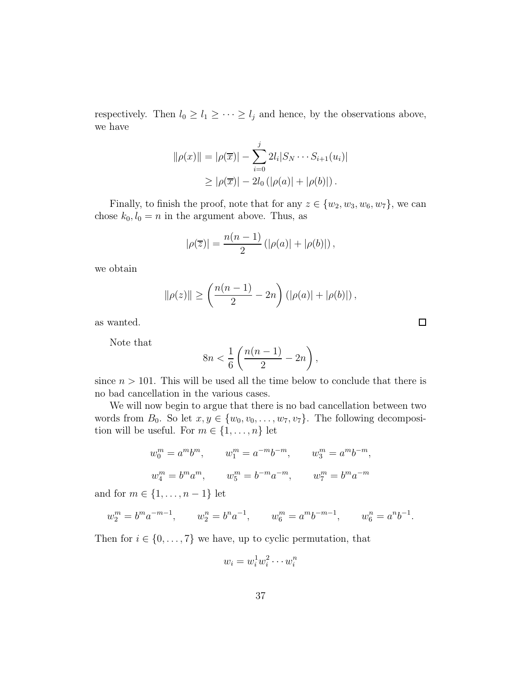respectively. Then  $l_0 \geq l_1 \geq \cdots \geq l_j$  and hence, by the observations above, we have

$$
\|\rho(x)\| = |\rho(\overline{x})| - \sum_{i=0}^{j} 2l_i |S_N \cdots S_{i+1}(u_i)|
$$
  
\n
$$
\geq |\rho(\overline{x})| - 2l_0 (|\rho(a)| + |\rho(b)|).
$$

Finally, to finish the proof, note that for any  $z \in \{w_2, w_3, w_6, w_7\}$ , we can chose  $k_0, l_0 = n$  in the argument above. Thus, as

$$
|\rho(\overline{z})| = \frac{n(n-1)}{2} (|\rho(a)| + |\rho(b)|),
$$

we obtain

$$
\|\rho(z)\| \ge \left(\frac{n(n-1)}{2} - 2n\right) \left(|\rho(a)| + |\rho(b)|\right),\,
$$

as wanted.

Note that

$$
8n < \frac{1}{6} \left( \frac{n(n-1)}{2} - 2n \right),
$$

since  $n > 101$ . This will be used all the time below to conclude that there is no bad cancellation in the various cases.

We will now begin to argue that there is no bad cancellation between two words from  $B_0$ . So let  $x, y \in \{w_0, v_0, \ldots, w_7, v_7\}$ . The following decomposition will be useful. For  $m \in \{1, \ldots, n\}$  let

$$
w_0^m = a^m b^m, \t w_1^m = a^{-m} b^{-m}, \t w_3^m = a^m b^{-m},
$$
  

$$
w_4^m = b^m a^m, \t w_5^m = b^{-m} a^{-m}, \t w_7^m = b^m a^{-m}
$$

and for  $m \in \{1, \ldots, n-1\}$  let

$$
w_2^m = b^m a^{-m-1}, \qquad w_2^n = b^n a^{-1}, \qquad w_6^m = a^m b^{-m-1}, \qquad w_6^n = a^n b^{-1}.
$$

Then for  $i \in \{0, \ldots, 7\}$  we have, up to cyclic permutation, that

$$
w_i = w_i^1 w_i^2 \cdots w_i^n
$$

 $\Box$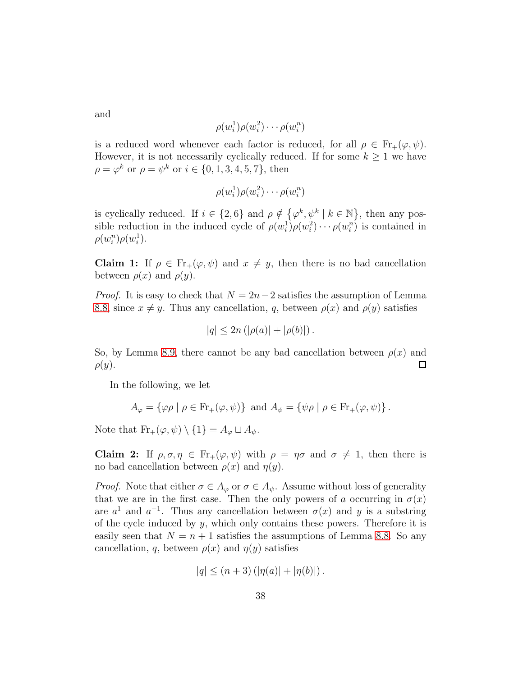and

$$
\rho(w_i^1)\rho(w_i^2)\cdots\rho(w_i^n)
$$

is a reduced word whenever each factor is reduced, for all  $\rho \in Fr_+(\varphi, \psi)$ . However, it is not necessarily cyclically reduced. If for some  $k \geq 1$  we have  $\rho = \varphi^k$  or  $\rho = \psi^k$  or  $i \in \{0, 1, 3, 4, 5, 7\}$ , then

$$
\rho(w_i^1)\rho(w_i^2)\cdots\rho(w_i^n)
$$

is cyclically reduced. If  $i \in \{2, 6\}$  and  $\rho \notin \{\varphi^k, \psi^k \mid k \in \mathbb{N}\}\,$ , then any possible reduction in the induced cycle of  $\rho(w_i^1)\rho(w_i^2)\cdots \rho(w_i^n)$  is contained in  $\rho(w_i^n)\rho(w_i^1)$ .

Claim 1: If  $\rho \in Fr_+(\varphi, \psi)$  and  $x \neq y$ , then there is no bad cancellation between  $\rho(x)$  and  $\rho(y)$ .

*Proof.* It is easy to check that  $N = 2n-2$  satisfies the assumption of Lemma [8.8,](#page-33-0) since  $x \neq y$ . Thus any cancellation, q, between  $\rho(x)$  and  $\rho(y)$  satisfies

$$
|q| \le 2n (|\rho(a)| + |\rho(b)|).
$$

So, by Lemma [8.9,](#page-34-0) there cannot be any bad cancellation between  $\rho(x)$  and  $\rho(y).$  $\Box$ 

In the following, we let

$$
A_{\varphi} = \{\varphi \rho \mid \rho \in \text{Fr}_{+}(\varphi, \psi)\} \text{ and } A_{\psi} = \{\psi \rho \mid \rho \in \text{Fr}_{+}(\varphi, \psi)\}.
$$

Note that  $\text{Fr}_+(\varphi, \psi) \setminus \{1\} = A_{\varphi} \sqcup A_{\psi}.$ 

**Claim 2:** If  $\rho, \sigma, \eta \in Fr_+(\varphi, \psi)$  with  $\rho = \eta \sigma$  and  $\sigma \neq 1$ , then there is no bad cancellation between  $\rho(x)$  and  $\eta(y)$ .

*Proof.* Note that either  $\sigma \in A_{\varphi}$  or  $\sigma \in A_{\psi}$ . Assume without loss of generality that we are in the first case. Then the only powers of a occurring in  $\sigma(x)$ are  $a^1$  and  $a^{-1}$ . Thus any cancellation between  $\sigma(x)$  and y is a substring of the cycle induced by  $y$ , which only contains these powers. Therefore it is easily seen that  $N = n + 1$  satisfies the assumptions of Lemma [8.8.](#page-33-0) So any cancellation, q, between  $\rho(x)$  and  $\eta(y)$  satisfies

$$
|q| \leq (n+3) (|\eta(a)| + |\eta(b)|).
$$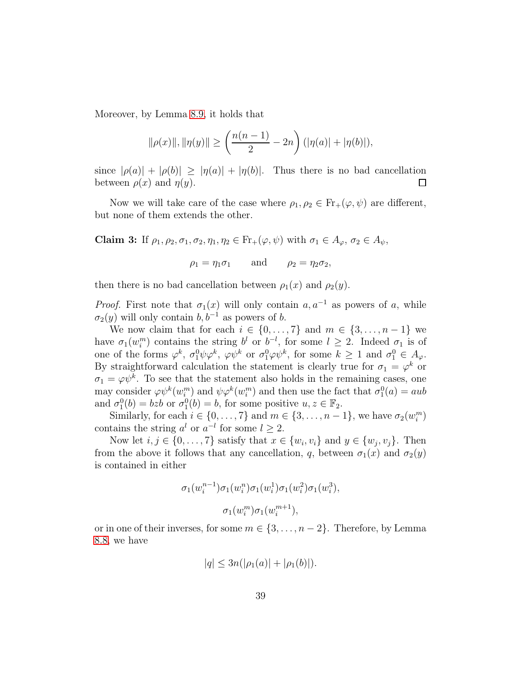Moreover, by Lemma [8.9,](#page-34-0) it holds that

$$
\|\rho(x)\|, \|\eta(y)\| \ge \left(\frac{n(n-1)}{2} - 2n\right) (\|\eta(a)\| + \|\eta(b)\|),
$$

since  $|\rho(a)| + |\rho(b)| \ge |\eta(a)| + |\eta(b)|$ . Thus there is no bad cancellation between  $\rho(x)$  and  $\eta(y)$ .  $\Box$ 

Now we will take care of the case where  $\rho_1, \rho_2 \in Fr_+(\varphi, \psi)$  are different, but none of them extends the other.

Claim 3: If  $\rho_1, \rho_2, \sigma_1, \sigma_2, \eta_1, \eta_2 \in Fr_+(\varphi, \psi)$  with  $\sigma_1 \in A_\varphi$ ,  $\sigma_2 \in A_\psi$ ,

 $\rho_1 = \eta_1 \sigma_1$  and  $\rho_2 = \eta_2 \sigma_2$ ,

then there is no bad cancellation between  $\rho_1(x)$  and  $\rho_2(y)$ .

*Proof.* First note that  $\sigma_1(x)$  will only contain  $a, a^{-1}$  as powers of a, while  $\sigma_2(y)$  will only contain  $b, b^{-1}$  as powers of b.

We now claim that for each  $i \in \{0, \ldots, 7\}$  and  $m \in \{3, \ldots, n-1\}$  we have  $\sigma_1(w_i^m)$  contains the string  $b^l$  or  $b^{-l}$ , for some  $l \geq 2$ . Indeed  $\sigma_1$  is of one of the forms  $\varphi^k$ ,  $\sigma_1^0 \psi \varphi^k$ ,  $\varphi \psi^k$  or  $\sigma_1^0 \varphi \psi^k$ , for some  $k \ge 1$  and  $\sigma_1^0 \in A_{\varphi}$ . By straightforward calculation the statement is clearly true for  $\sigma_1 = \varphi^k$  or  $\sigma_1 = \varphi \psi^k$ . To see that the statement also holds in the remaining cases, one may consider  $\varphi \psi^k(w_i^m)$  and  $\psi \varphi^k(w_i^m)$  and then use the fact that  $\sigma_1^0(a) = aub$ and  $\sigma_1^0(b) = bzb$  or  $\sigma_1^0(b) = b$ , for some positive  $u, z \in \mathbb{F}_2$ .

Similarly, for each  $i \in \{0, \ldots, 7\}$  and  $m \in \{3, \ldots, n-1\}$ , we have  $\sigma_2(w_i^m)$ contains the string  $a^l$  or  $a^{-l}$  for some  $l \geq 2$ .

Now let  $i, j \in \{0, \ldots, 7\}$  satisfy that  $x \in \{w_i, v_i\}$  and  $y \in \{w_j, v_j\}$ . Then from the above it follows that any cancellation, q, between  $\sigma_1(x)$  and  $\sigma_2(y)$ is contained in either

$$
\sigma_1(w_i^{n-1})\sigma_1(w_i^n)\sigma_1(w_i^1)\sigma_1(w_i^2)\sigma_1(w_i^3),
$$

$$
\sigma_1(w_i^m)\sigma_1(w_i^{m+1}),
$$

or in one of their inverses, for some  $m \in \{3, \ldots, n-2\}$ . Therefore, by Lemma [8.8,](#page-33-0) we have

$$
|q| \leq 3n(|\rho_1(a)| + |\rho_1(b)|).
$$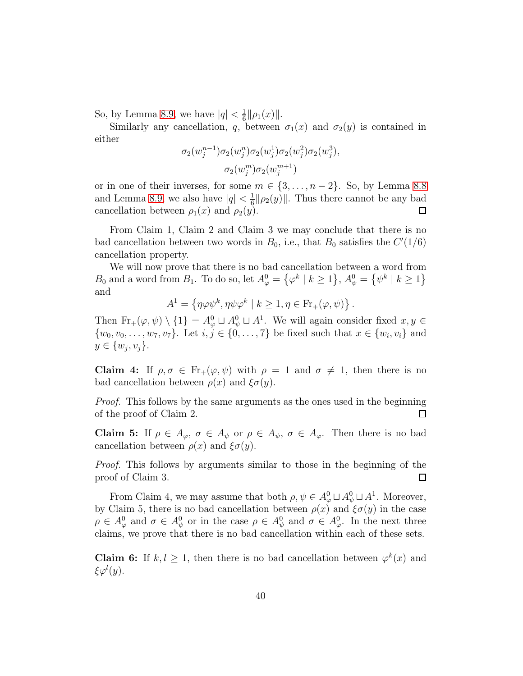So, by Lemma [8.9,](#page-34-0) we have  $|q| < \frac{1}{6}$  $\frac{1}{6} \|\rho_1(x)\|$ .

Similarly any cancellation, q, between  $\sigma_1(x)$  and  $\sigma_2(y)$  is contained in either

$$
\sigma_2(w_j^{n-1})\sigma_2(w_j^{n})\sigma_2(w_j^{1})\sigma_2(w_j^{2})\sigma_2(w_j^{3}),\\ \sigma_2(w_j^{m})\sigma_2(w_j^{m+1})
$$

or in one of their inverses, for some  $m \in \{3, \ldots, n-2\}$ . So, by Lemma [8.8](#page-33-0) and Lemma [8.9,](#page-34-0) we also have  $|q| < \frac{1}{6}$  $\frac{1}{6} \|\rho_2(y)\|$ . Thus there cannot be any bad cancellation between  $\rho_1(x)$  and  $\rho_2(y)$ .  $\Box$ 

From Claim 1, Claim 2 and Claim 3 we may conclude that there is no bad cancellation between two words in  $B_0$ , i.e., that  $B_0$  satisfies the  $C'(1/6)$ cancellation property.

We will now prove that there is no bad cancellation between a word from  $B_0$  and a word from  $B_1$ . To do so, let  $A^0_\varphi = \{ \varphi^k \mid k \ge 1 \}, A^0_\psi = \{ \psi^k \mid k \ge 1 \}$ and

$$
A^1 = \left\{ \eta \varphi \psi^k, \eta \psi \varphi^k \mid k \geq 1, \eta \in \operatorname{Fr}_+(\varphi,\psi) \right\}.
$$

Then  $\text{Fr}_+(\varphi, \psi) \setminus \{1\} = A^0_\varphi \sqcup A^0_\psi \sqcup A^1$ . We will again consider fixed  $x, y \in$  $\{w_0, v_0, \ldots, w_7, v_7\}$ . Let  $i, j \in \{0, \ldots, 7\}$  be fixed such that  $x \in \{w_i, v_i\}$  and  $y \in \{w_j, v_j\}.$ 

Claim 4: If  $\rho, \sigma \in Fr_+(\varphi, \psi)$  with  $\rho = 1$  and  $\sigma \neq 1$ , then there is no bad cancellation between  $\rho(x)$  and  $\xi\sigma(y)$ .

*Proof.* This follows by the same arguments as the ones used in the beginning of the proof of Claim 2.  $\Box$ 

Claim 5: If  $\rho \in A_{\varphi}, \sigma \in A_{\psi}$  or  $\rho \in A_{\psi}, \sigma \in A_{\varphi}$ . Then there is no bad cancellation between  $\rho(x)$  and  $\xi\sigma(y)$ .

*Proof.* This follows by arguments similar to those in the beginning of the proof of Claim 3.  $\Box$ 

From Claim 4, we may assume that both  $\rho, \psi \in A^0_\varphi \sqcup A^0_\psi \sqcup A^1$ . Moreover, by Claim 5, there is no bad cancellation between  $\rho(x)$  and  $\xi\sigma(y)$  in the case  $\rho \in A^0_\varphi$  and  $\sigma \in A^0_\psi$  or in the case  $\rho \in A^0_\psi$  and  $\sigma \in A^0_\varphi$ . In the next three claims, we prove that there is no bad cancellation within each of these sets.

**Claim 6:** If  $k, l \geq 1$ , then there is no bad cancellation between  $\varphi^k(x)$  and  $\xi \varphi^l(y)$ .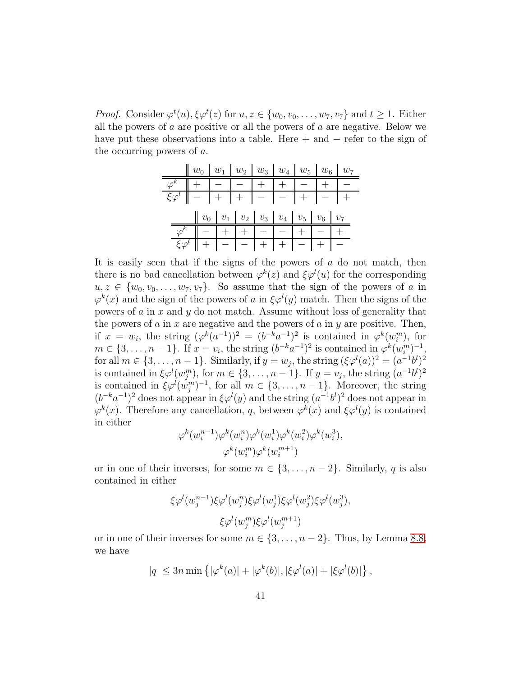*Proof.* Consider  $\varphi^t(u), \xi \varphi^t(z)$  for  $u, z \in \{w_0, v_0, \ldots, w_7, v_7\}$  and  $t \ge 1$ . Either all the powers of  $a$  are positive or all the powers of  $a$  are negative. Below we have put these observations into a table. Here  $+$  and  $-$  refer to the sign of the occurring powers of a.

|                                                        |                                                     |  | $\  w_0 \  w_1 \  w_2 \  w_3 \  w_4 \  w_5 \  w_6 \  w_7$ |  |                                          |  |  |  |                                                      |  |  |  |  |  |  |
|--------------------------------------------------------|-----------------------------------------------------|--|-----------------------------------------------------------|--|------------------------------------------|--|--|--|------------------------------------------------------|--|--|--|--|--|--|
|                                                        |                                                     |  |                                                           |  | $\sqrt{\varphi^k}$ + - - - + + - + - + - |  |  |  |                                                      |  |  |  |  |  |  |
|                                                        |                                                     |  |                                                           |  |                                          |  |  |  | $\{\varphi^l\  -  \overline{+}  +  -  -   +  -  +  $ |  |  |  |  |  |  |
|                                                        |                                                     |  |                                                           |  |                                          |  |  |  | $\  v_0  _{v_1}   v_2   v_3   v_4   v_5   v_6   v_7$ |  |  |  |  |  |  |
|                                                        |                                                     |  |                                                           |  |                                          |  |  |  |                                                      |  |  |  |  |  |  |
|                                                        | $\boxed{\varphi^k}$   -   +   +   -   -   +   -   + |  |                                                           |  |                                          |  |  |  |                                                      |  |  |  |  |  |  |
| $\mathcal{E}\varphi^l$   +   -   -   +   +   -   +   - |                                                     |  |                                                           |  |                                          |  |  |  |                                                      |  |  |  |  |  |  |

It is easily seen that if the signs of the powers of  $a$  do not match, then there is no bad cancellation between  $\varphi^k(z)$  and  $\xi \varphi^l(u)$  for the corresponding  $u, z \in \{w_0, v_0, \ldots, w_7, v_7\}$ . So assume that the sign of the powers of a in  $\varphi^k(x)$  and the sign of the powers of a in  $\xi \varphi^l(y)$  match. Then the signs of the powers of a in x and  $\gamma$  do not match. Assume without loss of generality that the powers of  $a$  in  $x$  are negative and the powers of  $a$  in  $y$  are positive. Then, if  $x = w_i$ , the string  $(\varphi^k(a^{-1}))^2 = (b^{-k}a^{-1})^2$  is contained in  $\varphi^k(w_i^m)$ , for  $m \in \{3, \ldots, n-1\}$ . If  $x = v_i$ , the string  $(b^{-k}a^{-1})^2$  is contained in  $\varphi^k(w_i^m)^{-1}$ , i for all  $m \in \{3, \ldots, n-1\}$ . Similarly, if  $y = w_j$ , the string  $(\xi \varphi^l(a))^2 = (a^{-1}b^l)^2$ is contained in  $\xi \varphi^l(w_j^m)$ , for  $m \in \{3, \ldots, n-1\}$ . If  $y = v_j$ , the string  $(a^{-1}b^l)^2$ is contained in  $\xi \varphi^l(w_j^m)^{-1}$ , for all  $m \in \{3, \ldots, n-1\}$ . Moreover, the string  $(b^{-k}a^{-1})^2$  does not appear in  $\xi \varphi^l(y)$  and the string  $(a^{-1}b^l)^2$  does not appear in  $\varphi^k(x)$ . Therefore any cancellation, q, between  $\varphi^k(x)$  and  $\xi \varphi^l(y)$  is contained in either

$$
\varphi^k(w_i^{n-1})\varphi^k(w_i^n)\varphi^k(w_i^1)\varphi^k(w_i^2)\varphi^k(w_i^3),
$$
  

$$
\varphi^k(w_i^m)\varphi^k(w_i^{m+1})
$$

or in one of their inverses, for some  $m \in \{3, \ldots, n-2\}$ . Similarly, q is also contained in either

$$
\xi \varphi^l(w_j^{n-1}) \xi \varphi^l(w_j^n) \xi \varphi^l(w_j^1) \xi \varphi^l(w_j^2) \xi \varphi^l(w_j^3),
$$
  

$$
\xi \varphi^l(w_j^m) \xi \varphi^l(w_j^{m+1})
$$

or in one of their inverses for some  $m \in \{3, \ldots, n-2\}$ . Thus, by Lemma [8.8,](#page-33-0) we have

$$
|q| \leq 3n \min \left\{ |\varphi^k(a)| + |\varphi^k(b)|, |\xi \varphi^l(a)| + |\xi \varphi^l(b)| \right\},\,
$$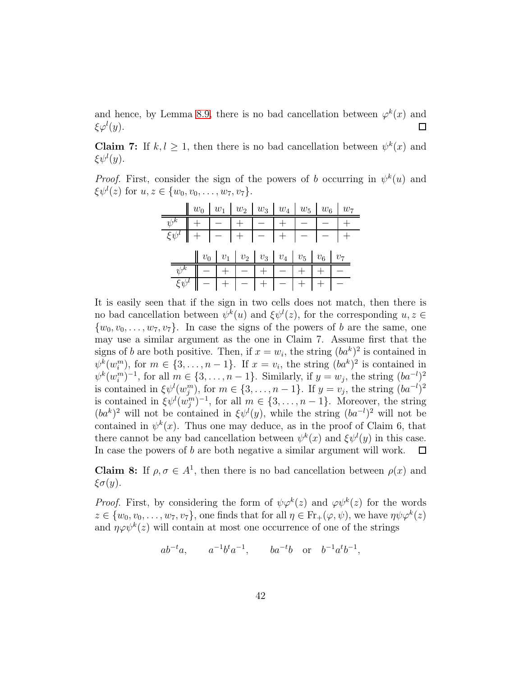and hence, by Lemma [8.9,](#page-34-0) there is no bad cancellation between  $\varphi^k(x)$  and  $\xi \varphi^l(y)$ .  $\Box$ 

**Claim 7:** If  $k, l \geq 1$ , then there is no bad cancellation between  $\psi^k(x)$  and  $\xi \psi^l(y)$ .

*Proof.* First, consider the sign of the powers of b occurring in  $\psi^k(u)$  and  $\xi \psi^{l}(z)$  for  $u, z \in \{w_0, v_0, \ldots, w_7, v_7\}.$ 

|  |                                                                                                                                          |  | $\parallel w_0 \mid w_1 \mid w_2 \mid w_3 \mid w_4 \mid w_5 \mid w_6 \mid w_7$ |                                                      |  |  |  |  |  |  |  |  |  |  |  |  |  |
|--|------------------------------------------------------------------------------------------------------------------------------------------|--|--------------------------------------------------------------------------------|------------------------------------------------------|--|--|--|--|--|--|--|--|--|--|--|--|--|
|  |                                                                                                                                          |  |                                                                                |                                                      |  |  |  |  |  |  |  |  |  |  |  |  |  |
|  |                                                                                                                                          |  | $\frac{\psi^k}{\xi\psi^l}$ + - + - + - + - - +                                 |                                                      |  |  |  |  |  |  |  |  |  |  |  |  |  |
|  |                                                                                                                                          |  |                                                                                |                                                      |  |  |  |  |  |  |  |  |  |  |  |  |  |
|  |                                                                                                                                          |  |                                                                                | $\  v_0  _{v_1}   v_2   v_3   v_4   v_5   v_6   v_7$ |  |  |  |  |  |  |  |  |  |  |  |  |  |
|  |                                                                                                                                          |  |                                                                                |                                                      |  |  |  |  |  |  |  |  |  |  |  |  |  |
|  | $\begin{array}{c c c c c c c c} \psi^k & - & + & - & + & - & + & + & - \\ \hline \xi \psi^l & - & + & - & + & - & + & + & - \end{array}$ |  |                                                                                |                                                      |  |  |  |  |  |  |  |  |  |  |  |  |  |

It is easily seen that if the sign in two cells does not match, then there is no bad cancellation between  $\psi^k(u)$  and  $\xi \psi^l(z)$ , for the corresponding  $u, z \in$  $\{w_0, v_0, \ldots, w_7, v_7\}$ . In case the signs of the powers of b are the same, one may use a similar argument as the one in Claim 7. Assume first that the signs of b are both positive. Then, if  $x = w_i$ , the string  $(ba^k)^2$  is contained in  $\psi^k(w_i^m)$ , for  $m \in \{3, \ldots, n-1\}$ . If  $x = v_i$ , the string  $(ba^k)^2$  is contained in  $\psi^k(w_i^m)^{-1}$ , for all  $m \in \{3, \ldots, n-1\}$ . Similarly, if  $y = w_j$ , the string  $(ba^{-l})^2$ is contained in  $\xi \psi^l(w_j^m)$ , for  $m \in \{3, \ldots, n-1\}$ . If  $y = v_j$ , the string  $(ba^{-l})^2$ is contained in  $\xi \psi^l(w_j^m)^{-1}$ , for all  $m \in \{3, \ldots, n-1\}$ . Moreover, the string  $(ba^k)^2$  will not be contained in  $\xi \psi^l(y)$ , while the string  $(ba^{-l})^2$  will not be contained in  $\psi^k(x)$ . Thus one may deduce, as in the proof of Claim 6, that there cannot be any bad cancellation between  $\psi^k(x)$  and  $\xi \psi^l(y)$  in this case. In case the powers of b are both negative a similar argument will work.  $\Box$ 

**Claim 8:** If  $\rho, \sigma \in A^1$ , then there is no bad cancellation between  $\rho(x)$  and  $\xi\sigma(y)$ .

*Proof.* First, by considering the form of  $\psi \varphi^k(z)$  and  $\varphi \psi^k(z)$  for the words  $z \in \{w_0, v_0, \ldots, w_7, v_7\}$ , one finds that for all  $\eta \in \text{Fr}_+(\varphi, \psi)$ , we have  $\eta \psi \varphi^k(z)$ and  $\eta \varphi \psi^k(z)$  will contain at most one occurrence of one of the strings

 $ab^{-t}a, \t a^{-1}b^ta^{-1}, \t ba^{-t}b \text{ or } b^{-1}a^tb^{-1},$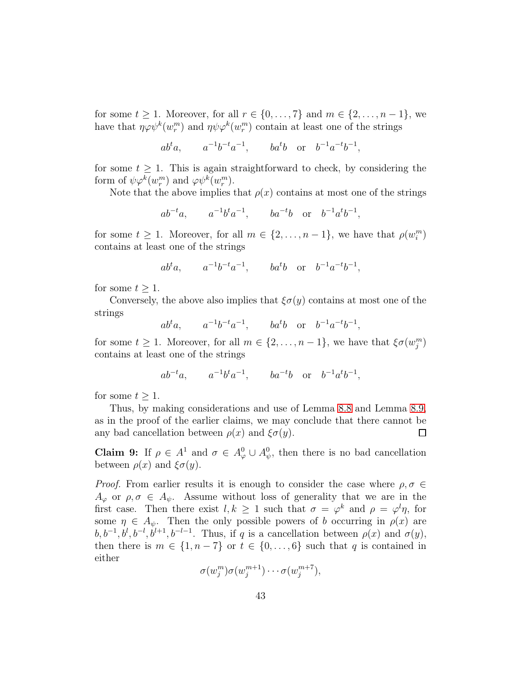for some  $t \geq 1$ . Moreover, for all  $r \in \{0, \ldots, 7\}$  and  $m \in \{2, \ldots, n-1\}$ , we have that  $\eta \varphi \psi^k(w_r^m)$  and  $\eta \psi \varphi^k(w_r^m)$  contain at least one of the strings

$$
ab^t a
$$
,  $a^{-1}b^{-t}a^{-1}$ ,  $ba^t b$  or  $b^{-1}a^{-t}b^{-1}$ ,

for some  $t \geq 1$ . This is again straightforward to check, by considering the form of  $\psi \varphi^k(w_r^m)$  and  $\varphi \psi^k(w_r^m)$ .

Note that the above implies that  $\rho(x)$  contains at most one of the strings

$$
ab^{-t}a
$$
,  $a^{-1}b^{t}a^{-1}$ ,  $ba^{-t}b$  or  $b^{-1}a^{t}b^{-1}$ ,

for some  $t \geq 1$ . Moreover, for all  $m \in \{2, \ldots, n-1\}$ , we have that  $\rho(w_i^m)$ contains at least one of the strings

$$
ab^t a
$$
,  $a^{-1}b^{-t}a^{-1}$ ,  $ba^t b$  or  $b^{-1}a^{-t}b^{-1}$ ,

for some  $t \geq 1$ .

Conversely, the above also implies that  $\xi \sigma(y)$  contains at most one of the strings

 $ab^t a$ ,  $a^{-1}b^{-t}a^{-1}$ ,  $ba^t b$  or  $b^{-1}a^{-t}b^{-1}$ ,

for some  $t \geq 1$ . Moreover, for all  $m \in \{2, \ldots, n-1\}$ , we have that  $\xi \sigma(w_j^m)$ contains at least one of the strings

$$
ab^{-t}a
$$
,  $a^{-1}b^{t}a^{-1}$ ,  $ba^{-t}b$  or  $b^{-1}a^{t}b^{-1}$ ,

for some  $t \geq 1$ .

Thus, by making considerations and use of Lemma [8.8](#page-33-0) and Lemma [8.9,](#page-34-0) as in the proof of the earlier claims, we may conclude that there cannot be any bad cancellation between  $\rho(x)$  and  $\xi\sigma(y)$ .  $\Box$ 

**Claim 9:** If  $\rho \in A^1$  and  $\sigma \in A^0_{\varphi} \cup A^0_{\psi}$ , then there is no bad cancellation between  $\rho(x)$  and  $\xi\sigma(y)$ .

*Proof.* From earlier results it is enough to consider the case where  $\rho, \sigma \in$  $A_{\varphi}$  or  $\rho, \sigma \in A_{\psi}$ . Assume without loss of generality that we are in the first case. Then there exist  $l, k \geq 1$  such that  $\sigma = \varphi^k$  and  $\rho = \varphi^l \eta$ , for some  $\eta \in A_{\psi}$ . Then the only possible powers of b occurring in  $\rho(x)$  are  $b, b^{-1}, b^l, b^{-l}, b^{l+1}, b^{-l-1}$ . Thus, if q is a cancellation between  $\rho(x)$  and  $\sigma(y)$ , then there is  $m \in \{1, n-7\}$  or  $t \in \{0, \ldots, 6\}$  such that q is contained in either

> $\sigma(w_j^m)\sigma(w_j^{m+1}$  $\sigma_j^{m+1})\cdots \sigma(w_j^{m+7})$  $_{j}^{m+7}),$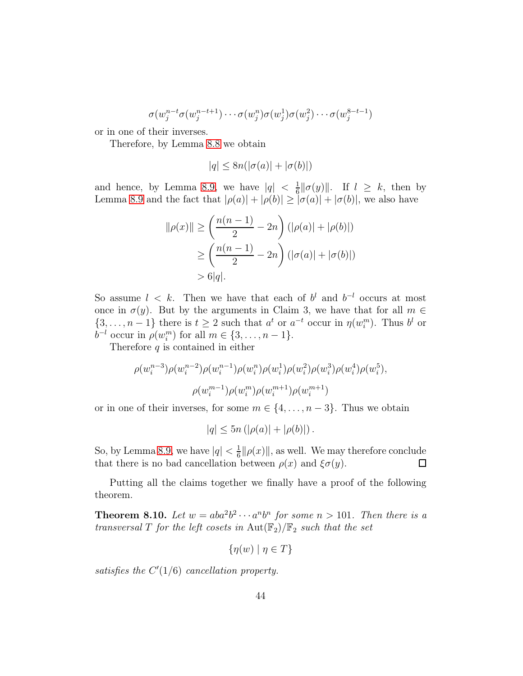$$
\sigma(w_j^{n-t}\sigma(w_j^{n-t+1})\cdots\sigma(w_j^{n})\sigma(w_j^{1})\sigma(w_j^{2})\cdots\sigma(w_j^{8-t-1})
$$

or in one of their inverses.

Therefore, by Lemma [8.8](#page-33-0) we obtain

$$
|q| \leq 8n(|\sigma(a)| + |\sigma(b)|)
$$

and hence, by Lemma [8.9,](#page-34-0) we have  $|q| < \frac{1}{6}$  $\frac{1}{6} \|\sigma(y)\|$ . If  $l \geq k$ , then by Lemma [8.9](#page-34-0) and the fact that  $|\rho(a)| + |\rho(b)| \geq |\sigma(a)| + |\sigma(b)|$ , we also have

$$
\|\rho(x)\| \ge \left(\frac{n(n-1)}{2} - 2n\right) (|\rho(a)| + |\rho(b)|)
$$
  
 
$$
\ge \left(\frac{n(n-1)}{2} - 2n\right) (|\sigma(a)| + |\sigma(b)|)
$$
  
 
$$
> 6|q|.
$$

So assume  $l \leq k$ . Then we have that each of  $b^l$  and  $b^{-l}$  occurs at most once in  $\sigma(y)$ . But by the arguments in Claim 3, we have that for all  $m \in$  $\{3,\ldots,n-1\}$  there is  $t\geq 2$  such that  $a^t$  or  $a^{-t}$  occur in  $\eta(w_i^m)$ . Thus  $b^l$  or  $b^{-l}$  occur in  $\rho(w_i^m)$  for all  $m \in \{3, \ldots, n-1\}.$ 

Therefore  $q$  is contained in either

$$
\rho(w_i^{n-3})\rho(w_i^{n-2})\rho(w_i^{n-1})\rho(w_i^n)\rho(w_i^1)\rho(w_i^2)\rho(w_i^3)\rho(w_i^4)\rho(w_i^5),
$$

$$
\rho(w_i^{m-1})\rho(w_i^m)\rho(w_i^{m+1})\rho(w_i^{m+1})
$$

or in one of their inverses, for some  $m \in \{4, \ldots, n-3\}$ . Thus we obtain

$$
|q| \leq 5n (|\rho(a)| + |\rho(b)|).
$$

So, by Lemma [8.9,](#page-34-0) we have  $|q| < \frac{1}{6}$  $\frac{1}{6} \|\rho(x)\|$ , as well. We may therefore conclude that there is no bad cancellation between  $\rho(x)$  and  $\xi\sigma(y)$ .  $\Box$ 

<span id="page-43-0"></span>Putting all the claims together we finally have a proof of the following theorem.

**Theorem 8.10.** Let  $w = aba^2b^2 \cdots a^n b^n$  for some  $n > 101$ . Then there is a *transversal* T *for the left cosets in*  $Aut(\mathbb{F}_2)/\mathbb{F}_2$  *such that the set* 

$$
\{\eta(w) \mid \eta \in T\}
$$

satisfies the  $C'(1/6)$  *cancellation property.*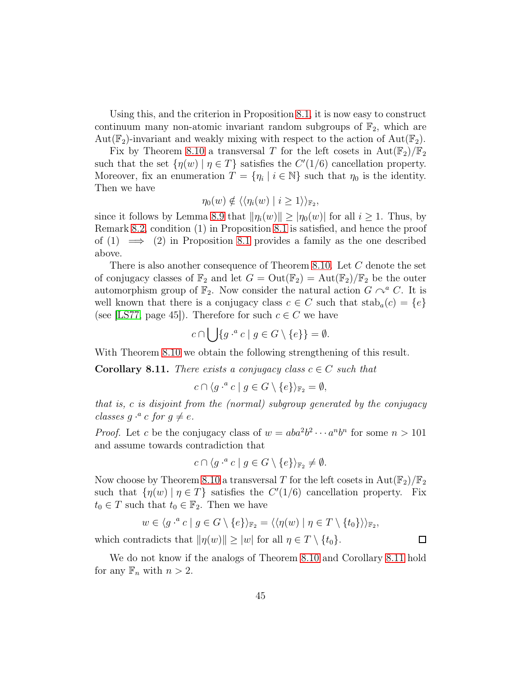Using this, and the criterion in Proposition [8.1,](#page-22-0) it is now easy to construct continuum many non-atomic invariant random subgroups of  $\mathbb{F}_2$ , which are Aut( $\mathbb{F}_2$ )-invariant and weakly mixing with respect to the action of Aut( $\mathbb{F}_2$ ).

Fix by Theorem [8.10](#page-43-0) a transversal T for the left cosets in  $Aut(\mathbb{F}_2)/\mathbb{F}_2$ such that the set  $\{\eta(w) \mid \eta \in T\}$  satisfies the  $C'(1/6)$  cancellation property. Moreover, fix an enumeration  $T = \{\eta_i \mid i \in \mathbb{N}\}\$  such that  $\eta_0$  is the identity. Then we have

$$
\eta_0(w) \notin \langle \langle \eta_i(w) \mid i \geq 1 \rangle \rangle_{\mathbb{F}_2},
$$

since it follows by Lemma [8.9](#page-34-0) that  $\|\eta_i(w)\| \geq |\eta_0(w)|$  for all  $i \geq 1$ . Thus, by Remark [8.2,](#page-24-0) condition (1) in Proposition [8.1](#page-22-0) is satisfied, and hence the proof of  $(1) \implies (2)$  in Proposition [8.1](#page-22-0) provides a family as the one described above.

There is also another consequence of Theorem [8.10.](#page-43-0) Let C denote the set of conjugacy classes of  $\mathbb{F}_2$  and let  $G = Out(\mathbb{F}_2) = Aut(\mathbb{F}_2)/\mathbb{F}_2$  be the outer automorphism group of  $\mathbb{F}_2$ . Now consider the natural action  $G \curvearrowright^a C$ . It is well known that there is a conjugacy class  $c \in C$  such that  $stab_a(c) = \{e\}$ (see [\[LS77,](#page-46-14) page 45]). Therefore for such  $c \in C$  we have

$$
c \cap \bigcup \{ g \cdot^a c \mid g \in G \setminus \{e\} \} = \emptyset.
$$

<span id="page-44-0"></span>With Theorem [8.10](#page-43-0) we obtain the following strengthening of this result.

**Corollary 8.11.** *There exists a conjugacy class*  $c \in C$  *such that* 

$$
c \cap \langle g \cdot^a c \mid g \in G \setminus \{e\} \rangle_{\mathbb{F}_2} = \emptyset,
$$

*that is,* c *is disjoint from the (normal) subgroup generated by the conjugacy classes*  $g \cdot^a c$  *for*  $g \neq e$ *.* 

*Proof.* Let c be the conjugacy class of  $w = aba^2b^2 \cdots a^n b^n$  for some  $n > 101$ and assume towards contradiction that

$$
c \cap \langle g \cdot^a c \mid g \in G \setminus \{e\} \rangle_{\mathbb{F}_2} \neq \emptyset.
$$

Now choose by Theorem [8.10](#page-43-0) a transversal T for the left cosets in  $Aut(\mathbb{F}_2)/\mathbb{F}_2$ such that  $\{\eta(w) \mid \eta \in T\}$  satisfies the  $C'(1/6)$  cancellation property. Fix  $t_0 \in T$  such that  $t_0 \in \mathbb{F}_2$ . Then we have

$$
w \in \langle g^{a} c \mid g \in G \setminus \{e\} \rangle_{\mathbb{F}_2} = \langle \langle \eta(w) \mid \eta \in T \setminus \{t_0\} \rangle \rangle_{\mathbb{F}_2},
$$

 $\Box$ 

which contradicts that  $\|\eta(w)\| \ge |w|$  for all  $\eta \in T \setminus \{t_0\}.$ 

We do not know if the analogs of Theorem [8.10](#page-43-0) and Corollary [8.11](#page-44-0) hold for any  $\mathbb{F}_n$  with  $n > 2$ .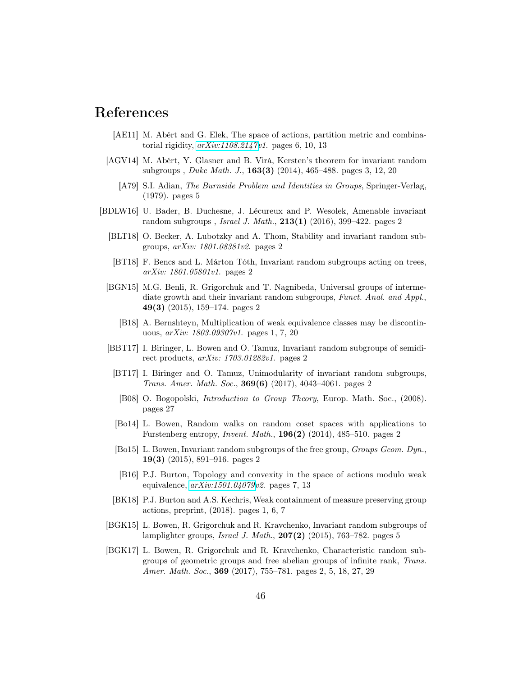## References

- <span id="page-45-14"></span>[AE11] M. Abért and G. Elek, The space of actions, partition metric and combinatorial rigidity, *[arXiv:1108.2147v](http://arxiv.org/abs/1108.2147)1*. pages 6, 10, 13
- <span id="page-45-13"></span><span id="page-45-11"></span>[AGV14] M. Abért, Y. Glasner and B. Virá, Kersten's theorem for invariant random subgroups , *Duke Math. J.*, 163(3) (2014), 465–488. pages 3, 12, 20
	- [A79] S.I. Adian, *The Burnside Problem and Identities in Groups*, Springer-Verlag, (1979). pages 5
- <span id="page-45-16"></span><span id="page-45-15"></span><span id="page-45-12"></span><span id="page-45-10"></span><span id="page-45-9"></span><span id="page-45-8"></span><span id="page-45-7"></span><span id="page-45-6"></span><span id="page-45-5"></span><span id="page-45-4"></span><span id="page-45-3"></span><span id="page-45-2"></span><span id="page-45-1"></span><span id="page-45-0"></span>[BDLW16] U. Bader, B. Duchesne, J. Lécureux and P. Wesolek, Amenable invariant random subgroups , *Israel J. Math.*, 213(1) (2016), 399–422. pages 2
	- [BLT18] O. Becker, A. Lubotzky and A. Thom, Stability and invariant random subgroups, *arXiv: 1801.08381v2*. pages 2
	- [BT18] F. Bencs and L. Márton Tóth, Invariant random subgroups acting on trees, *arXiv: 1801.05801v1*. pages 2
	- [BGN15] M.G. Benli, R. Grigorchuk and T. Nagnibeda, Universal groups of intermediate growth and their invariant random subgroups, *Funct. Anal. and Appl.*, 49(3) (2015), 159–174. pages 2
		- [B18] A. Bernshteyn, Multiplication of weak equivalence classes may be discontinuous, *arXiv: 1803.09307v1*. pages 1, 7, 20
	- [BBT17] I. Biringer, L. Bowen and O. Tamuz, Invariant random subgroups of semidirect products, *arXiv: 1703.01282v1*. pages 2
	- [BT17] I. Biringer and O. Tamuz, Unimodularity of invariant random subgroups, *Trans. Amer. Math. Soc.*, 369(6) (2017), 4043–4061. pages 2
	- [B08] O. Bogopolski, *Introduction to Group Theory*, Europ. Math. Soc., (2008). pages 27
	- [Bo14] L. Bowen, Random walks on random coset spaces with applications to Furstenberg entropy, *Invent. Math.*, 196(2) (2014), 485–510. pages 2
	- [Bo15] L. Bowen, Invariant random subgroups of the free group, *Groups Geom. Dyn.*, 19(3) (2015), 891–916. pages 2
	- [B16] P.J. Burton, Topology and convexity in the space of actions modulo weak equivalence, *[arXiv:1501.04079v](http://arxiv.org/abs/1501.04079)2*. pages 7, 13
	- [BK18] P.J. Burton and A.S. Kechris, Weak containment of measure preserving group actions, preprint, (2018). pages 1, 6, 7
	- [BGK15] L. Bowen, R. Grigorchuk and R. Kravchenko, Invariant random subgroups of lamplighter groups, *Israel J. Math.*, 207(2) (2015), 763–782. pages 5
	- [BGK17] L. Bowen, R. Grigorchuk and R. Kravchenko, Characteristic random subgroups of geometric groups and free abelian groups of infinite rank, *Trans. Amer. Math. Soc.*, 369 (2017), 755–781. pages 2, 5, 18, 27, 29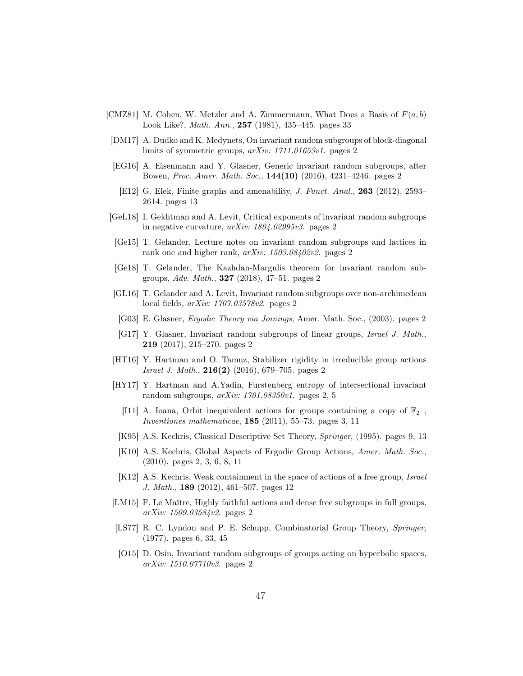- <span id="page-46-18"></span>[CMZ81] M. Cohen, W. Metzler and A. Zimmermann, What Does a Basis of  $F(a, b)$ Look Like?, *Math. Ann.*, 257 (1981), 435–445. pages 33
- <span id="page-46-8"></span>[DM17] A. Dudko and K. Medynets, On invariant random subgroups of block-diagonal limits of symmetric groups, *arXiv: 1711.01653v1*. pages 2
- <span id="page-46-17"></span><span id="page-46-6"></span>[EG16] A. Eisenmann and Y. Glasner, Generic invariant random subgroups, after Bowen, *Proc. Amer. Math. Soc.*, 144(10) (2016), 4231–4246. pages 2
	- [E12] G. Elek, Finite graphs and amenability, *J. Funct. Anal.*, 263 (2012), 2593– 2614. pages 13
- <span id="page-46-11"></span>[GeL18] I. Gekhtman and A. Levit, Critical exponents of invariant random subgroups in negative curvature, *arXiv: 1804.02995v3*. pages 2
- <span id="page-46-2"></span>[Ge15] T. Gelander, Lecture notes on invariant random subgroups and lattices in rank one and higher rank, *arXiv: 1503.08402v2*. pages 2
- <span id="page-46-10"></span>[Ge18] T. Gelander, The Kazhdan-Margulis theorem for invariant random subgroups, *Adv. Math.*, 327 (2018), 47–51. pages 2
- <span id="page-46-4"></span>[GL16] T. Gelander and A. Levit, Invariant random subgroups over non-archimedean local fields, *arXiv: 1707.03578v2*. pages 2
- <span id="page-46-0"></span>[G03] E. Glasner, *Ergodic Theory via Joinings*, Amer. Math. Soc., (2003). pages 2
- <span id="page-46-7"></span>[G17] Y. Glasner, Invariant random subgroups of linear groups, *Israel J. Math.*, 219 (2017), 215–270. pages 2
- <span id="page-46-5"></span>[HT16] Y. Hartman and O. Tamuz, Stabilizer rigidity in irreducible group actions *Israel J. Math.*, 216(2) (2016), 679–705. pages 2
- <span id="page-46-13"></span><span id="page-46-9"></span>[HY17] Y. Hartman and A.Yadin, Furstenberg entropy of intersectional invariant random subgroups, *arXiv: 1701.08350v1*. pages 2, 5
	- [I11] A. Ioana, Orbit inequivalent actions for groups containing a copy of  $\mathbb{F}_2$ , *Inventiones mathematicae*, 185 (2011), 55–73. pages 3, 11
	- [K95] A.S. Kechris, Classical Descriptive Set Theory, *Springer*, (1995). pages 9, 13
	- [K10] A.S. Kechris, Global Aspects of Ergodic Group Actions, *Amer. Math. Soc.*, (2010). pages 2, 3, 6, 8, 11
- <span id="page-46-16"></span><span id="page-46-15"></span><span id="page-46-12"></span>[K12] A.S. Kechris, Weak containment in the space of actions of a free group, *Israel J. Math.*, 189 (2012), 461–507. pages 12
- <span id="page-46-1"></span>[LM15] F. Le Maître, Highly faithful actions and dense free subgroups in full groups, *arXiv: 1509.03584v2*. pages 2
- <span id="page-46-14"></span>[LS77] R. C. Lyndon and P. E. Schupp, Combinatorial Group Theory, *Springer*, (1977). pages 6, 33, 45
- <span id="page-46-3"></span>[O15] D. Osin, Invariant random subgroups of groups acting on hyperbolic spaces, *arXiv: 1510.07710v3*. pages 2